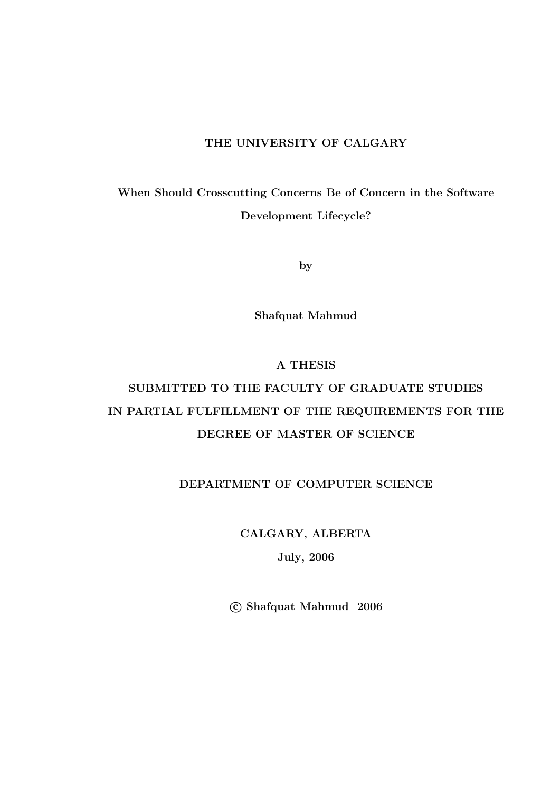#### THE UNIVERSITY OF CALGARY

When Should Crosscutting Concerns Be of Concern in the Software Development Lifecycle?

by

Shafquat Mahmud

#### A THESIS

## SUBMITTED TO THE FACULTY OF GRADUATE STUDIES IN PARTIAL FULFILLMENT OF THE REQUIREMENTS FOR THE DEGREE OF MASTER OF SCIENCE

#### DEPARTMENT OF COMPUTER SCIENCE

#### CALGARY, ALBERTA

#### July, 2006

c Shafquat Mahmud 2006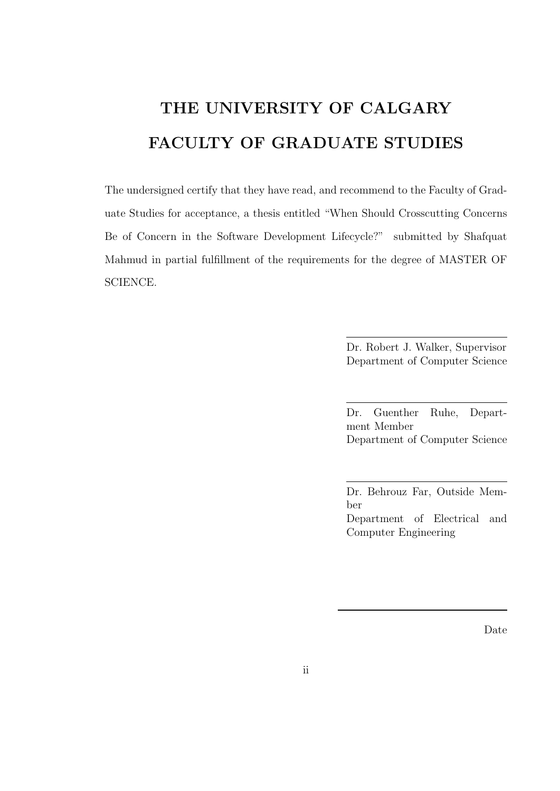# THE UNIVERSITY OF CALGARY FACULTY OF GRADUATE STUDIES

The undersigned certify that they have read, and recommend to the Faculty of Graduate Studies for acceptance, a thesis entitled "When Should Crosscutting Concerns Be of Concern in the Software Development Lifecycle?" submitted by Shafquat Mahmud in partial fulfillment of the requirements for the degree of MASTER OF SCIENCE.

> Dr. Robert J. Walker, Supervisor Department of Computer Science

> Dr. Guenther Ruhe, Department Member Department of Computer Science

> Dr. Behrouz Far, Outside Member Department of Electrical and Computer Engineering

> > Date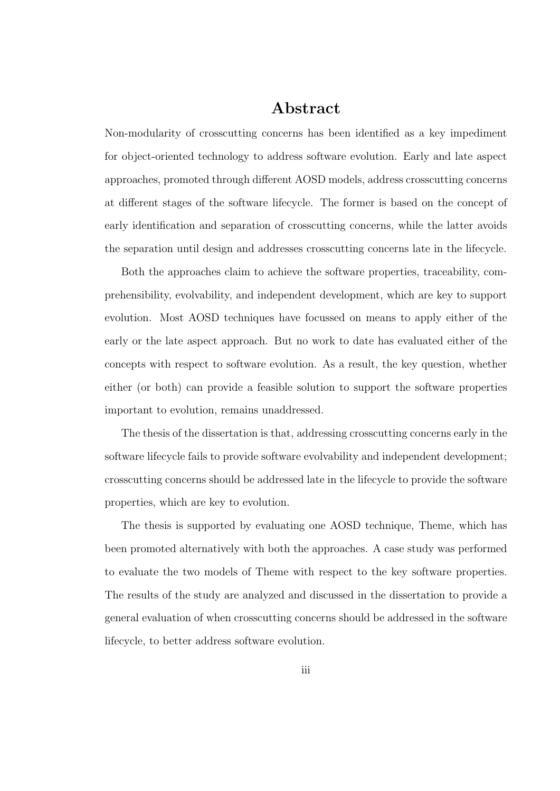### Abstract

Non-modularity of crosscutting concerns has been identified as a key impediment for object-oriented technology to address software evolution. Early and late aspect approaches, promoted through different AOSD models, address crosscutting concerns at different stages of the software lifecycle. The former is based on the concept of early identification and separation of crosscutting concerns, while the latter avoids the separation until design and addresses crosscutting concerns late in the lifecycle.

Both the approaches claim to achieve the software properties, traceability, comprehensibility, evolvability, and independent development, which are key to support evolution. Most AOSD techniques have focussed on means to apply either of the early or the late aspect approach. But no work to date has evaluated either of the concepts with respect to software evolution. As a result, the key question, whether either (or both) can provide a feasible solution to support the software properties important to evolution, remains unaddressed.

The thesis of the dissertation is that, addressing crosscutting concerns early in the software lifecycle fails to provide software evolvability and independent development; crosscutting concerns should be addressed late in the lifecycle to provide the software properties, which are key to evolution.

The thesis is supported by evaluating one AOSD technique, Theme, which has been promoted alternatively with both the approaches. A case study was performed to evaluate the two models of Theme with respect to the key software properties. The results of the study are analyzed and discussed in the dissertation to provide a general evaluation of when crosscutting concerns should be addressed in the software lifecycle, to better address software evolution.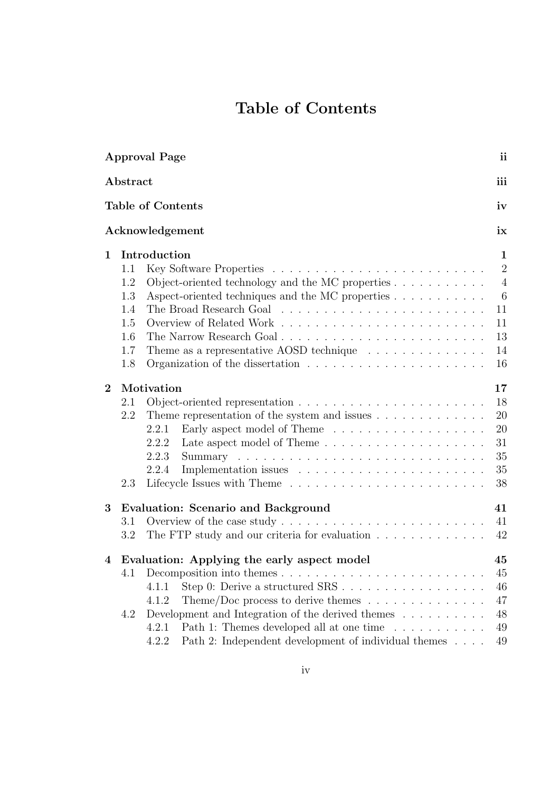## Table of Contents

| <b>Approval Page</b> |          |                                                                                     |                |  |  |  |
|----------------------|----------|-------------------------------------------------------------------------------------|----------------|--|--|--|
|                      | Abstract |                                                                                     |                |  |  |  |
|                      |          | <b>Table of Contents</b>                                                            | iv             |  |  |  |
|                      |          | Acknowledgement                                                                     | ix             |  |  |  |
| $\mathbf{1}$         |          | Introduction                                                                        | $\mathbf 1$    |  |  |  |
|                      | 1.1      |                                                                                     | $\overline{2}$ |  |  |  |
|                      | 1.2      | Object-oriented technology and the MC properties $\ldots \ldots \ldots$             | $\overline{4}$ |  |  |  |
|                      | 1.3      |                                                                                     | $\overline{6}$ |  |  |  |
|                      | 1.4      |                                                                                     | 11             |  |  |  |
|                      | 1.5      |                                                                                     | 11             |  |  |  |
|                      | 1.6      | The Narrow Research Goal                                                            | 13             |  |  |  |
|                      | 1.7      | Theme as a representative AOSD technique $\ldots \ldots \ldots \ldots$              | 14             |  |  |  |
|                      | 1.8      | Organization of the dissertation $\ldots \ldots \ldots \ldots \ldots \ldots \ldots$ | 16             |  |  |  |
| $\overline{2}$       |          | Motivation                                                                          | 17             |  |  |  |
|                      | 2.1      |                                                                                     | 18             |  |  |  |
|                      | 2.2      | Theme representation of the system and issues $\dots \dots \dots \dots$             | 20             |  |  |  |
|                      |          | 2.2.1                                                                               | 20             |  |  |  |
|                      |          | 2.2.2                                                                               | 31             |  |  |  |
|                      |          | 2.2.3                                                                               | 35             |  |  |  |
|                      |          | 2.2.4                                                                               | 35             |  |  |  |
|                      | 2.3      |                                                                                     | 38             |  |  |  |
| 3                    |          | <b>Evaluation: Scenario and Background</b>                                          | 41             |  |  |  |
|                      | 3.1      | Overview of the case study $\dots \dots \dots \dots \dots \dots \dots \dots \dots$  | 41             |  |  |  |
|                      | 3.2      | The FTP study and our criteria for evaluation                                       | 42             |  |  |  |
| 4                    |          | Evaluation: Applying the early aspect model                                         | 45             |  |  |  |
|                      |          |                                                                                     | 45             |  |  |  |
|                      |          | 4.1.1                                                                               | 46             |  |  |  |
|                      |          | Theme/Doc process to derive themes $\dots \dots \dots \dots \dots$<br>4.1.2         | 47             |  |  |  |
|                      | 4.2      | Development and Integration of the derived themes $\dots \dots \dots$               | 48             |  |  |  |
|                      |          | Path 1: Themes developed all at one time<br>4.2.1                                   | 49             |  |  |  |
|                      |          | Path 2: Independent development of individual themes<br>4.2.2                       | 49             |  |  |  |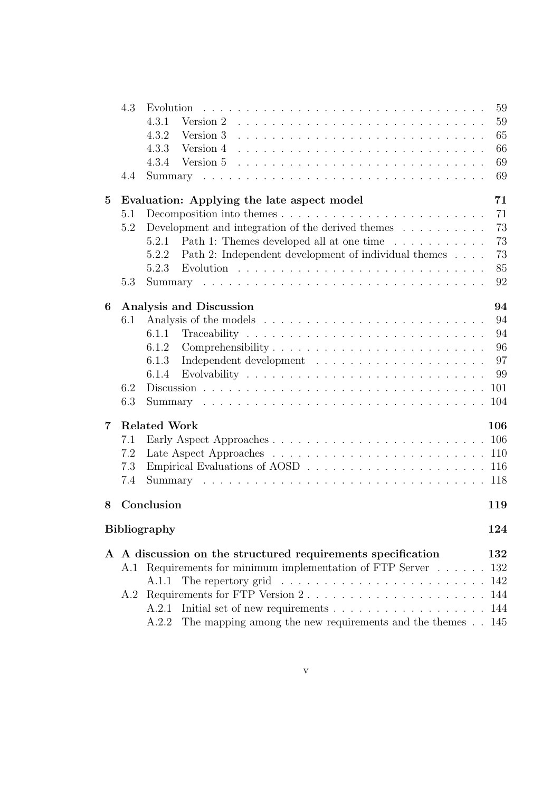|                | 4.3 |                                                                                                                              | 59  |
|----------------|-----|------------------------------------------------------------------------------------------------------------------------------|-----|
|                |     | 4.3.1<br>Version $2$ $\ldots$ $\ldots$ $\ldots$ $\ldots$ $\ldots$ $\ldots$ $\ldots$ $\ldots$ $\ldots$ $\ldots$               | 59  |
|                |     | 4.3.2                                                                                                                        | 65  |
|                |     | 4.3.3                                                                                                                        | 66  |
|                |     | 4.3.4                                                                                                                        | 69  |
|                | 4.4 |                                                                                                                              | 69  |
| $\bf{5}$       |     | Evaluation: Applying the late aspect model                                                                                   | 71  |
|                | 5.1 |                                                                                                                              | 71  |
|                | 5.2 | Development and integration of the derived themes $\dots \dots \dots$                                                        | 73  |
|                |     | Path 1: Themes developed all at one time<br>5.2.1                                                                            | 73  |
|                |     | Path 2: Independent development of individual themes<br>5.2.2                                                                | 73  |
|                |     | 5.2.3                                                                                                                        | 85  |
|                | 5.3 |                                                                                                                              | 92  |
| 6              |     | Analysis and Discussion                                                                                                      | 94  |
|                | 6.1 |                                                                                                                              | 94  |
|                |     | 6.1.1                                                                                                                        | 94  |
|                |     | 6.1.2<br>Comprehensibility                                                                                                   | 96  |
|                |     | 6.1.3                                                                                                                        | 97  |
|                |     | 6.1.4                                                                                                                        | 99  |
|                | 6.2 |                                                                                                                              |     |
|                | 6.3 |                                                                                                                              |     |
| $\overline{7}$ |     | <b>Related Work</b>                                                                                                          | 106 |
|                | 7.1 |                                                                                                                              |     |
|                | 7.2 |                                                                                                                              |     |
|                | 7.3 |                                                                                                                              |     |
|                | 7.4 |                                                                                                                              |     |
| 8              |     | Conclusion                                                                                                                   | 119 |
|                |     | <b>Bibliography</b>                                                                                                          | 124 |
|                |     |                                                                                                                              | 132 |
|                |     | A A discussion on the structured requirements specification<br>A.1 Requirements for minimum implementation of FTP Server 132 |     |
|                |     | A.1.1                                                                                                                        |     |
|                |     |                                                                                                                              |     |
|                |     | Initial set of new requirements 144<br>A.2.1                                                                                 |     |
|                |     | The mapping among the new requirements and the themes 145<br>A.2.2                                                           |     |
|                |     |                                                                                                                              |     |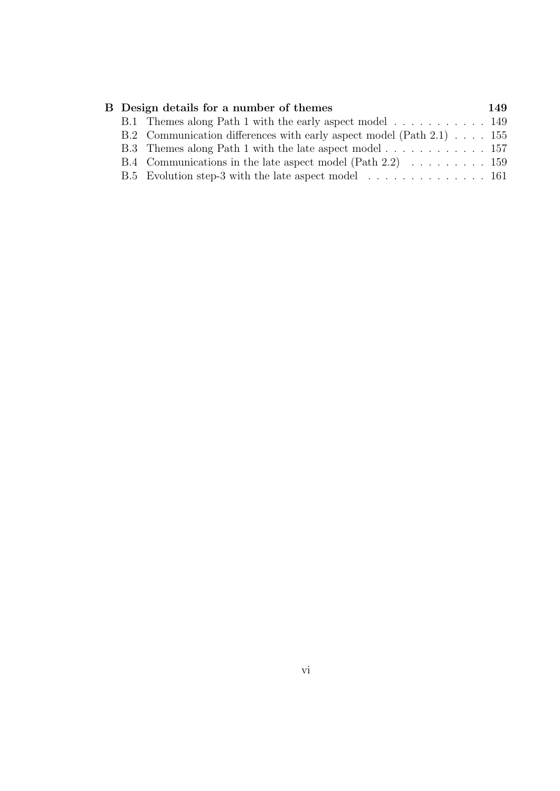| B Design details for a number of themes                                           | 149 |
|-----------------------------------------------------------------------------------|-----|
| B.1 Themes along Path 1 with the early aspect model 149                           |     |
| B.2 Communication differences with early aspect model (Path 2.1) 155              |     |
|                                                                                   |     |
| B.4 Communications in the late aspect model (Path 2.2) $\ldots \ldots \ldots 159$ |     |
| B.5 Evolution step-3 with the late aspect model  161                              |     |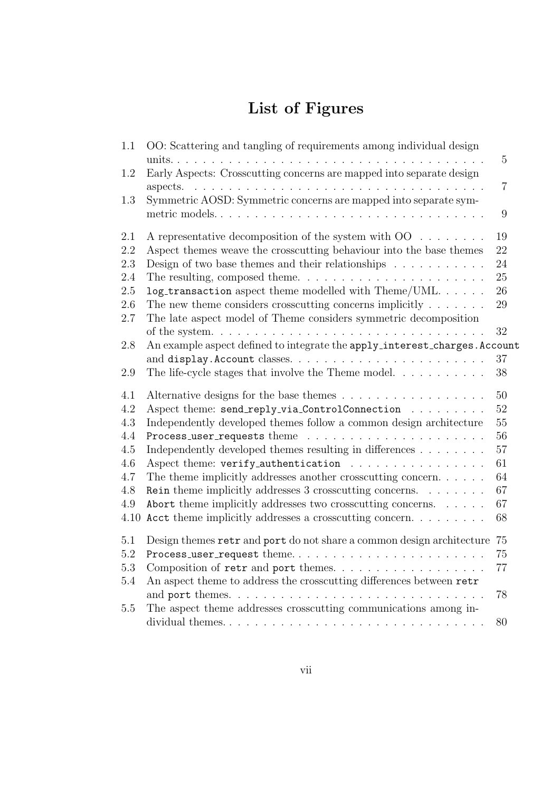## List of Figures

| 1.1     | OO: Scattering and tangling of requirements among individual design<br>units.<br>. | 5              |
|---------|------------------------------------------------------------------------------------|----------------|
| 1.2     | Early Aspects: Crosscutting concerns are mapped into separate design<br>$\cdots$   | $\overline{7}$ |
| 1.3     | Symmetric AOSD: Symmetric concerns are mapped into separate sym-                   | 9              |
| 2.1     | A representative decomposition of the system with $OO \dots \dots$                 | 19             |
| 2.2     | Aspect themes weave the crosscutting behaviour into the base themes                | 22             |
| $2.3\,$ | Design of two base themes and their relationships $\ldots \ldots \ldots$           | 24             |
| 2.4     | The resulting, composed theme. $\dots \dots \dots \dots \dots \dots \dots \dots$   | 25             |
| 2.5     | log_transaction aspect theme modelled with Theme/UML                               | 26             |
| 2.6     | The new theme considers crosscutting concerns implicitly $\dots \dots$             | 29             |
| 2.7     | The late aspect model of Theme considers symmetric decomposition                   |                |
|         |                                                                                    | 32             |
| 2.8     | An example aspect defined to integrate the apply_interest_charges. Account         |                |
|         |                                                                                    | 37             |
| $2.9\,$ | The life-cycle stages that involve the Theme model. $\dots \dots \dots$            | 38             |
| 4.1     |                                                                                    | 50             |
| 4.2     | Aspect theme: send_reply_via_ControlConnection                                     | 52             |
| 4.3     | Independently developed themes follow a common design architecture                 | 55             |
| 4.4     |                                                                                    | 56             |
| 4.5     | Independently developed themes resulting in differences                            | 57             |
| 4.6     | Aspect theme: verify_authentication                                                | 61             |
| 4.7     | The theme implicitly addresses another crosscutting concern                        | 64             |
| 4.8     | Rein theme implicitly addresses 3 crosscutting concerns. $\dots \dots$             | 67             |
| 4.9     | Abort theme implicitly addresses two crosscutting concerns.                        | 67             |
| 4.10    | Acct theme implicitly addresses a crosscutting concern                             | 68             |
| $5.1\,$ | Design themes retr and port do not share a common design architecture              | 75             |
| 5.2     | Process_user_request theme                                                         | 75             |
| $5.3\,$ | Composition of retr and port themes.                                               | 77             |
| $5.4\,$ | An aspect theme to address the crosscutting differences between retr               |                |
|         |                                                                                    | 78             |
| 5.5     | The aspect theme addresses crosscutting communications among in-                   |                |
|         |                                                                                    | 80             |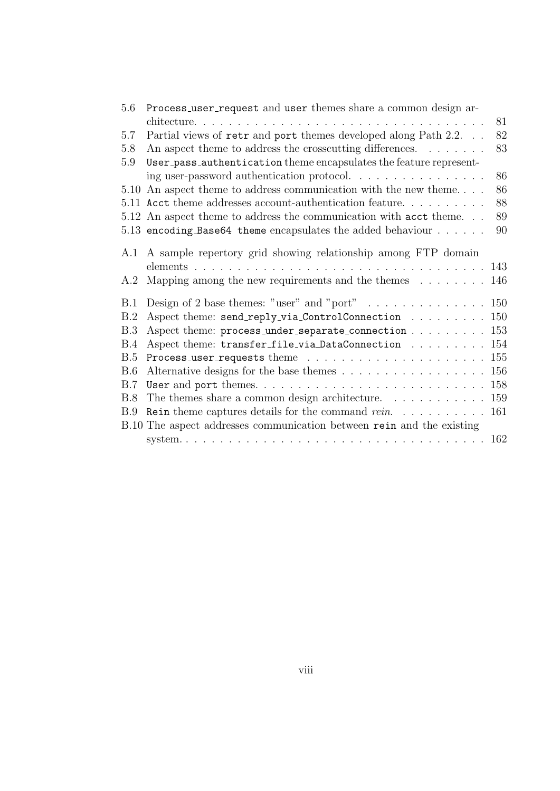| 5.6 | Process_user_request and user themes share a common design ar-                       |  |
|-----|--------------------------------------------------------------------------------------|--|
|     | 81                                                                                   |  |
| 5.7 | 82<br>Partial views of retr and port themes developed along Path 2.2.                |  |
| 5.8 | 83<br>An aspect theme to address the crosscutting differences. $\dots \dots$         |  |
| 5.9 | User_pass_authentication theme encapsulates the feature represent-                   |  |
|     | 86<br>ing user-password authentication protocol.                                     |  |
|     | 86<br>5.10 An aspect theme to address communication with the new theme               |  |
|     | 88<br>5.11 Acct theme addresses account-authentication feature                       |  |
|     | 89<br>5.12 An aspect theme to address the communication with acct theme              |  |
|     | 90<br>5.13 encoding Base 64 theme encapsulates the added behaviour $\ldots \ldots$   |  |
|     |                                                                                      |  |
| A.1 | A sample repertory grid showing relationship among FTP domain                        |  |
|     |                                                                                      |  |
|     | A.2 Mapping among the new requirements and the themes<br>146                         |  |
| B.1 | Design of 2 base themes: "user" and "port" 150                                       |  |
| B.2 | Aspect theme: send_reply_via_ControlConnection 150                                   |  |
| B.3 |                                                                                      |  |
| B.4 | Aspect theme: transfer_file_via_DataConnection<br>154                                |  |
| B.5 | 155                                                                                  |  |
| B.6 | Alternative designs for the base themes $\dots \dots \dots \dots \dots \dots$<br>156 |  |
| B.7 | 158                                                                                  |  |
| B.8 | 159<br>The themes share a common design architecture. $\ldots \ldots \ldots \ldots$  |  |
| B.9 | Rein theme captures details for the command $rein.$ 161                              |  |
|     | B.10 The aspect addresses communication between rein and the existing                |  |
|     |                                                                                      |  |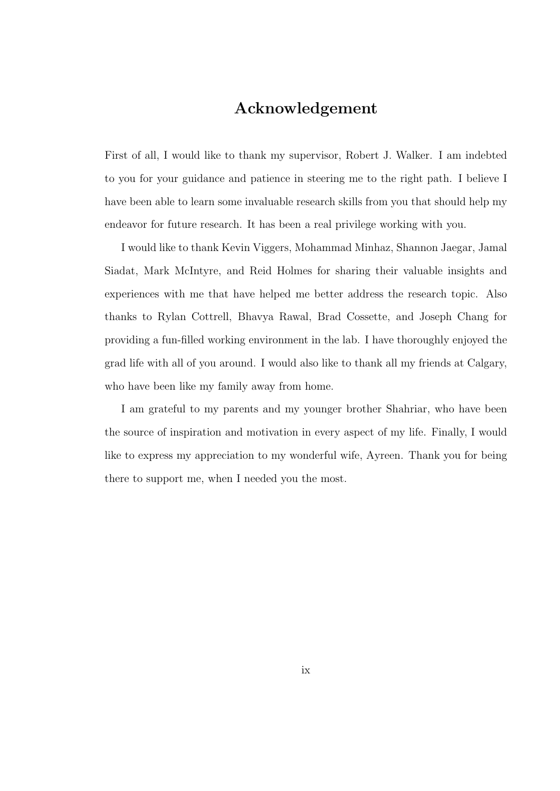### Acknowledgement

First of all, I would like to thank my supervisor, Robert J. Walker. I am indebted to you for your guidance and patience in steering me to the right path. I believe I have been able to learn some invaluable research skills from you that should help my endeavor for future research. It has been a real privilege working with you.

I would like to thank Kevin Viggers, Mohammad Minhaz, Shannon Jaegar, Jamal Siadat, Mark McIntyre, and Reid Holmes for sharing their valuable insights and experiences with me that have helped me better address the research topic. Also thanks to Rylan Cottrell, Bhavya Rawal, Brad Cossette, and Joseph Chang for providing a fun-filled working environment in the lab. I have thoroughly enjoyed the grad life with all of you around. I would also like to thank all my friends at Calgary, who have been like my family away from home.

I am grateful to my parents and my younger brother Shahriar, who have been the source of inspiration and motivation in every aspect of my life. Finally, I would like to express my appreciation to my wonderful wife, Ayreen. Thank you for being there to support me, when I needed you the most.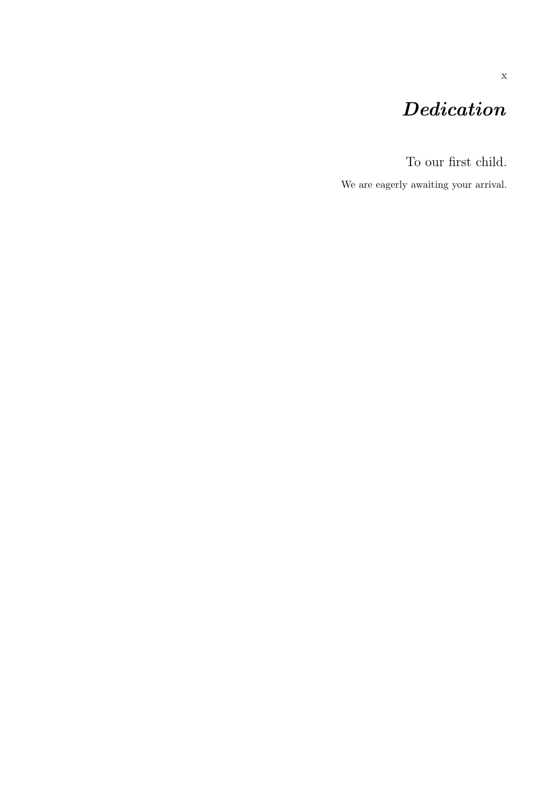## Dedication

To our first child.

We are eagerly awaiting your arrival.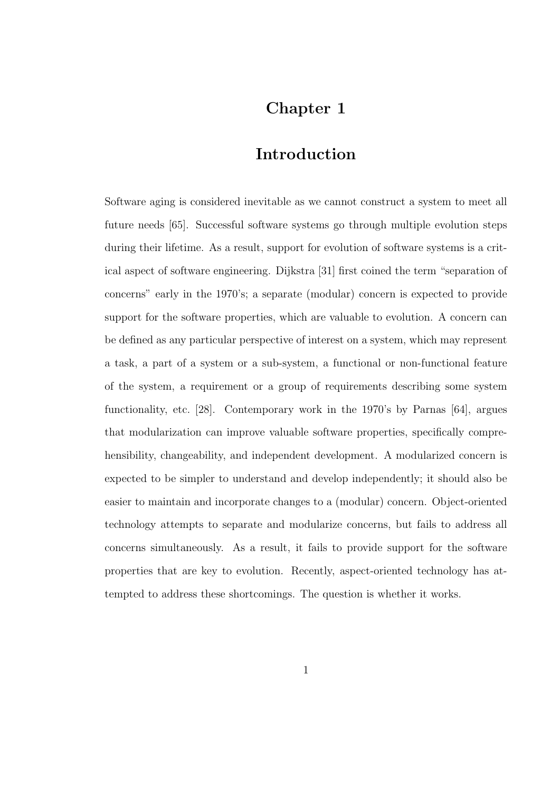## Chapter 1

### Introduction

Software aging is considered inevitable as we cannot construct a system to meet all future needs [65]. Successful software systems go through multiple evolution steps during their lifetime. As a result, support for evolution of software systems is a critical aspect of software engineering. Dijkstra [31] first coined the term "separation of concerns" early in the 1970's; a separate (modular) concern is expected to provide support for the software properties, which are valuable to evolution. A concern can be defined as any particular perspective of interest on a system, which may represent a task, a part of a system or a sub-system, a functional or non-functional feature of the system, a requirement or a group of requirements describing some system functionality, etc. [28]. Contemporary work in the 1970's by Parnas [64], argues that modularization can improve valuable software properties, specifically comprehensibility, changeability, and independent development. A modularized concern is expected to be simpler to understand and develop independently; it should also be easier to maintain and incorporate changes to a (modular) concern. Object-oriented technology attempts to separate and modularize concerns, but fails to address all concerns simultaneously. As a result, it fails to provide support for the software properties that are key to evolution. Recently, aspect-oriented technology has attempted to address these shortcomings. The question is whether it works.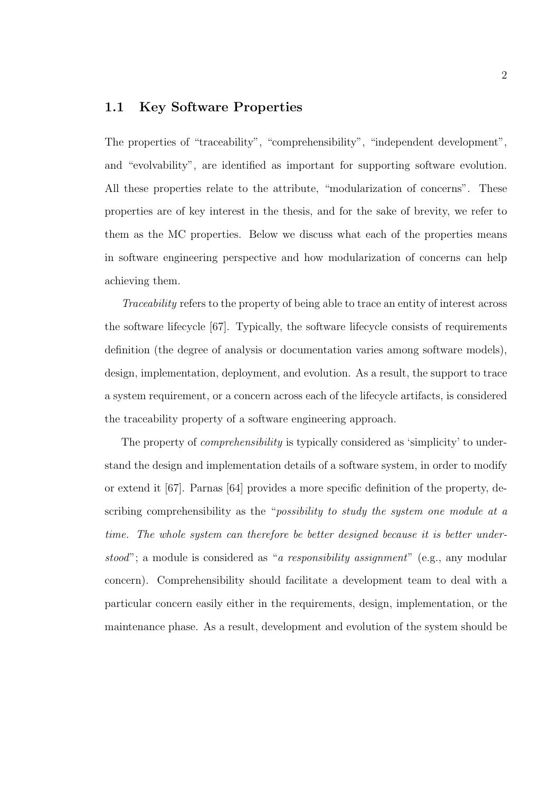#### 1.1 Key Software Properties

The properties of "traceability", "comprehensibility", "independent development", and "evolvability", are identified as important for supporting software evolution. All these properties relate to the attribute, "modularization of concerns". These properties are of key interest in the thesis, and for the sake of brevity, we refer to them as the MC properties. Below we discuss what each of the properties means in software engineering perspective and how modularization of concerns can help achieving them.

Traceability refers to the property of being able to trace an entity of interest across the software lifecycle [67]. Typically, the software lifecycle consists of requirements definition (the degree of analysis or documentation varies among software models), design, implementation, deployment, and evolution. As a result, the support to trace a system requirement, or a concern across each of the lifecycle artifacts, is considered the traceability property of a software engineering approach.

The property of *comprehensibility* is typically considered as 'simplicity' to understand the design and implementation details of a software system, in order to modify or extend it [67]. Parnas [64] provides a more specific definition of the property, describing comprehensibility as the "*possibility to study the system one module at a* time. The whole system can therefore be better designed because it is better understood"; a module is considered as "a responsibility assignment" (e.g., any modular concern). Comprehensibility should facilitate a development team to deal with a particular concern easily either in the requirements, design, implementation, or the maintenance phase. As a result, development and evolution of the system should be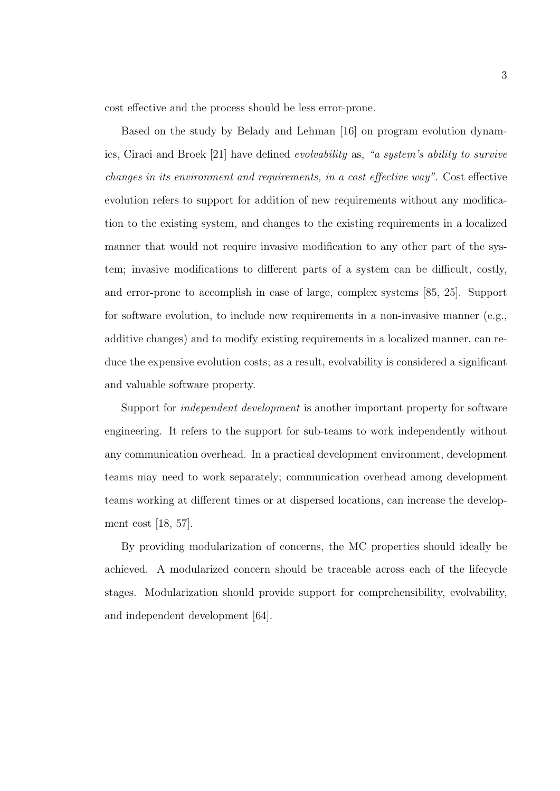cost effective and the process should be less error-prone.

Based on the study by Belady and Lehman [16] on program evolution dynamics, Ciraci and Broek [21] have defined evolvability as, "a system's ability to survive changes in its environment and requirements, in a cost effective way". Cost effective evolution refers to support for addition of new requirements without any modification to the existing system, and changes to the existing requirements in a localized manner that would not require invasive modification to any other part of the system; invasive modifications to different parts of a system can be difficult, costly, and error-prone to accomplish in case of large, complex systems [85, 25]. Support for software evolution, to include new requirements in a non-invasive manner (e.g., additive changes) and to modify existing requirements in a localized manner, can reduce the expensive evolution costs; as a result, evolvability is considered a significant and valuable software property.

Support for independent development is another important property for software engineering. It refers to the support for sub-teams to work independently without any communication overhead. In a practical development environment, development teams may need to work separately; communication overhead among development teams working at different times or at dispersed locations, can increase the development cost [18, 57].

By providing modularization of concerns, the MC properties should ideally be achieved. A modularized concern should be traceable across each of the lifecycle stages. Modularization should provide support for comprehensibility, evolvability, and independent development [64].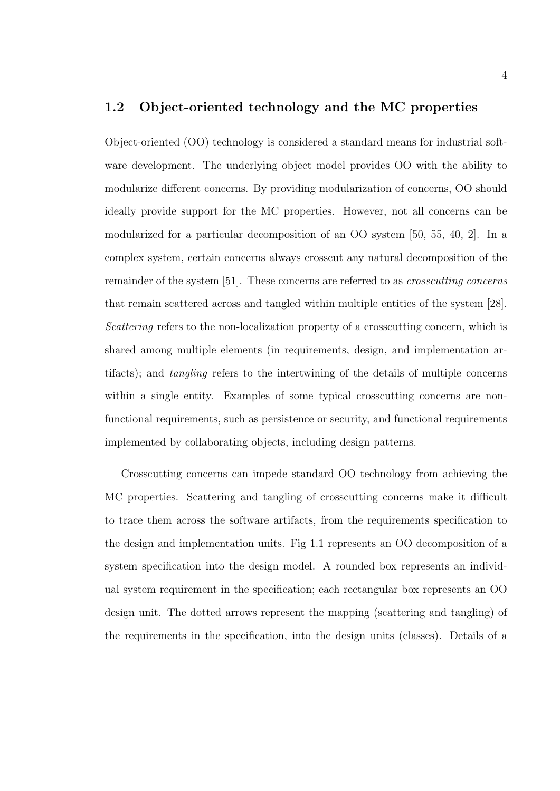#### 1.2 Object-oriented technology and the MC properties

Object-oriented (OO) technology is considered a standard means for industrial software development. The underlying object model provides OO with the ability to modularize different concerns. By providing modularization of concerns, OO should ideally provide support for the MC properties. However, not all concerns can be modularized for a particular decomposition of an OO system [50, 55, 40, 2]. In a complex system, certain concerns always crosscut any natural decomposition of the remainder of the system [51]. These concerns are referred to as crosscutting concerns that remain scattered across and tangled within multiple entities of the system [28]. Scattering refers to the non-localization property of a crosscutting concern, which is shared among multiple elements (in requirements, design, and implementation artifacts); and tangling refers to the intertwining of the details of multiple concerns within a single entity. Examples of some typical crosscutting concerns are nonfunctional requirements, such as persistence or security, and functional requirements implemented by collaborating objects, including design patterns.

Crosscutting concerns can impede standard OO technology from achieving the MC properties. Scattering and tangling of crosscutting concerns make it difficult to trace them across the software artifacts, from the requirements specification to the design and implementation units. Fig 1.1 represents an OO decomposition of a system specification into the design model. A rounded box represents an individual system requirement in the specification; each rectangular box represents an OO design unit. The dotted arrows represent the mapping (scattering and tangling) of the requirements in the specification, into the design units (classes). Details of a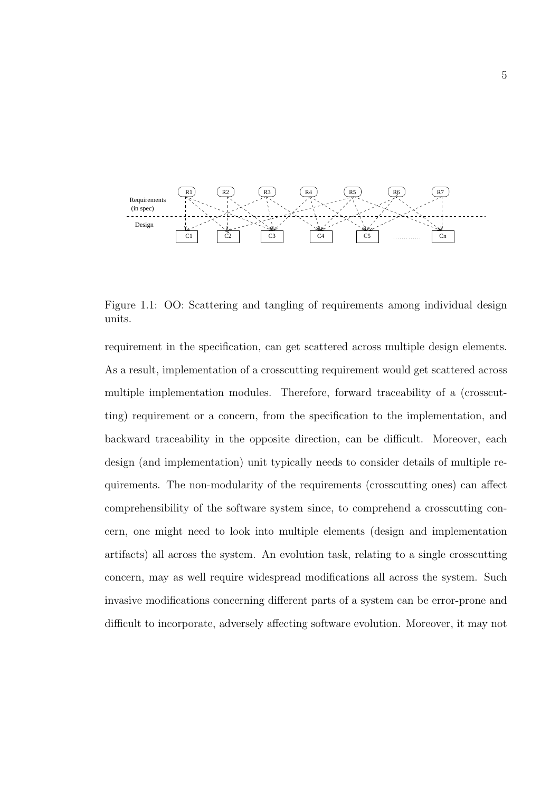

Figure 1.1: OO: Scattering and tangling of requirements among individual design units.

requirement in the specification, can get scattered across multiple design elements. As a result, implementation of a crosscutting requirement would get scattered across multiple implementation modules. Therefore, forward traceability of a (crosscutting) requirement or a concern, from the specification to the implementation, and backward traceability in the opposite direction, can be difficult. Moreover, each design (and implementation) unit typically needs to consider details of multiple requirements. The non-modularity of the requirements (crosscutting ones) can affect comprehensibility of the software system since, to comprehend a crosscutting concern, one might need to look into multiple elements (design and implementation artifacts) all across the system. An evolution task, relating to a single crosscutting concern, may as well require widespread modifications all across the system. Such invasive modifications concerning different parts of a system can be error-prone and difficult to incorporate, adversely affecting software evolution. Moreover, it may not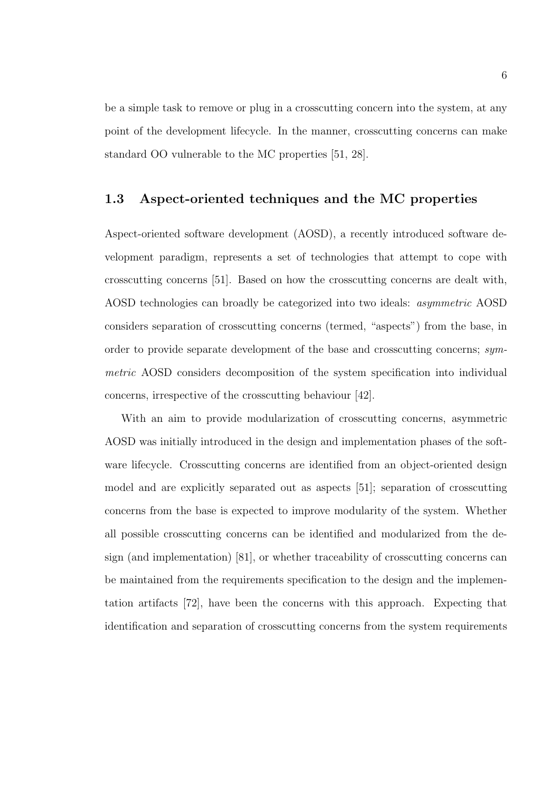be a simple task to remove or plug in a crosscutting concern into the system, at any point of the development lifecycle. In the manner, crosscutting concerns can make standard OO vulnerable to the MC properties [51, 28].

#### 1.3 Aspect-oriented techniques and the MC properties

Aspect-oriented software development (AOSD), a recently introduced software development paradigm, represents a set of technologies that attempt to cope with crosscutting concerns [51]. Based on how the crosscutting concerns are dealt with, AOSD technologies can broadly be categorized into two ideals: asymmetric AOSD considers separation of crosscutting concerns (termed, "aspects") from the base, in order to provide separate development of the base and crosscutting concerns; symmetric AOSD considers decomposition of the system specification into individual concerns, irrespective of the crosscutting behaviour [42].

With an aim to provide modularization of crosscutting concerns, asymmetric AOSD was initially introduced in the design and implementation phases of the software lifecycle. Crosscutting concerns are identified from an object-oriented design model and are explicitly separated out as aspects [51]; separation of crosscutting concerns from the base is expected to improve modularity of the system. Whether all possible crosscutting concerns can be identified and modularized from the design (and implementation) [81], or whether traceability of crosscutting concerns can be maintained from the requirements specification to the design and the implementation artifacts [72], have been the concerns with this approach. Expecting that identification and separation of crosscutting concerns from the system requirements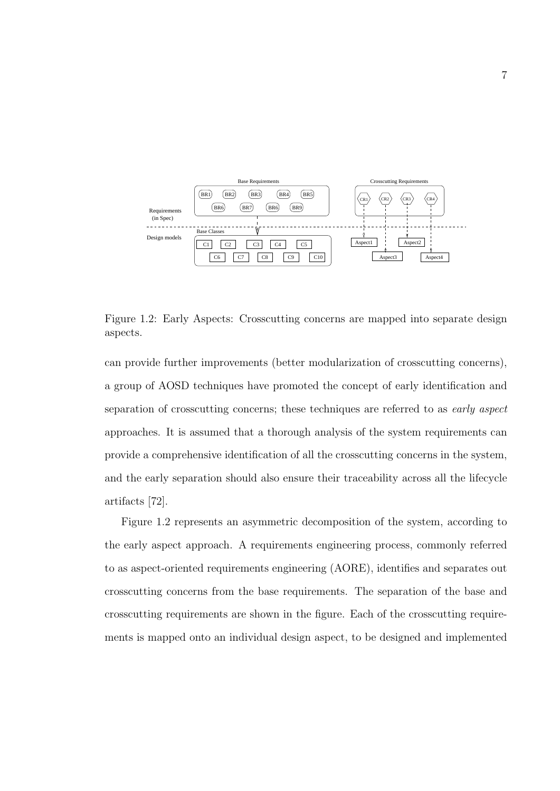

Figure 1.2: Early Aspects: Crosscutting concerns are mapped into separate design aspects.

can provide further improvements (better modularization of crosscutting concerns), a group of AOSD techniques have promoted the concept of early identification and separation of crosscutting concerns; these techniques are referred to as *early aspect* approaches. It is assumed that a thorough analysis of the system requirements can provide a comprehensive identification of all the crosscutting concerns in the system, and the early separation should also ensure their traceability across all the lifecycle artifacts [72].

Figure 1.2 represents an asymmetric decomposition of the system, according to the early aspect approach. A requirements engineering process, commonly referred to as aspect-oriented requirements engineering (AORE), identifies and separates out crosscutting concerns from the base requirements. The separation of the base and crosscutting requirements are shown in the figure. Each of the crosscutting requirements is mapped onto an individual design aspect, to be designed and implemented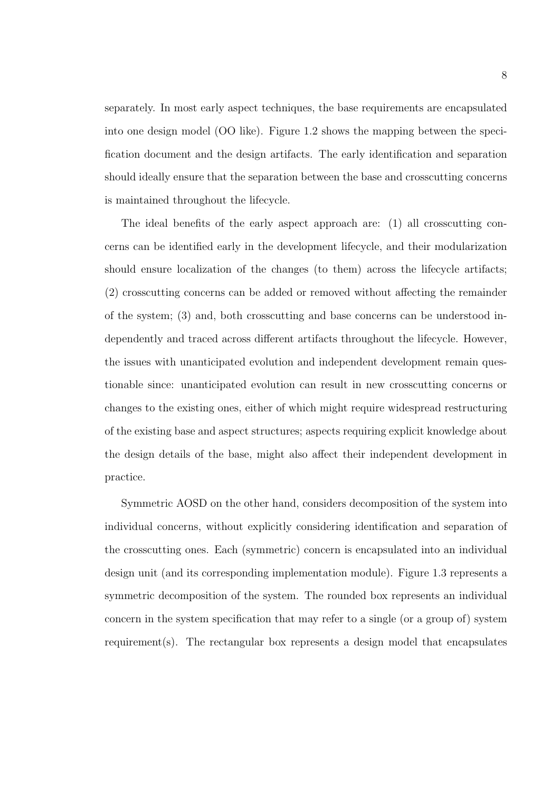separately. In most early aspect techniques, the base requirements are encapsulated into one design model (OO like). Figure 1.2 shows the mapping between the specification document and the design artifacts. The early identification and separation should ideally ensure that the separation between the base and crosscutting concerns is maintained throughout the lifecycle.

The ideal benefits of the early aspect approach are: (1) all crosscutting concerns can be identified early in the development lifecycle, and their modularization should ensure localization of the changes (to them) across the lifecycle artifacts; (2) crosscutting concerns can be added or removed without affecting the remainder of the system; (3) and, both crosscutting and base concerns can be understood independently and traced across different artifacts throughout the lifecycle. However, the issues with unanticipated evolution and independent development remain questionable since: unanticipated evolution can result in new crosscutting concerns or changes to the existing ones, either of which might require widespread restructuring of the existing base and aspect structures; aspects requiring explicit knowledge about the design details of the base, might also affect their independent development in practice.

Symmetric AOSD on the other hand, considers decomposition of the system into individual concerns, without explicitly considering identification and separation of the crosscutting ones. Each (symmetric) concern is encapsulated into an individual design unit (and its corresponding implementation module). Figure 1.3 represents a symmetric decomposition of the system. The rounded box represents an individual concern in the system specification that may refer to a single (or a group of) system requirement(s). The rectangular box represents a design model that encapsulates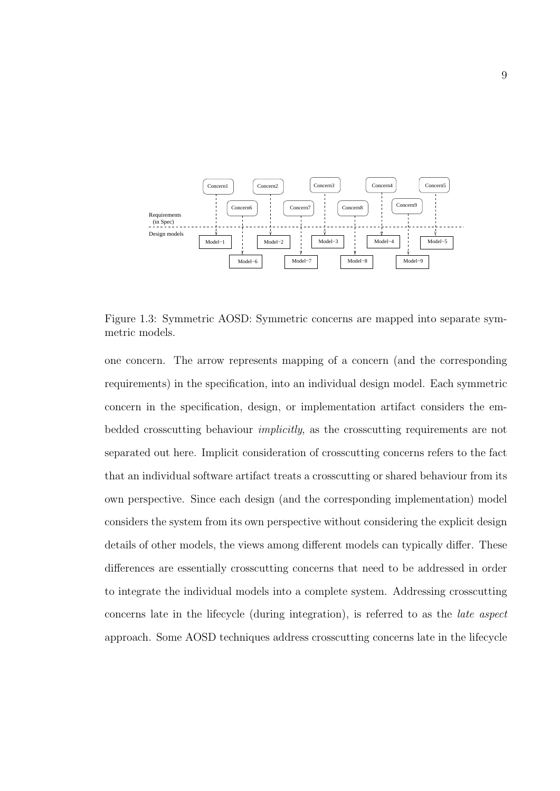

Figure 1.3: Symmetric AOSD: Symmetric concerns are mapped into separate symmetric models.

one concern. The arrow represents mapping of a concern (and the corresponding requirements) in the specification, into an individual design model. Each symmetric concern in the specification, design, or implementation artifact considers the embedded crosscutting behaviour implicitly, as the crosscutting requirements are not separated out here. Implicit consideration of crosscutting concerns refers to the fact that an individual software artifact treats a crosscutting or shared behaviour from its own perspective. Since each design (and the corresponding implementation) model considers the system from its own perspective without considering the explicit design details of other models, the views among different models can typically differ. These differences are essentially crosscutting concerns that need to be addressed in order to integrate the individual models into a complete system. Addressing crosscutting concerns late in the lifecycle (during integration), is referred to as the late aspect approach. Some AOSD techniques address crosscutting concerns late in the lifecycle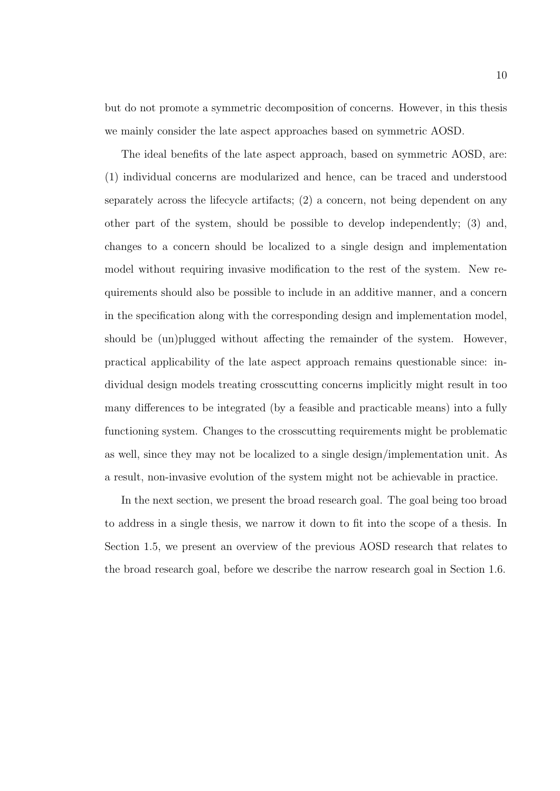but do not promote a symmetric decomposition of concerns. However, in this thesis we mainly consider the late aspect approaches based on symmetric AOSD.

The ideal benefits of the late aspect approach, based on symmetric AOSD, are: (1) individual concerns are modularized and hence, can be traced and understood separately across the lifecycle artifacts; (2) a concern, not being dependent on any other part of the system, should be possible to develop independently; (3) and, changes to a concern should be localized to a single design and implementation model without requiring invasive modification to the rest of the system. New requirements should also be possible to include in an additive manner, and a concern in the specification along with the corresponding design and implementation model, should be (un)plugged without affecting the remainder of the system. However, practical applicability of the late aspect approach remains questionable since: individual design models treating crosscutting concerns implicitly might result in too many differences to be integrated (by a feasible and practicable means) into a fully functioning system. Changes to the crosscutting requirements might be problematic as well, since they may not be localized to a single design/implementation unit. As a result, non-invasive evolution of the system might not be achievable in practice.

In the next section, we present the broad research goal. The goal being too broad to address in a single thesis, we narrow it down to fit into the scope of a thesis. In Section 1.5, we present an overview of the previous AOSD research that relates to the broad research goal, before we describe the narrow research goal in Section 1.6.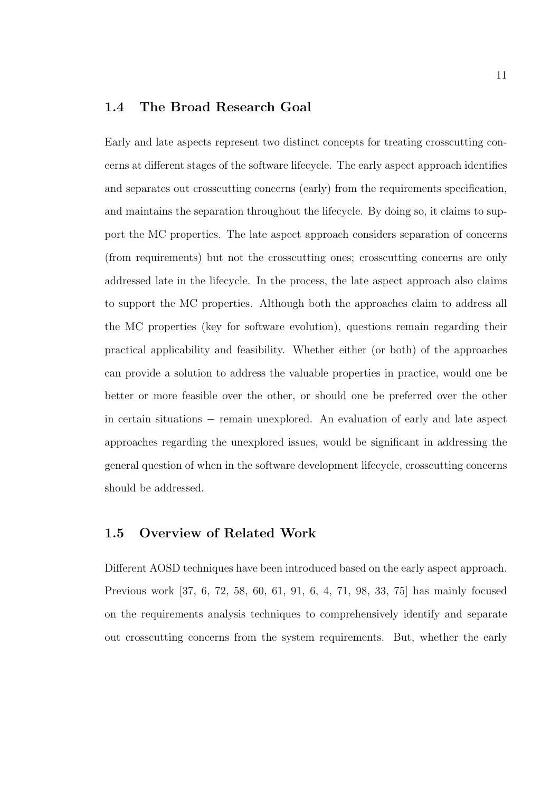#### 1.4 The Broad Research Goal

Early and late aspects represent two distinct concepts for treating crosscutting concerns at different stages of the software lifecycle. The early aspect approach identifies and separates out crosscutting concerns (early) from the requirements specification, and maintains the separation throughout the lifecycle. By doing so, it claims to support the MC properties. The late aspect approach considers separation of concerns (from requirements) but not the crosscutting ones; crosscutting concerns are only addressed late in the lifecycle. In the process, the late aspect approach also claims to support the MC properties. Although both the approaches claim to address all the MC properties (key for software evolution), questions remain regarding their practical applicability and feasibility. Whether either (or both) of the approaches can provide a solution to address the valuable properties in practice, would one be better or more feasible over the other, or should one be preferred over the other in certain situations − remain unexplored. An evaluation of early and late aspect approaches regarding the unexplored issues, would be significant in addressing the general question of when in the software development lifecycle, crosscutting concerns should be addressed.

#### 1.5 Overview of Related Work

Different AOSD techniques have been introduced based on the early aspect approach. Previous work [37, 6, 72, 58, 60, 61, 91, 6, 4, 71, 98, 33, 75] has mainly focused on the requirements analysis techniques to comprehensively identify and separate out crosscutting concerns from the system requirements. But, whether the early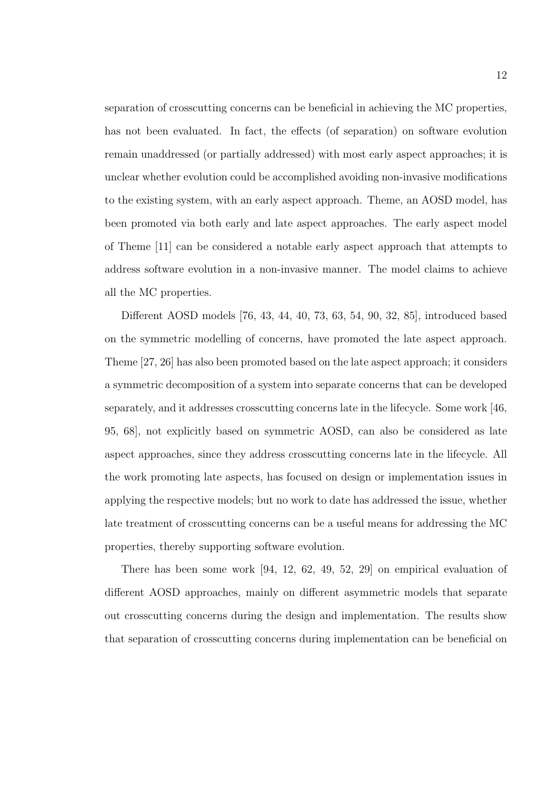separation of crosscutting concerns can be beneficial in achieving the MC properties, has not been evaluated. In fact, the effects (of separation) on software evolution remain unaddressed (or partially addressed) with most early aspect approaches; it is unclear whether evolution could be accomplished avoiding non-invasive modifications to the existing system, with an early aspect approach. Theme, an AOSD model, has been promoted via both early and late aspect approaches. The early aspect model of Theme [11] can be considered a notable early aspect approach that attempts to address software evolution in a non-invasive manner. The model claims to achieve all the MC properties.

Different AOSD models [76, 43, 44, 40, 73, 63, 54, 90, 32, 85], introduced based on the symmetric modelling of concerns, have promoted the late aspect approach. Theme [27, 26] has also been promoted based on the late aspect approach; it considers a symmetric decomposition of a system into separate concerns that can be developed separately, and it addresses crosscutting concerns late in the lifecycle. Some work [46, 95, 68], not explicitly based on symmetric AOSD, can also be considered as late aspect approaches, since they address crosscutting concerns late in the lifecycle. All the work promoting late aspects, has focused on design or implementation issues in applying the respective models; but no work to date has addressed the issue, whether late treatment of crosscutting concerns can be a useful means for addressing the MC properties, thereby supporting software evolution.

There has been some work [94, 12, 62, 49, 52, 29] on empirical evaluation of different AOSD approaches, mainly on different asymmetric models that separate out crosscutting concerns during the design and implementation. The results show that separation of crosscutting concerns during implementation can be beneficial on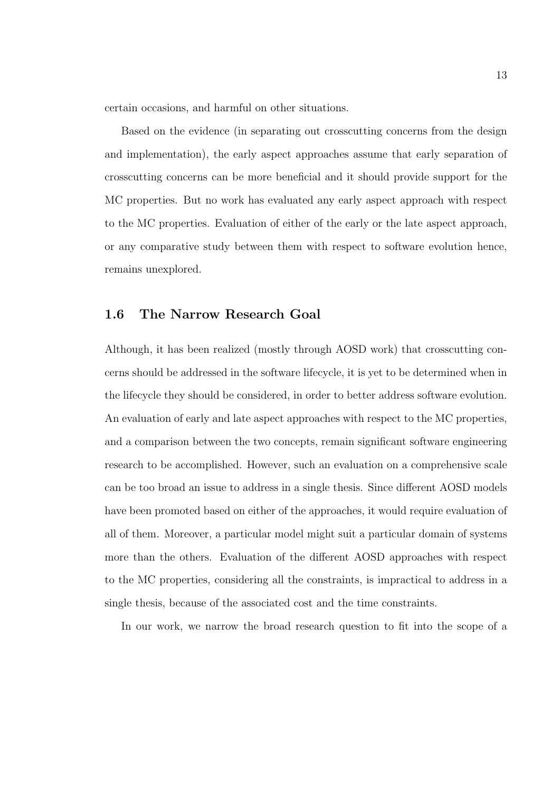certain occasions, and harmful on other situations.

Based on the evidence (in separating out crosscutting concerns from the design and implementation), the early aspect approaches assume that early separation of crosscutting concerns can be more beneficial and it should provide support for the MC properties. But no work has evaluated any early aspect approach with respect to the MC properties. Evaluation of either of the early or the late aspect approach, or any comparative study between them with respect to software evolution hence, remains unexplored.

#### 1.6 The Narrow Research Goal

Although, it has been realized (mostly through AOSD work) that crosscutting concerns should be addressed in the software lifecycle, it is yet to be determined when in the lifecycle they should be considered, in order to better address software evolution. An evaluation of early and late aspect approaches with respect to the MC properties, and a comparison between the two concepts, remain significant software engineering research to be accomplished. However, such an evaluation on a comprehensive scale can be too broad an issue to address in a single thesis. Since different AOSD models have been promoted based on either of the approaches, it would require evaluation of all of them. Moreover, a particular model might suit a particular domain of systems more than the others. Evaluation of the different AOSD approaches with respect to the MC properties, considering all the constraints, is impractical to address in a single thesis, because of the associated cost and the time constraints.

In our work, we narrow the broad research question to fit into the scope of a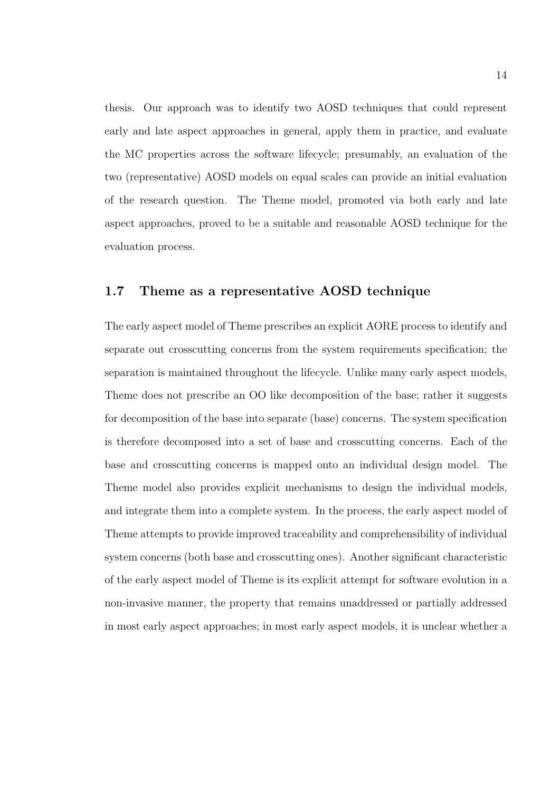thesis. Our approach was to identify two AOSD techniques that could represent early and late aspect approaches in general, apply them in practice, and evaluate the MC properties across the software lifecycle; presumably, an evaluation of the two (representative) AOSD models on equal scales can provide an initial evaluation of the research question. The Theme model, promoted via both early and late aspect approaches, proved to be a suitable and reasonable AOSD technique for the evaluation process.

#### 1.7 Theme as a representative AOSD technique

The early aspect model of Theme prescribes an explicit AORE process to identify and separate out crosscutting concerns from the system requirements specification; the separation is maintained throughout the lifecycle. Unlike many early aspect models, Theme does not prescribe an OO like decomposition of the base; rather it suggests for decomposition of the base into separate (base) concerns. The system specification is therefore decomposed into a set of base and crosscutting concerns. Each of the base and crosscutting concerns is mapped onto an individual design model. The Theme model also provides explicit mechanisms to design the individual models, and integrate them into a complete system. In the process, the early aspect model of Theme attempts to provide improved traceability and comprehensibility of individual system concerns (both base and crosscutting ones). Another significant characteristic of the early aspect model of Theme is its explicit attempt for software evolution in a non-invasive manner, the property that remains unaddressed or partially addressed in most early aspect approaches; in most early aspect models, it is unclear whether a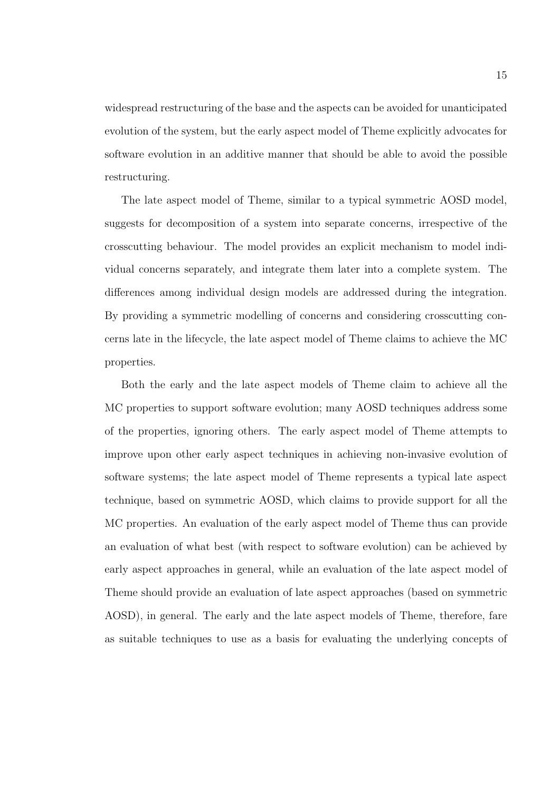widespread restructuring of the base and the aspects can be avoided for unanticipated evolution of the system, but the early aspect model of Theme explicitly advocates for software evolution in an additive manner that should be able to avoid the possible restructuring.

The late aspect model of Theme, similar to a typical symmetric AOSD model, suggests for decomposition of a system into separate concerns, irrespective of the crosscutting behaviour. The model provides an explicit mechanism to model individual concerns separately, and integrate them later into a complete system. The differences among individual design models are addressed during the integration. By providing a symmetric modelling of concerns and considering crosscutting concerns late in the lifecycle, the late aspect model of Theme claims to achieve the MC properties.

Both the early and the late aspect models of Theme claim to achieve all the MC properties to support software evolution; many AOSD techniques address some of the properties, ignoring others. The early aspect model of Theme attempts to improve upon other early aspect techniques in achieving non-invasive evolution of software systems; the late aspect model of Theme represents a typical late aspect technique, based on symmetric AOSD, which claims to provide support for all the MC properties. An evaluation of the early aspect model of Theme thus can provide an evaluation of what best (with respect to software evolution) can be achieved by early aspect approaches in general, while an evaluation of the late aspect model of Theme should provide an evaluation of late aspect approaches (based on symmetric AOSD), in general. The early and the late aspect models of Theme, therefore, fare as suitable techniques to use as a basis for evaluating the underlying concepts of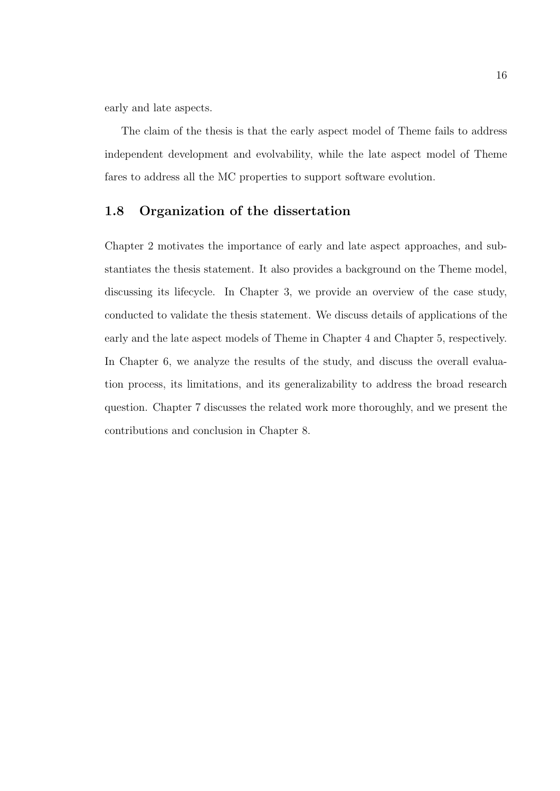early and late aspects.

The claim of the thesis is that the early aspect model of Theme fails to address independent development and evolvability, while the late aspect model of Theme fares to address all the MC properties to support software evolution.

#### 1.8 Organization of the dissertation

Chapter 2 motivates the importance of early and late aspect approaches, and substantiates the thesis statement. It also provides a background on the Theme model, discussing its lifecycle. In Chapter 3, we provide an overview of the case study, conducted to validate the thesis statement. We discuss details of applications of the early and the late aspect models of Theme in Chapter 4 and Chapter 5, respectively. In Chapter 6, we analyze the results of the study, and discuss the overall evaluation process, its limitations, and its generalizability to address the broad research question. Chapter 7 discusses the related work more thoroughly, and we present the contributions and conclusion in Chapter 8.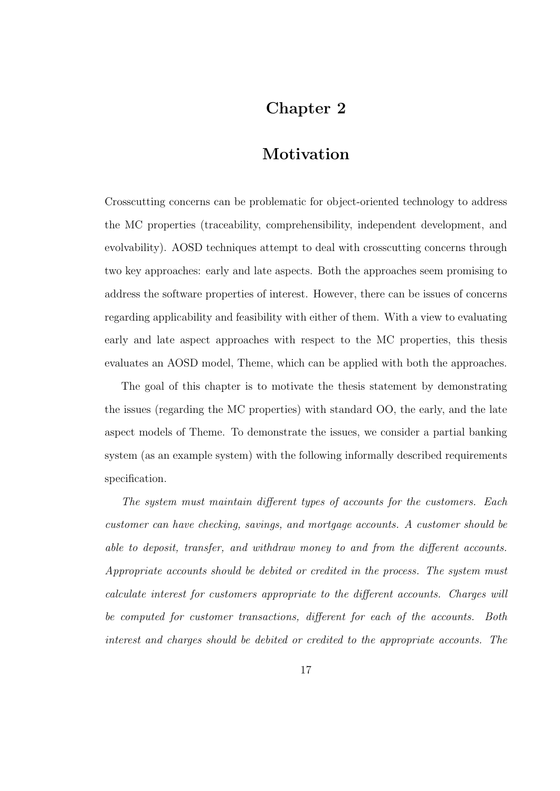## Chapter 2

### Motivation

Crosscutting concerns can be problematic for object-oriented technology to address the MC properties (traceability, comprehensibility, independent development, and evolvability). AOSD techniques attempt to deal with crosscutting concerns through two key approaches: early and late aspects. Both the approaches seem promising to address the software properties of interest. However, there can be issues of concerns regarding applicability and feasibility with either of them. With a view to evaluating early and late aspect approaches with respect to the MC properties, this thesis evaluates an AOSD model, Theme, which can be applied with both the approaches.

The goal of this chapter is to motivate the thesis statement by demonstrating the issues (regarding the MC properties) with standard OO, the early, and the late aspect models of Theme. To demonstrate the issues, we consider a partial banking system (as an example system) with the following informally described requirements specification.

The system must maintain different types of accounts for the customers. Each customer can have checking, savings, and mortgage accounts. A customer should be able to deposit, transfer, and withdraw money to and from the different accounts. Appropriate accounts should be debited or credited in the process. The system must calculate interest for customers appropriate to the different accounts. Charges will be computed for customer transactions, different for each of the accounts. Both interest and charges should be debited or credited to the appropriate accounts. The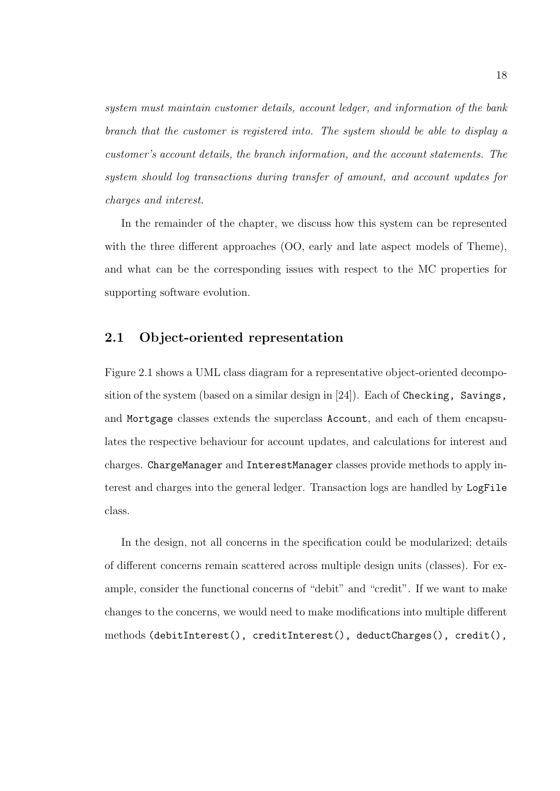system must maintain customer details, account ledger, and information of the bank branch that the customer is registered into. The system should be able to display a customer's account details, the branch information, and the account statements. The system should log transactions during transfer of amount, and account updates for charges and interest.

In the remainder of the chapter, we discuss how this system can be represented with the three different approaches (OO, early and late aspect models of Theme), and what can be the corresponding issues with respect to the MC properties for supporting software evolution.

#### 2.1 Object-oriented representation

Figure 2.1 shows a UML class diagram for a representative object-oriented decomposition of the system (based on a similar design in [24]). Each of Checking, Savings, and Mortgage classes extends the superclass Account, and each of them encapsulates the respective behaviour for account updates, and calculations for interest and charges. ChargeManager and InterestManager classes provide methods to apply interest and charges into the general ledger. Transaction logs are handled by LogFile class.

In the design, not all concerns in the specification could be modularized; details of different concerns remain scattered across multiple design units (classes). For example, consider the functional concerns of "debit" and "credit". If we want to make changes to the concerns, we would need to make modifications into multiple different methods (debitInterest(), creditInterest(), deductCharges(), credit(),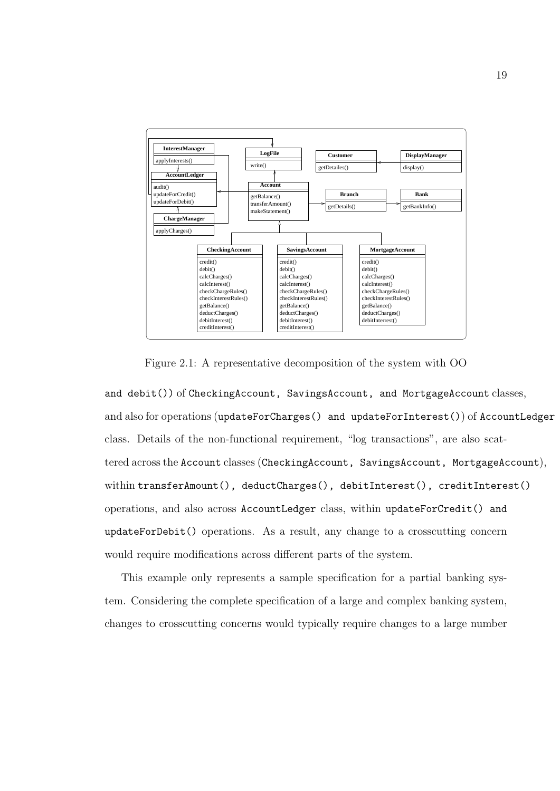

Figure 2.1: A representative decomposition of the system with OO

and debit()) of CheckingAccount, SavingsAccount, and MortgageAccount classes, and also for operations (updateForCharges() and updateForInterest()) of AccountLedger class. Details of the non-functional requirement, "log transactions", are also scattered across the Account classes (CheckingAccount, SavingsAccount, MortgageAccount), within transferAmount(), deductCharges(), debitInterest(), creditInterest() operations, and also across AccountLedger class, within updateForCredit() and updateForDebit() operations. As a result, any change to a crosscutting concern would require modifications across different parts of the system.

This example only represents a sample specification for a partial banking system. Considering the complete specification of a large and complex banking system, changes to crosscutting concerns would typically require changes to a large number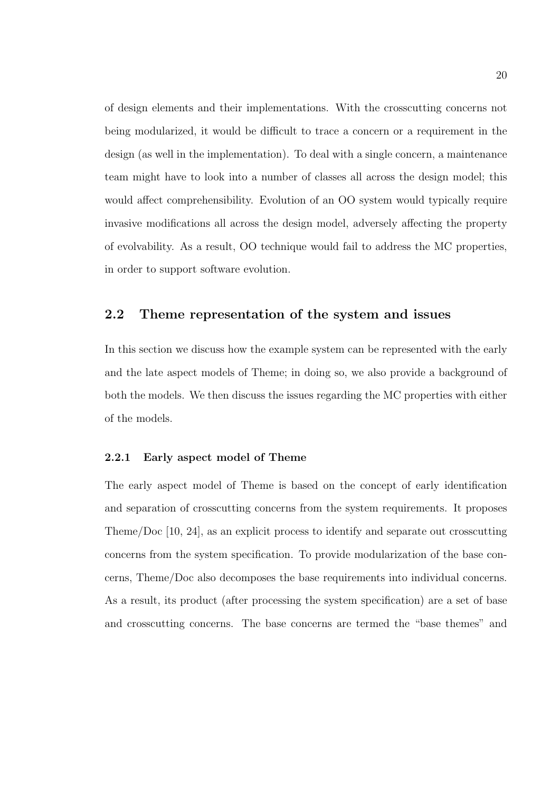of design elements and their implementations. With the crosscutting concerns not being modularized, it would be difficult to trace a concern or a requirement in the design (as well in the implementation). To deal with a single concern, a maintenance team might have to look into a number of classes all across the design model; this would affect comprehensibility. Evolution of an OO system would typically require invasive modifications all across the design model, adversely affecting the property of evolvability. As a result, OO technique would fail to address the MC properties, in order to support software evolution.

#### 2.2 Theme representation of the system and issues

In this section we discuss how the example system can be represented with the early and the late aspect models of Theme; in doing so, we also provide a background of both the models. We then discuss the issues regarding the MC properties with either of the models.

#### 2.2.1 Early aspect model of Theme

The early aspect model of Theme is based on the concept of early identification and separation of crosscutting concerns from the system requirements. It proposes Theme/Doc [10, 24], as an explicit process to identify and separate out crosscutting concerns from the system specification. To provide modularization of the base concerns, Theme/Doc also decomposes the base requirements into individual concerns. As a result, its product (after processing the system specification) are a set of base and crosscutting concerns. The base concerns are termed the "base themes" and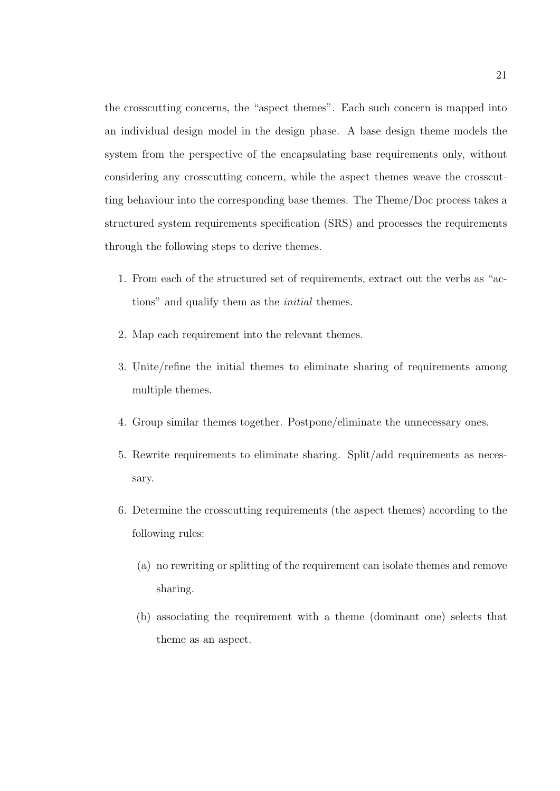the crosscutting concerns, the "aspect themes". Each such concern is mapped into an individual design model in the design phase. A base design theme models the system from the perspective of the encapsulating base requirements only, without considering any crosscutting concern, while the aspect themes weave the crosscutting behaviour into the corresponding base themes. The Theme/Doc process takes a structured system requirements specification (SRS) and processes the requirements through the following steps to derive themes.

- 1. From each of the structured set of requirements, extract out the verbs as "actions" and qualify them as the initial themes.
- 2. Map each requirement into the relevant themes.
- 3. Unite/refine the initial themes to eliminate sharing of requirements among multiple themes.
- 4. Group similar themes together. Postpone/eliminate the unnecessary ones.
- 5. Rewrite requirements to eliminate sharing. Split/add requirements as necessary.
- 6. Determine the crosscutting requirements (the aspect themes) according to the following rules:
	- (a) no rewriting or splitting of the requirement can isolate themes and remove sharing.
	- (b) associating the requirement with a theme (dominant one) selects that theme as an aspect.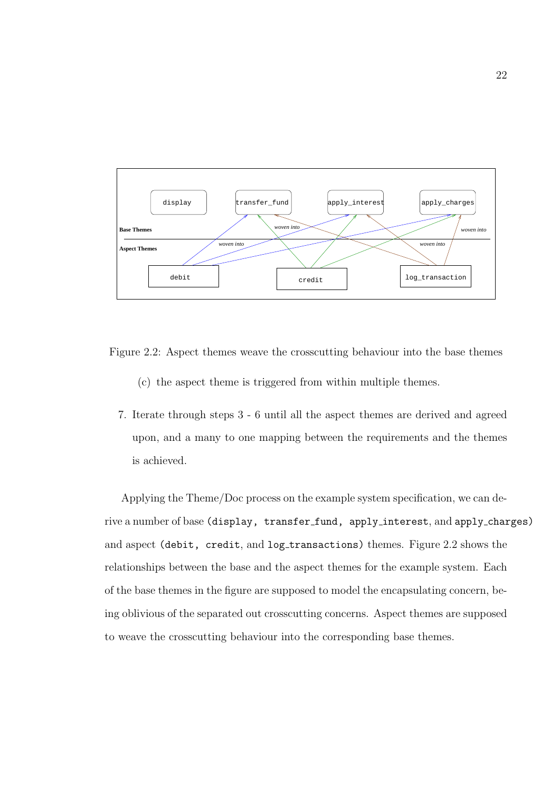

Figure 2.2: Aspect themes weave the crosscutting behaviour into the base themes

- (c) the aspect theme is triggered from within multiple themes.
- 7. Iterate through steps 3 6 until all the aspect themes are derived and agreed upon, and a many to one mapping between the requirements and the themes is achieved.

Applying the Theme/Doc process on the example system specification, we can derive a number of base (display, transfer\_fund, apply\_interest, and apply\_charges) and aspect (debit, credit, and log\_transactions) themes. Figure 2.2 shows the relationships between the base and the aspect themes for the example system. Each of the base themes in the figure are supposed to model the encapsulating concern, being oblivious of the separated out crosscutting concerns. Aspect themes are supposed to weave the crosscutting behaviour into the corresponding base themes.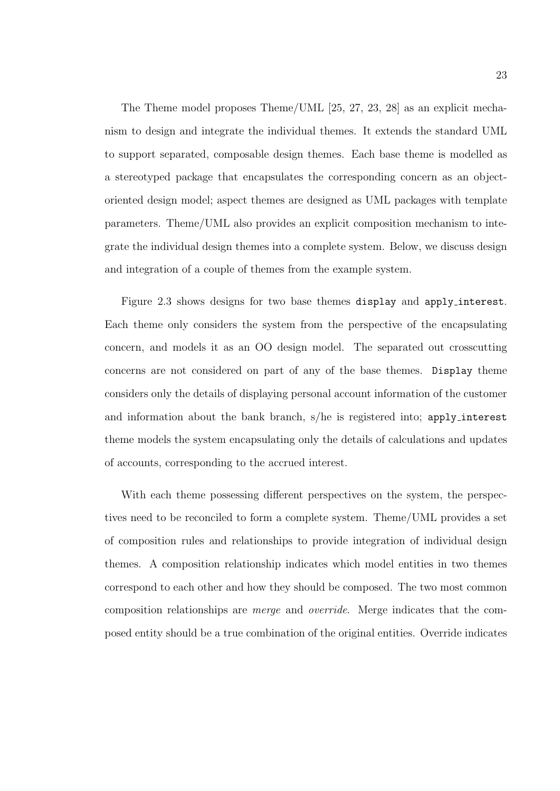The Theme model proposes Theme/UML [25, 27, 23, 28] as an explicit mechanism to design and integrate the individual themes. It extends the standard UML to support separated, composable design themes. Each base theme is modelled as a stereotyped package that encapsulates the corresponding concern as an objectoriented design model; aspect themes are designed as UML packages with template parameters. Theme/UML also provides an explicit composition mechanism to integrate the individual design themes into a complete system. Below, we discuss design and integration of a couple of themes from the example system.

Figure 2.3 shows designs for two base themes display and apply interest. Each theme only considers the system from the perspective of the encapsulating concern, and models it as an OO design model. The separated out crosscutting concerns are not considered on part of any of the base themes. Display theme considers only the details of displaying personal account information of the customer and information about the bank branch, s/he is registered into; apply interest theme models the system encapsulating only the details of calculations and updates of accounts, corresponding to the accrued interest.

With each theme possessing different perspectives on the system, the perspectives need to be reconciled to form a complete system. Theme/UML provides a set of composition rules and relationships to provide integration of individual design themes. A composition relationship indicates which model entities in two themes correspond to each other and how they should be composed. The two most common composition relationships are merge and override. Merge indicates that the composed entity should be a true combination of the original entities. Override indicates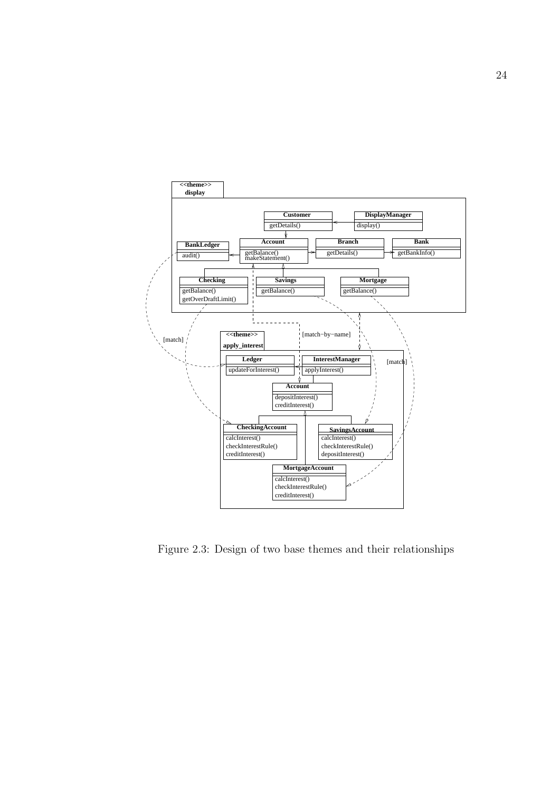

Figure 2.3: Design of two base themes and their relationships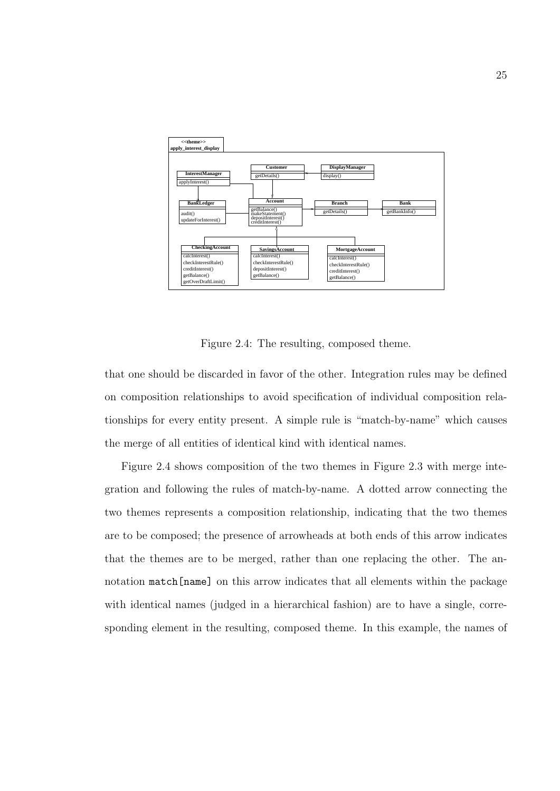

Figure 2.4: The resulting, composed theme.

that one should be discarded in favor of the other. Integration rules may be defined on composition relationships to avoid specification of individual composition relationships for every entity present. A simple rule is "match-by-name" which causes the merge of all entities of identical kind with identical names.

Figure 2.4 shows composition of the two themes in Figure 2.3 with merge integration and following the rules of match-by-name. A dotted arrow connecting the two themes represents a composition relationship, indicating that the two themes are to be composed; the presence of arrowheads at both ends of this arrow indicates that the themes are to be merged, rather than one replacing the other. The annotation match[name] on this arrow indicates that all elements within the package with identical names (judged in a hierarchical fashion) are to have a single, corresponding element in the resulting, composed theme. In this example, the names of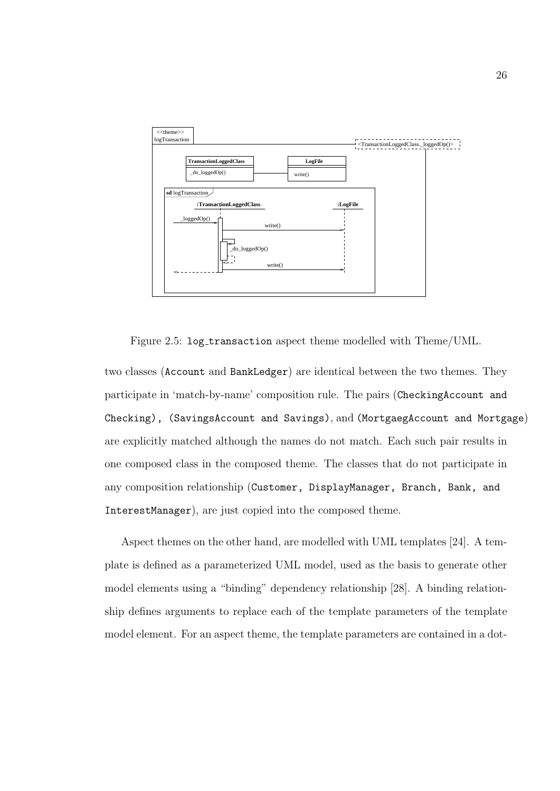

Figure 2.5: log transaction aspect theme modelled with Theme/UML.

two classes (Account and BankLedger) are identical between the two themes. They participate in 'match-by-name' composition rule. The pairs (CheckingAccount and Checking), (SavingsAccount and Savings), and (MortgaegAccount and Mortgage) are explicitly matched although the names do not match. Each such pair results in one composed class in the composed theme. The classes that do not participate in any composition relationship (Customer, DisplayManager, Branch, Bank, and InterestManager), are just copied into the composed theme.

Aspect themes on the other hand, are modelled with UML templates [24]. A template is defined as a parameterized UML model, used as the basis to generate other model elements using a "binding" dependency relationship [28]. A binding relationship defines arguments to replace each of the template parameters of the template model element. For an aspect theme, the template parameters are contained in a dot-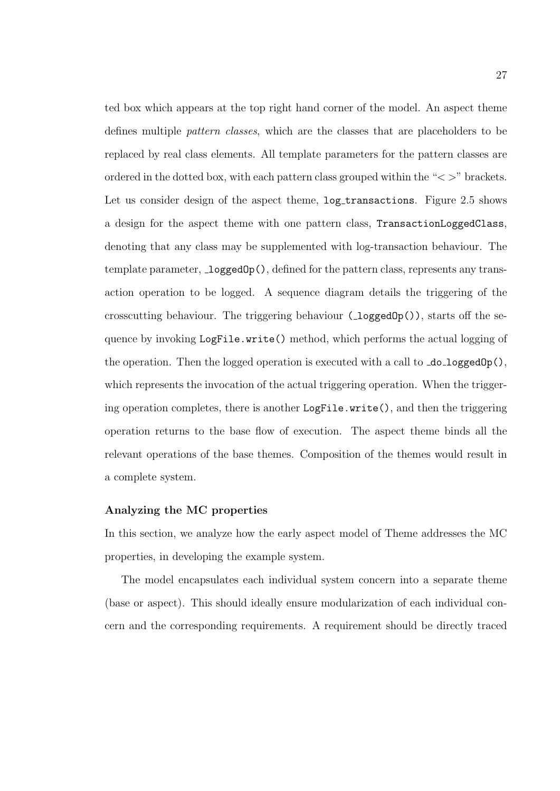ted box which appears at the top right hand corner of the model. An aspect theme defines multiple pattern classes, which are the classes that are placeholders to be replaced by real class elements. All template parameters for the pattern classes are ordered in the dotted box, with each pattern class grouped within the " $\langle \rangle$ " brackets. Let us consider design of the aspect theme,  $log_\text{\text{transactions}}$ . Figure 2.5 shows a design for the aspect theme with one pattern class, TransactionLoggedClass, denoting that any class may be supplemented with log-transaction behaviour. The template parameter,  $\text{\textcolor{red}{\text{loggedOp}}}$ (), defined for the pattern class, represents any transaction operation to be logged. A sequence diagram details the triggering of the crosscutting behaviour. The triggering behaviour  $(\text{loggedOp}())$ , starts off the sequence by invoking LogFile.write() method, which performs the actual logging of the operation. Then the logged operation is executed with a call to  $\text{do\_loggedOp}()$ , which represents the invocation of the actual triggering operation. When the triggering operation completes, there is another LogFile.write(), and then the triggering operation returns to the base flow of execution. The aspect theme binds all the relevant operations of the base themes. Composition of the themes would result in a complete system.

#### Analyzing the MC properties

In this section, we analyze how the early aspect model of Theme addresses the MC properties, in developing the example system.

The model encapsulates each individual system concern into a separate theme (base or aspect). This should ideally ensure modularization of each individual concern and the corresponding requirements. A requirement should be directly traced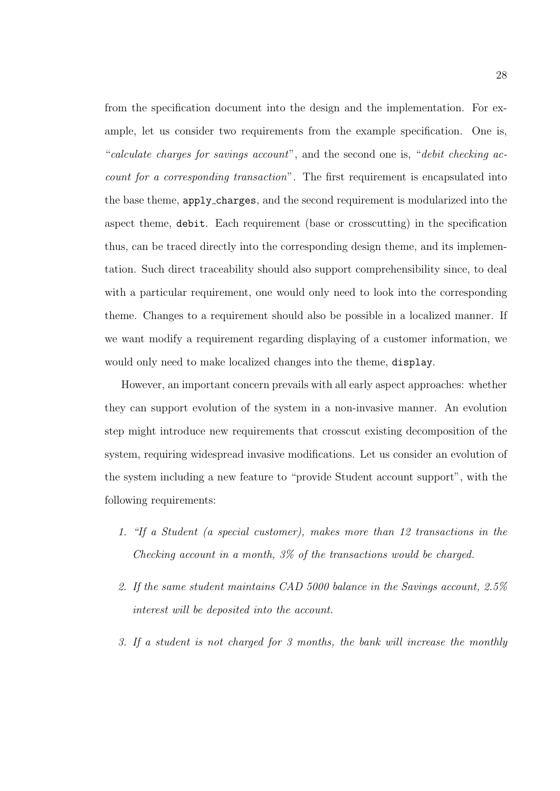from the specification document into the design and the implementation. For example, let us consider two requirements from the example specification. One is, "calculate charges for savings account", and the second one is, "debit checking account for a corresponding transaction". The first requirement is encapsulated into the base theme, apply charges, and the second requirement is modularized into the aspect theme, debit. Each requirement (base or crosscutting) in the specification thus, can be traced directly into the corresponding design theme, and its implementation. Such direct traceability should also support comprehensibility since, to deal with a particular requirement, one would only need to look into the corresponding theme. Changes to a requirement should also be possible in a localized manner. If we want modify a requirement regarding displaying of a customer information, we would only need to make localized changes into the theme, display.

However, an important concern prevails with all early aspect approaches: whether they can support evolution of the system in a non-invasive manner. An evolution step might introduce new requirements that crosscut existing decomposition of the system, requiring widespread invasive modifications. Let us consider an evolution of the system including a new feature to "provide Student account support", with the following requirements:

- 1. "If a Student (a special customer), makes more than 12 transactions in the Checking account in a month, 3% of the transactions would be charged.
- 2. If the same student maintains CAD 5000 balance in the Savings account, 2.5% interest will be deposited into the account.
- 3. If a student is not charged for 3 months, the bank will increase the monthly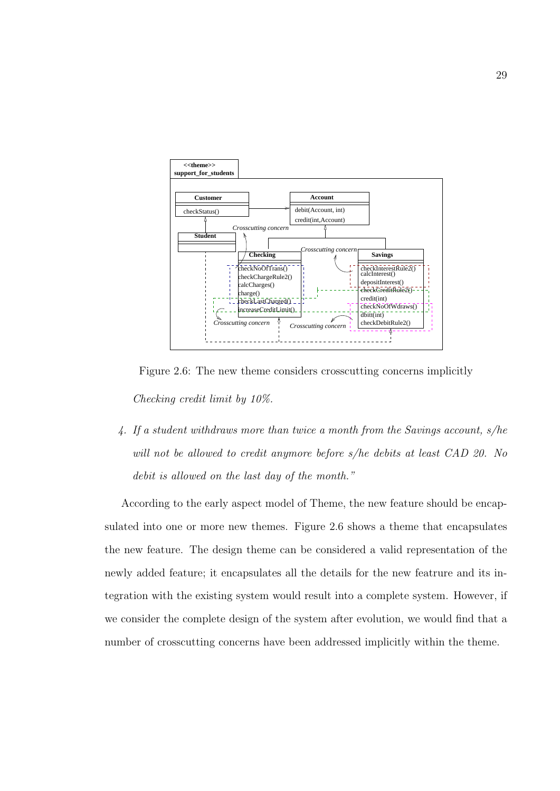

Figure 2.6: The new theme considers crosscutting concerns implicitly Checking credit limit by 10%.

4. If a student withdraws more than twice a month from the Savings account, s/he will not be allowed to credit anymore before s/he debits at least CAD 20. No debit is allowed on the last day of the month."

According to the early aspect model of Theme, the new feature should be encapsulated into one or more new themes. Figure 2.6 shows a theme that encapsulates the new feature. The design theme can be considered a valid representation of the newly added feature; it encapsulates all the details for the new featrure and its integration with the existing system would result into a complete system. However, if we consider the complete design of the system after evolution, we would find that a number of crosscutting concerns have been addressed implicitly within the theme.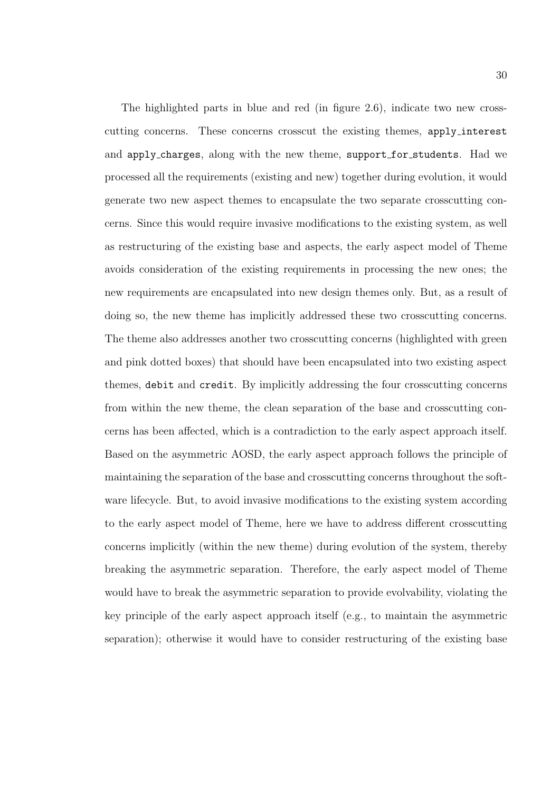The highlighted parts in blue and red (in figure 2.6), indicate two new crosscutting concerns. These concerns crosscut the existing themes, apply interest and apply charges, along with the new theme, support for students. Had we processed all the requirements (existing and new) together during evolution, it would generate two new aspect themes to encapsulate the two separate crosscutting concerns. Since this would require invasive modifications to the existing system, as well as restructuring of the existing base and aspects, the early aspect model of Theme avoids consideration of the existing requirements in processing the new ones; the new requirements are encapsulated into new design themes only. But, as a result of doing so, the new theme has implicitly addressed these two crosscutting concerns. The theme also addresses another two crosscutting concerns (highlighted with green and pink dotted boxes) that should have been encapsulated into two existing aspect themes, debit and credit. By implicitly addressing the four crosscutting concerns from within the new theme, the clean separation of the base and crosscutting concerns has been affected, which is a contradiction to the early aspect approach itself. Based on the asymmetric AOSD, the early aspect approach follows the principle of maintaining the separation of the base and crosscutting concerns throughout the software lifecycle. But, to avoid invasive modifications to the existing system according to the early aspect model of Theme, here we have to address different crosscutting concerns implicitly (within the new theme) during evolution of the system, thereby breaking the asymmetric separation. Therefore, the early aspect model of Theme would have to break the asymmetric separation to provide evolvability, violating the key principle of the early aspect approach itself (e.g., to maintain the asymmetric separation); otherwise it would have to consider restructuring of the existing base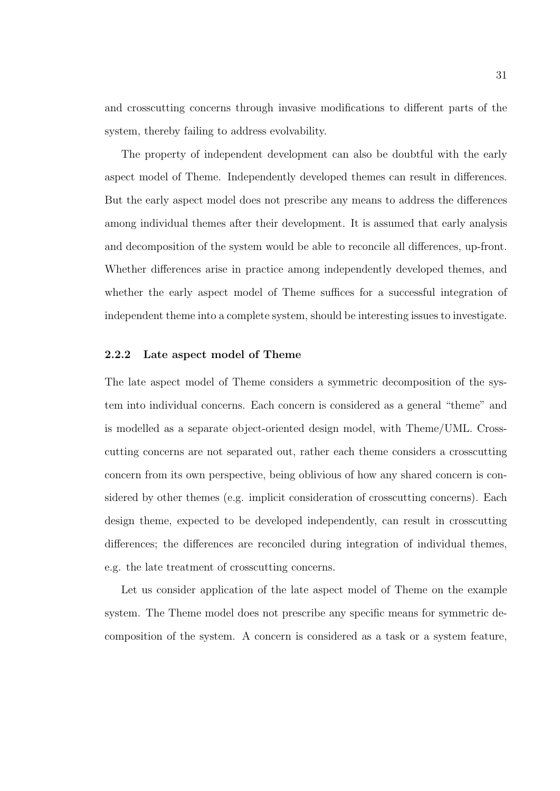and crosscutting concerns through invasive modifications to different parts of the system, thereby failing to address evolvability.

The property of independent development can also be doubtful with the early aspect model of Theme. Independently developed themes can result in differences. But the early aspect model does not prescribe any means to address the differences among individual themes after their development. It is assumed that early analysis and decomposition of the system would be able to reconcile all differences, up-front. Whether differences arise in practice among independently developed themes, and whether the early aspect model of Theme suffices for a successful integration of independent theme into a complete system, should be interesting issues to investigate.

### 2.2.2 Late aspect model of Theme

The late aspect model of Theme considers a symmetric decomposition of the system into individual concerns. Each concern is considered as a general "theme" and is modelled as a separate object-oriented design model, with Theme/UML. Crosscutting concerns are not separated out, rather each theme considers a crosscutting concern from its own perspective, being oblivious of how any shared concern is considered by other themes (e.g. implicit consideration of crosscutting concerns). Each design theme, expected to be developed independently, can result in crosscutting differences; the differences are reconciled during integration of individual themes, e.g. the late treatment of crosscutting concerns.

Let us consider application of the late aspect model of Theme on the example system. The Theme model does not prescribe any specific means for symmetric decomposition of the system. A concern is considered as a task or a system feature,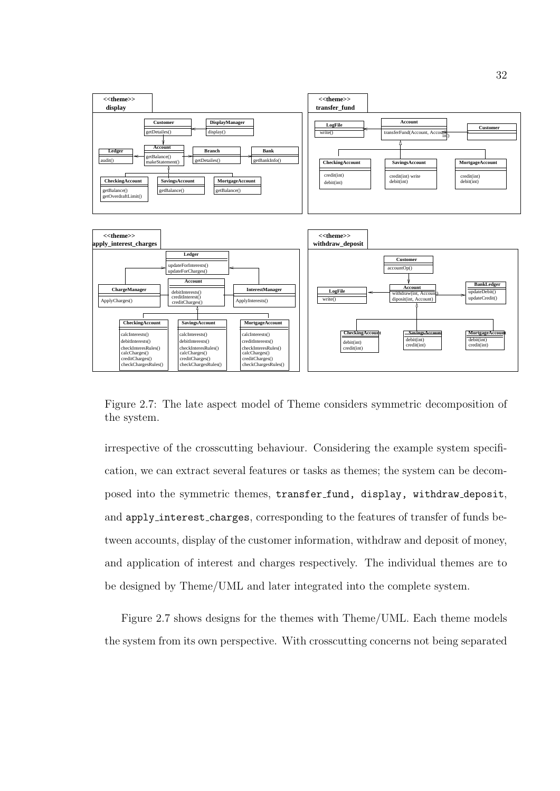

Figure 2.7: The late aspect model of Theme considers symmetric decomposition of the system.

irrespective of the crosscutting behaviour. Considering the example system specification, we can extract several features or tasks as themes; the system can be decomposed into the symmetric themes, transfer fund, display, withdraw deposit, and apply interest charges, corresponding to the features of transfer of funds between accounts, display of the customer information, withdraw and deposit of money, and application of interest and charges respectively. The individual themes are to be designed by Theme/UML and later integrated into the complete system.

Figure 2.7 shows designs for the themes with Theme/UML. Each theme models the system from its own perspective. With crosscutting concerns not being separated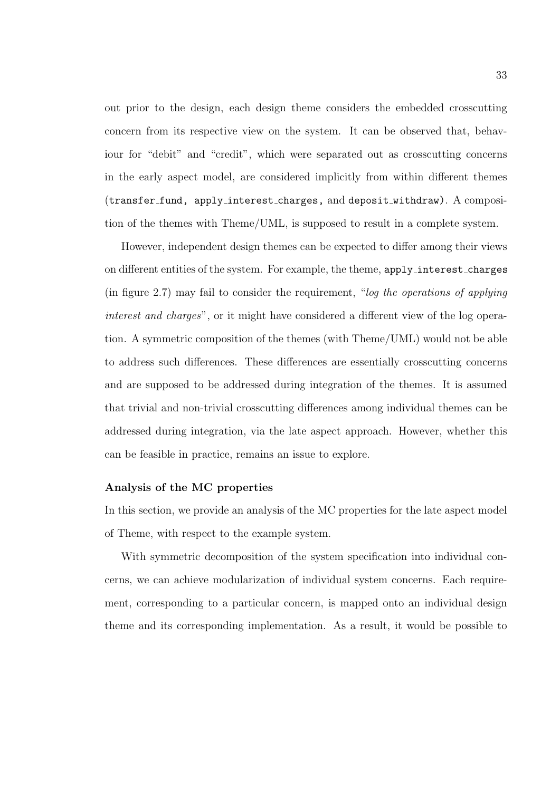out prior to the design, each design theme considers the embedded crosscutting concern from its respective view on the system. It can be observed that, behaviour for "debit" and "credit", which were separated out as crosscutting concerns in the early aspect model, are considered implicitly from within different themes (transfer fund, apply interest charges, and deposit withdraw). A composition of the themes with Theme/UML, is supposed to result in a complete system.

However, independent design themes can be expected to differ among their views on different entities of the system. For example, the theme, apply interest charges (in figure 2.7) may fail to consider the requirement, "log the operations of applying interest and charges", or it might have considered a different view of the log operation. A symmetric composition of the themes (with Theme/UML) would not be able to address such differences. These differences are essentially crosscutting concerns and are supposed to be addressed during integration of the themes. It is assumed that trivial and non-trivial crosscutting differences among individual themes can be addressed during integration, via the late aspect approach. However, whether this can be feasible in practice, remains an issue to explore.

#### Analysis of the MC properties

In this section, we provide an analysis of the MC properties for the late aspect model of Theme, with respect to the example system.

With symmetric decomposition of the system specification into individual concerns, we can achieve modularization of individual system concerns. Each requirement, corresponding to a particular concern, is mapped onto an individual design theme and its corresponding implementation. As a result, it would be possible to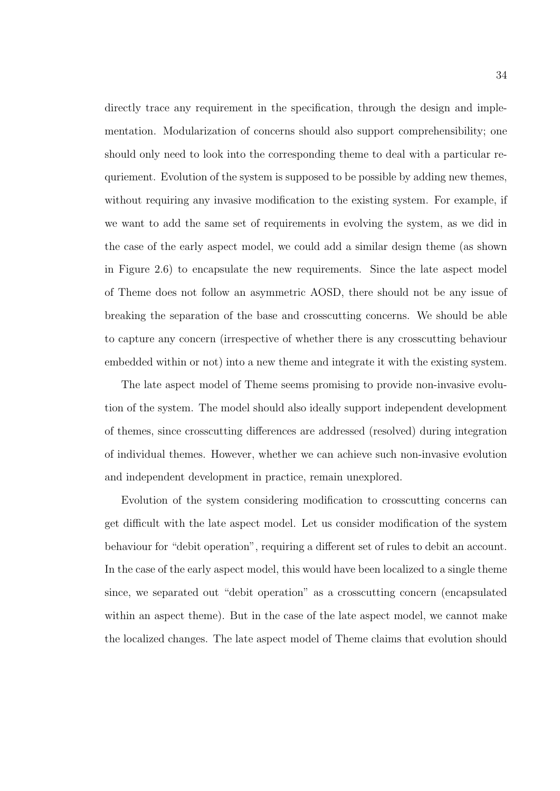directly trace any requirement in the specification, through the design and implementation. Modularization of concerns should also support comprehensibility; one should only need to look into the corresponding theme to deal with a particular requriement. Evolution of the system is supposed to be possible by adding new themes, without requiring any invasive modification to the existing system. For example, if we want to add the same set of requirements in evolving the system, as we did in the case of the early aspect model, we could add a similar design theme (as shown in Figure 2.6) to encapsulate the new requirements. Since the late aspect model of Theme does not follow an asymmetric AOSD, there should not be any issue of breaking the separation of the base and crosscutting concerns. We should be able to capture any concern (irrespective of whether there is any crosscutting behaviour embedded within or not) into a new theme and integrate it with the existing system.

The late aspect model of Theme seems promising to provide non-invasive evolution of the system. The model should also ideally support independent development of themes, since crosscutting differences are addressed (resolved) during integration of individual themes. However, whether we can achieve such non-invasive evolution and independent development in practice, remain unexplored.

Evolution of the system considering modification to crosscutting concerns can get difficult with the late aspect model. Let us consider modification of the system behaviour for "debit operation", requiring a different set of rules to debit an account. In the case of the early aspect model, this would have been localized to a single theme since, we separated out "debit operation" as a crosscutting concern (encapsulated within an aspect theme). But in the case of the late aspect model, we cannot make the localized changes. The late aspect model of Theme claims that evolution should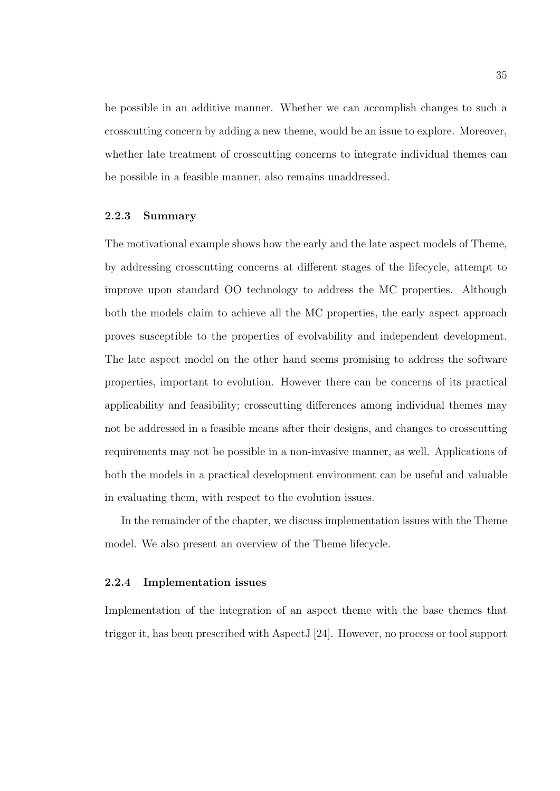be possible in an additive manner. Whether we can accomplish changes to such a crosscutting concern by adding a new theme, would be an issue to explore. Moreover, whether late treatment of crosscutting concerns to integrate individual themes can be possible in a feasible manner, also remains unaddressed.

#### 2.2.3 Summary

The motivational example shows how the early and the late aspect models of Theme, by addressing crosscutting concerns at different stages of the lifecycle, attempt to improve upon standard OO technology to address the MC properties. Although both the models claim to achieve all the MC properties, the early aspect approach proves susceptible to the properties of evolvability and independent development. The late aspect model on the other hand seems promising to address the software properties, important to evolution. However there can be concerns of its practical applicability and feasibility; crosscutting differences among individual themes may not be addressed in a feasible means after their designs, and changes to crosscutting requirements may not be possible in a non-invasive manner, as well. Applications of both the models in a practical development environment can be useful and valuable in evaluating them, with respect to the evolution issues.

In the remainder of the chapter, we discuss implementation issues with the Theme model. We also present an overview of the Theme lifecycle.

### 2.2.4 Implementation issues

Implementation of the integration of an aspect theme with the base themes that trigger it, has been prescribed with AspectJ [24]. However, no process or tool support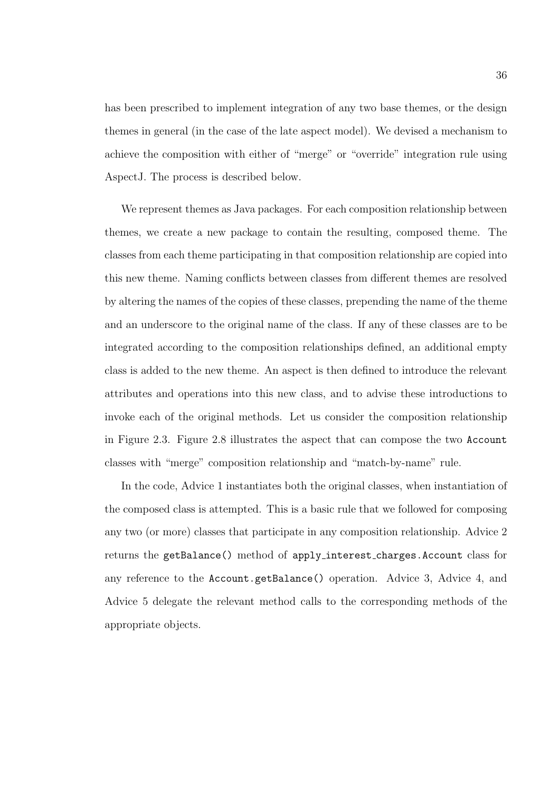has been prescribed to implement integration of any two base themes, or the design themes in general (in the case of the late aspect model). We devised a mechanism to achieve the composition with either of "merge" or "override" integration rule using AspectJ. The process is described below.

We represent themes as Java packages. For each composition relationship between themes, we create a new package to contain the resulting, composed theme. The classes from each theme participating in that composition relationship are copied into this new theme. Naming conflicts between classes from different themes are resolved by altering the names of the copies of these classes, prepending the name of the theme and an underscore to the original name of the class. If any of these classes are to be integrated according to the composition relationships defined, an additional empty class is added to the new theme. An aspect is then defined to introduce the relevant attributes and operations into this new class, and to advise these introductions to invoke each of the original methods. Let us consider the composition relationship in Figure 2.3. Figure 2.8 illustrates the aspect that can compose the two Account classes with "merge" composition relationship and "match-by-name" rule.

In the code, Advice 1 instantiates both the original classes, when instantiation of the composed class is attempted. This is a basic rule that we followed for composing any two (or more) classes that participate in any composition relationship. Advice 2 returns the getBalance() method of apply interest charges.Account class for any reference to the Account.getBalance() operation. Advice 3, Advice 4, and Advice 5 delegate the relevant method calls to the corresponding methods of the appropriate objects.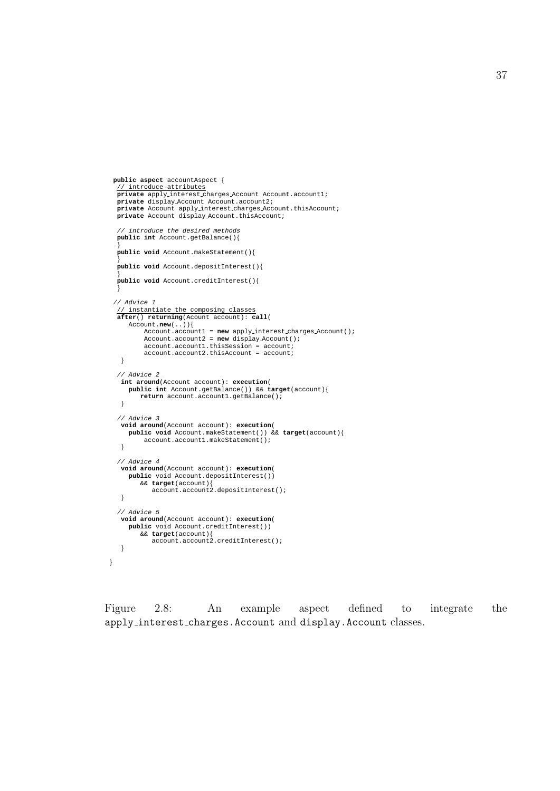```
public aspect accountAspect {
  // introduce attributes
  private apply interest charges Account Account.account1;
  private display Account Account.account2;
private Account apply interest charges Account.thisAccount;
  private Account display Account.thisAccount;
  // introduce the desired methods
  public int Account.getBalance(){
  }
  public void Account.makeStatement(){
  }
public void Account.depositInterest(){
  }
public void Account.creditInterest(){
}
 // Advice 1
  // instantiate the composing classes
after() returning(Acount account): call(
     Account.new(..)){
          Account.account1 = new apply interest charges Account();
           Account.account2 = new display Account();
account.account1.thisSession = account;
          account.account2.thisAccount = account;
   }
  // Advice 2
   int around(Account account): execution(
     public int Account.getBalance()) && target(account){
         return account.account1.getBalance();
   }
  // Advice 3
   void around(Account account): execution(
     public void Account.makeStatement()) && target(account){
         account.account1.makeStatement();
   }
  // Advice 4
   void around(Account account): execution(
     public void Account.depositInterest())
         && target(account){
account.account2.depositInterest();
   }
  // Advice 5
   void around(Account account): execution(
     public void Account.creditInterest())
         && target(account){
account.account2.creditInterest();
   }
}
```
Figure 2.8: An example aspect defined to integrate the apply interest charges.Account and display.Account classes.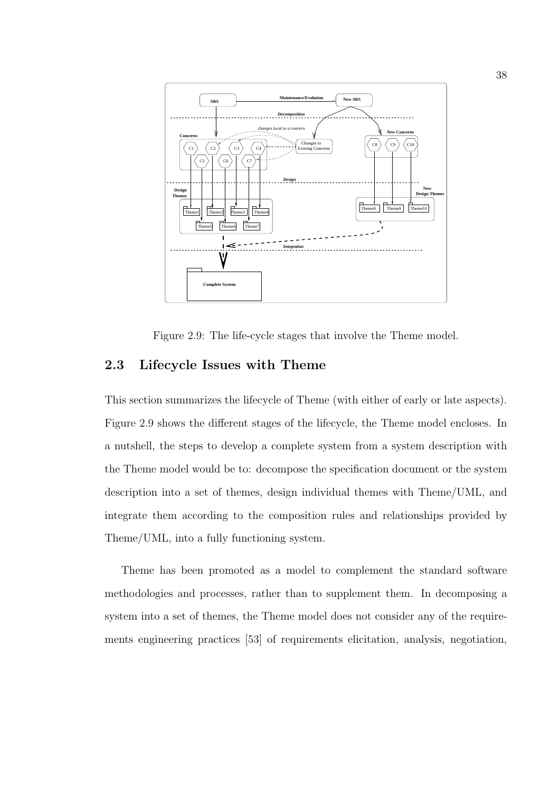

Figure 2.9: The life-cycle stages that involve the Theme model.

## 2.3 Lifecycle Issues with Theme

This section summarizes the lifecycle of Theme (with either of early or late aspects). Figure 2.9 shows the different stages of the lifecycle, the Theme model encloses. In a nutshell, the steps to develop a complete system from a system description with the Theme model would be to: decompose the specification document or the system description into a set of themes, design individual themes with Theme/UML, and integrate them according to the composition rules and relationships provided by Theme/UML, into a fully functioning system.

Theme has been promoted as a model to complement the standard software methodologies and processes, rather than to supplement them. In decomposing a system into a set of themes, the Theme model does not consider any of the requirements engineering practices [53] of requirements elicitation, analysis, negotiation,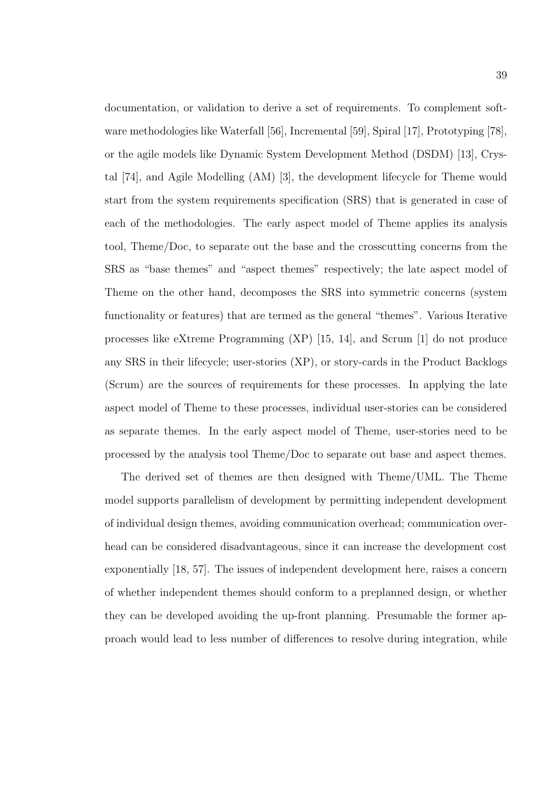documentation, or validation to derive a set of requirements. To complement software methodologies like Waterfall [56], Incremental [59], Spiral [17], Prototyping [78], or the agile models like Dynamic System Development Method (DSDM) [13], Crystal [74], and Agile Modelling (AM) [3], the development lifecycle for Theme would start from the system requirements specification (SRS) that is generated in case of each of the methodologies. The early aspect model of Theme applies its analysis tool, Theme/Doc, to separate out the base and the crosscutting concerns from the SRS as "base themes" and "aspect themes" respectively; the late aspect model of Theme on the other hand, decomposes the SRS into symmetric concerns (system functionality or features) that are termed as the general "themes". Various Iterative processes like eXtreme Programming (XP) [15, 14], and Scrum [1] do not produce any SRS in their lifecycle; user-stories (XP), or story-cards in the Product Backlogs (Scrum) are the sources of requirements for these processes. In applying the late aspect model of Theme to these processes, individual user-stories can be considered as separate themes. In the early aspect model of Theme, user-stories need to be processed by the analysis tool Theme/Doc to separate out base and aspect themes.

The derived set of themes are then designed with Theme/UML. The Theme model supports parallelism of development by permitting independent development of individual design themes, avoiding communication overhead; communication overhead can be considered disadvantageous, since it can increase the development cost exponentially [18, 57]. The issues of independent development here, raises a concern of whether independent themes should conform to a preplanned design, or whether they can be developed avoiding the up-front planning. Presumable the former approach would lead to less number of differences to resolve during integration, while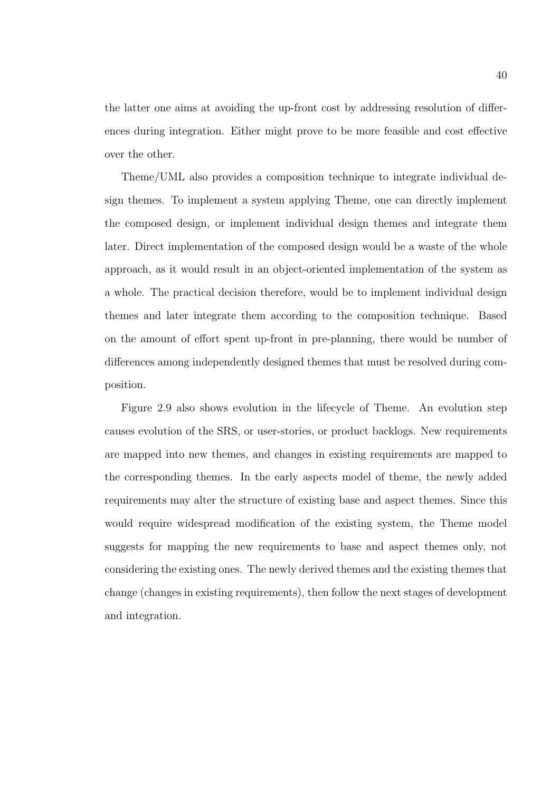the latter one aims at avoiding the up-front cost by addressing resolution of differences during integration. Either might prove to be more feasible and cost effective over the other.

Theme/UML also provides a composition technique to integrate individual design themes. To implement a system applying Theme, one can directly implement the composed design, or implement individual design themes and integrate them later. Direct implementation of the composed design would be a waste of the whole approach, as it would result in an object-oriented implementation of the system as a whole. The practical decision therefore, would be to implement individual design themes and later integrate them according to the composition technique. Based on the amount of effort spent up-front in pre-planning, there would be number of differences among independently designed themes that must be resolved during composition.

Figure 2.9 also shows evolution in the lifecycle of Theme. An evolution step causes evolution of the SRS, or user-stories, or product backlogs. New requirements are mapped into new themes, and changes in existing requirements are mapped to the corresponding themes. In the early aspects model of theme, the newly added requirements may alter the structure of existing base and aspect themes. Since this would require widespread modification of the existing system, the Theme model suggests for mapping the new requirements to base and aspect themes only, not considering the existing ones. The newly derived themes and the existing themes that change (changes in existing requirements), then follow the next stages of development and integration.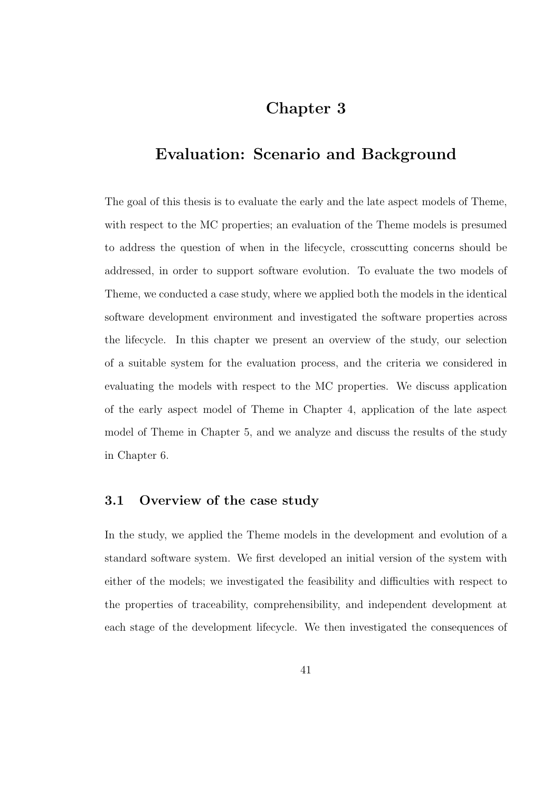# Chapter 3

## Evaluation: Scenario and Background

The goal of this thesis is to evaluate the early and the late aspect models of Theme, with respect to the MC properties; an evaluation of the Theme models is presumed to address the question of when in the lifecycle, crosscutting concerns should be addressed, in order to support software evolution. To evaluate the two models of Theme, we conducted a case study, where we applied both the models in the identical software development environment and investigated the software properties across the lifecycle. In this chapter we present an overview of the study, our selection of a suitable system for the evaluation process, and the criteria we considered in evaluating the models with respect to the MC properties. We discuss application of the early aspect model of Theme in Chapter 4, application of the late aspect model of Theme in Chapter 5, and we analyze and discuss the results of the study in Chapter 6.

## 3.1 Overview of the case study

In the study, we applied the Theme models in the development and evolution of a standard software system. We first developed an initial version of the system with either of the models; we investigated the feasibility and difficulties with respect to the properties of traceability, comprehensibility, and independent development at each stage of the development lifecycle. We then investigated the consequences of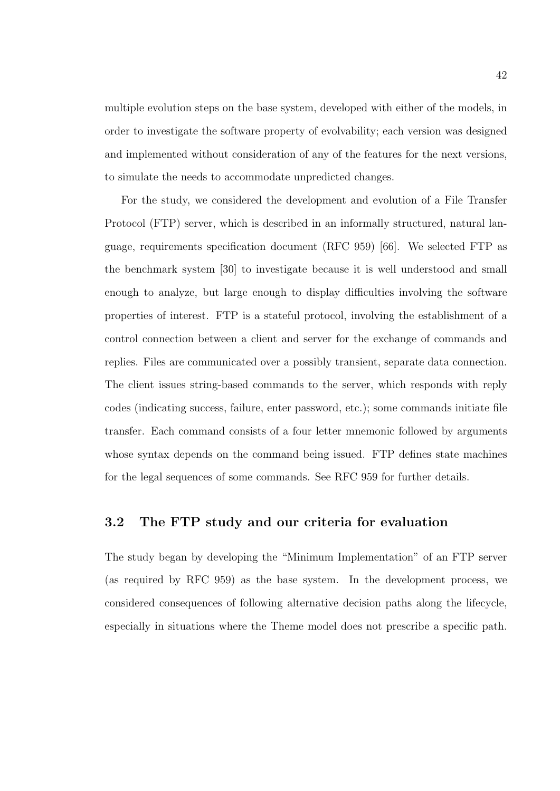multiple evolution steps on the base system, developed with either of the models, in order to investigate the software property of evolvability; each version was designed and implemented without consideration of any of the features for the next versions, to simulate the needs to accommodate unpredicted changes.

For the study, we considered the development and evolution of a File Transfer Protocol (FTP) server, which is described in an informally structured, natural language, requirements specification document (RFC 959) [66]. We selected FTP as the benchmark system [30] to investigate because it is well understood and small enough to analyze, but large enough to display difficulties involving the software properties of interest. FTP is a stateful protocol, involving the establishment of a control connection between a client and server for the exchange of commands and replies. Files are communicated over a possibly transient, separate data connection. The client issues string-based commands to the server, which responds with reply codes (indicating success, failure, enter password, etc.); some commands initiate file transfer. Each command consists of a four letter mnemonic followed by arguments whose syntax depends on the command being issued. FTP defines state machines for the legal sequences of some commands. See RFC 959 for further details.

## 3.2 The FTP study and our criteria for evaluation

The study began by developing the "Minimum Implementation" of an FTP server (as required by RFC 959) as the base system. In the development process, we considered consequences of following alternative decision paths along the lifecycle, especially in situations where the Theme model does not prescribe a specific path.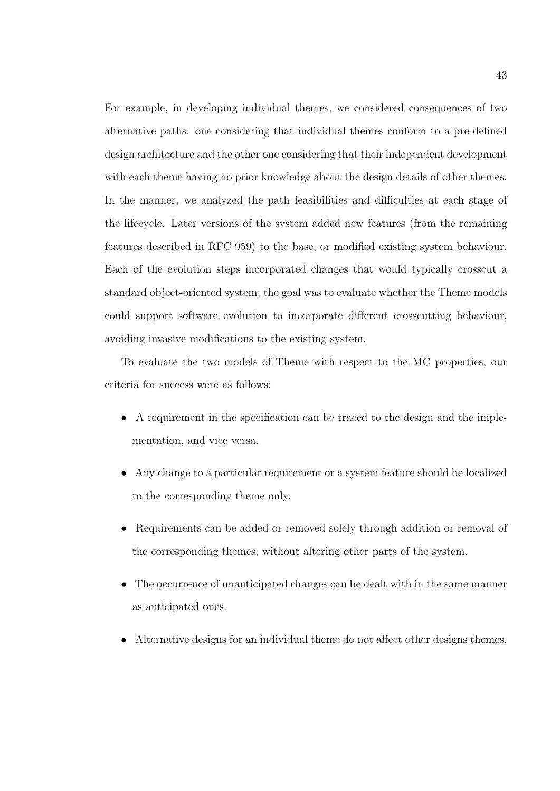For example, in developing individual themes, we considered consequences of two alternative paths: one considering that individual themes conform to a pre-defined design architecture and the other one considering that their independent development with each theme having no prior knowledge about the design details of other themes. In the manner, we analyzed the path feasibilities and difficulties at each stage of the lifecycle. Later versions of the system added new features (from the remaining features described in RFC 959) to the base, or modified existing system behaviour. Each of the evolution steps incorporated changes that would typically crosscut a standard object-oriented system; the goal was to evaluate whether the Theme models could support software evolution to incorporate different crosscutting behaviour, avoiding invasive modifications to the existing system.

To evaluate the two models of Theme with respect to the MC properties, our criteria for success were as follows:

- A requirement in the specification can be traced to the design and the implementation, and vice versa.
- Any change to a particular requirement or a system feature should be localized to the corresponding theme only.
- Requirements can be added or removed solely through addition or removal of the corresponding themes, without altering other parts of the system.
- The occurrence of unanticipated changes can be dealt with in the same manner as anticipated ones.
- Alternative designs for an individual theme do not affect other designs themes.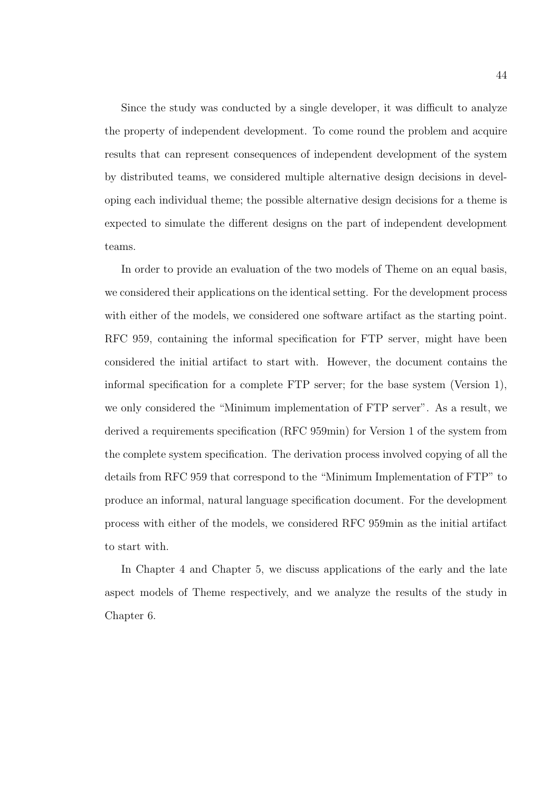Since the study was conducted by a single developer, it was difficult to analyze the property of independent development. To come round the problem and acquire results that can represent consequences of independent development of the system by distributed teams, we considered multiple alternative design decisions in developing each individual theme; the possible alternative design decisions for a theme is expected to simulate the different designs on the part of independent development teams.

In order to provide an evaluation of the two models of Theme on an equal basis, we considered their applications on the identical setting. For the development process with either of the models, we considered one software artifact as the starting point. RFC 959, containing the informal specification for FTP server, might have been considered the initial artifact to start with. However, the document contains the informal specification for a complete FTP server; for the base system (Version 1), we only considered the "Minimum implementation of FTP server". As a result, we derived a requirements specification (RFC 959min) for Version 1 of the system from the complete system specification. The derivation process involved copying of all the details from RFC 959 that correspond to the "Minimum Implementation of FTP" to produce an informal, natural language specification document. For the development process with either of the models, we considered RFC 959min as the initial artifact to start with.

In Chapter 4 and Chapter 5, we discuss applications of the early and the late aspect models of Theme respectively, and we analyze the results of the study in Chapter 6.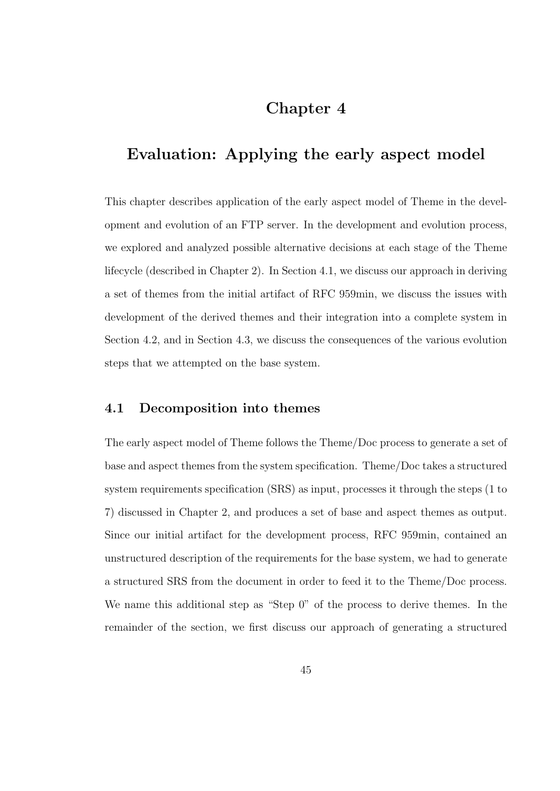## Chapter 4

## Evaluation: Applying the early aspect model

This chapter describes application of the early aspect model of Theme in the development and evolution of an FTP server. In the development and evolution process, we explored and analyzed possible alternative decisions at each stage of the Theme lifecycle (described in Chapter 2). In Section 4.1, we discuss our approach in deriving a set of themes from the initial artifact of RFC 959min, we discuss the issues with development of the derived themes and their integration into a complete system in Section 4.2, and in Section 4.3, we discuss the consequences of the various evolution steps that we attempted on the base system.

## 4.1 Decomposition into themes

The early aspect model of Theme follows the Theme/Doc process to generate a set of base and aspect themes from the system specification. Theme/Doc takes a structured system requirements specification (SRS) as input, processes it through the steps (1 to 7) discussed in Chapter 2, and produces a set of base and aspect themes as output. Since our initial artifact for the development process, RFC 959min, contained an unstructured description of the requirements for the base system, we had to generate a structured SRS from the document in order to feed it to the Theme/Doc process. We name this additional step as "Step 0" of the process to derive themes. In the remainder of the section, we first discuss our approach of generating a structured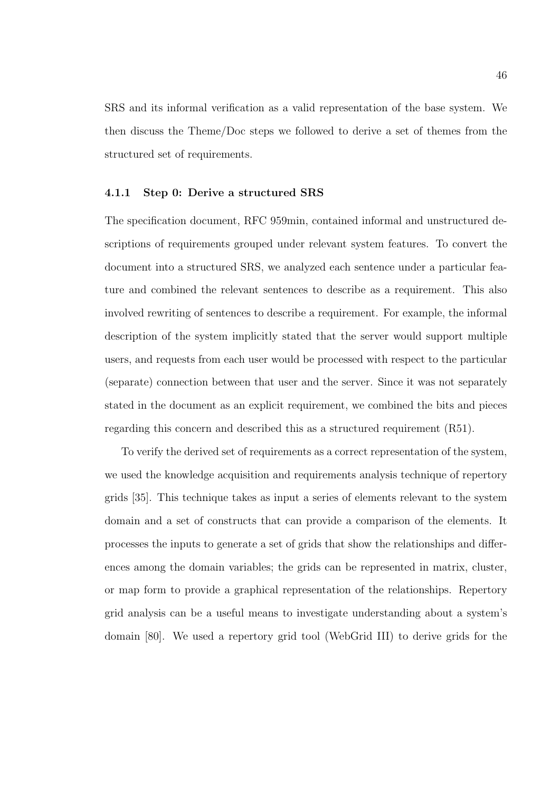SRS and its informal verification as a valid representation of the base system. We then discuss the Theme/Doc steps we followed to derive a set of themes from the structured set of requirements.

#### 4.1.1 Step 0: Derive a structured SRS

The specification document, RFC 959min, contained informal and unstructured descriptions of requirements grouped under relevant system features. To convert the document into a structured SRS, we analyzed each sentence under a particular feature and combined the relevant sentences to describe as a requirement. This also involved rewriting of sentences to describe a requirement. For example, the informal description of the system implicitly stated that the server would support multiple users, and requests from each user would be processed with respect to the particular (separate) connection between that user and the server. Since it was not separately stated in the document as an explicit requirement, we combined the bits and pieces regarding this concern and described this as a structured requirement (R51).

To verify the derived set of requirements as a correct representation of the system, we used the knowledge acquisition and requirements analysis technique of repertory grids [35]. This technique takes as input a series of elements relevant to the system domain and a set of constructs that can provide a comparison of the elements. It processes the inputs to generate a set of grids that show the relationships and differences among the domain variables; the grids can be represented in matrix, cluster, or map form to provide a graphical representation of the relationships. Repertory grid analysis can be a useful means to investigate understanding about a system's domain [80]. We used a repertory grid tool (WebGrid III) to derive grids for the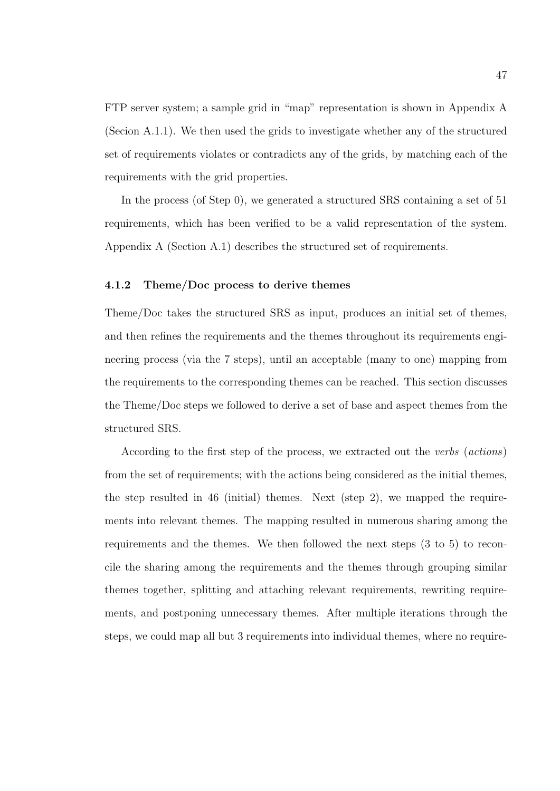FTP server system; a sample grid in "map" representation is shown in Appendix A (Secion A.1.1). We then used the grids to investigate whether any of the structured set of requirements violates or contradicts any of the grids, by matching each of the requirements with the grid properties.

In the process (of Step 0), we generated a structured SRS containing a set of 51 requirements, which has been verified to be a valid representation of the system. Appendix A (Section A.1) describes the structured set of requirements.

### 4.1.2 Theme/Doc process to derive themes

Theme/Doc takes the structured SRS as input, produces an initial set of themes, and then refines the requirements and the themes throughout its requirements engineering process (via the 7 steps), until an acceptable (many to one) mapping from the requirements to the corresponding themes can be reached. This section discusses the Theme/Doc steps we followed to derive a set of base and aspect themes from the structured SRS.

According to the first step of the process, we extracted out the verbs (actions) from the set of requirements; with the actions being considered as the initial themes, the step resulted in 46 (initial) themes. Next (step 2), we mapped the requirements into relevant themes. The mapping resulted in numerous sharing among the requirements and the themes. We then followed the next steps (3 to 5) to reconcile the sharing among the requirements and the themes through grouping similar themes together, splitting and attaching relevant requirements, rewriting requirements, and postponing unnecessary themes. After multiple iterations through the steps, we could map all but 3 requirements into individual themes, where no require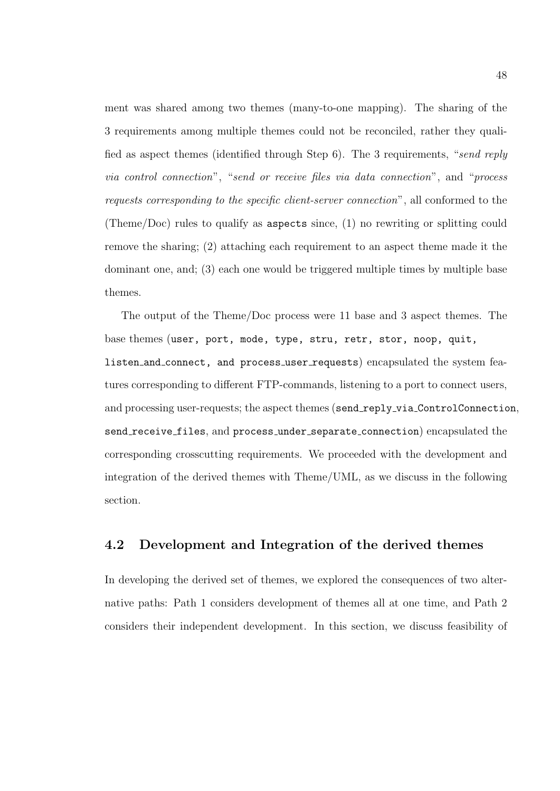ment was shared among two themes (many-to-one mapping). The sharing of the 3 requirements among multiple themes could not be reconciled, rather they qualified as aspect themes (identified through Step 6). The 3 requirements, "send reply via control connection", "send or receive files via data connection", and "process requests corresponding to the specific client-server connection", all conformed to the (Theme/Doc) rules to qualify as aspects since, (1) no rewriting or splitting could remove the sharing; (2) attaching each requirement to an aspect theme made it the dominant one, and; (3) each one would be triggered multiple times by multiple base themes.

The output of the Theme/Doc process were 11 base and 3 aspect themes. The base themes (user, port, mode, type, stru, retr, stor, noop, quit, listen and connect, and process user requests) encapsulated the system features corresponding to different FTP-commands, listening to a port to connect users, and processing user-requests; the aspect themes (send\_reply\_via\_ControlConnection, send receive files, and process under separate connection) encapsulated the corresponding crosscutting requirements. We proceeded with the development and integration of the derived themes with Theme/UML, as we discuss in the following section.

## 4.2 Development and Integration of the derived themes

In developing the derived set of themes, we explored the consequences of two alternative paths: Path 1 considers development of themes all at one time, and Path 2 considers their independent development. In this section, we discuss feasibility of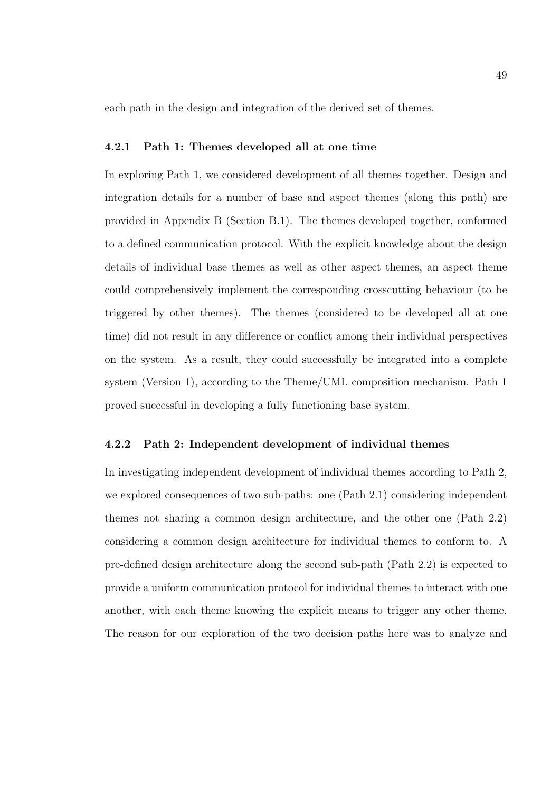each path in the design and integration of the derived set of themes.

#### 4.2.1 Path 1: Themes developed all at one time

In exploring Path 1, we considered development of all themes together. Design and integration details for a number of base and aspect themes (along this path) are provided in Appendix B (Section B.1). The themes developed together, conformed to a defined communication protocol. With the explicit knowledge about the design details of individual base themes as well as other aspect themes, an aspect theme could comprehensively implement the corresponding crosscutting behaviour (to be triggered by other themes). The themes (considered to be developed all at one time) did not result in any difference or conflict among their individual perspectives on the system. As a result, they could successfully be integrated into a complete system (Version 1), according to the Theme/UML composition mechanism. Path 1 proved successful in developing a fully functioning base system.

#### 4.2.2 Path 2: Independent development of individual themes

In investigating independent development of individual themes according to Path 2, we explored consequences of two sub-paths: one (Path 2.1) considering independent themes not sharing a common design architecture, and the other one (Path 2.2) considering a common design architecture for individual themes to conform to. A pre-defined design architecture along the second sub-path (Path 2.2) is expected to provide a uniform communication protocol for individual themes to interact with one another, with each theme knowing the explicit means to trigger any other theme. The reason for our exploration of the two decision paths here was to analyze and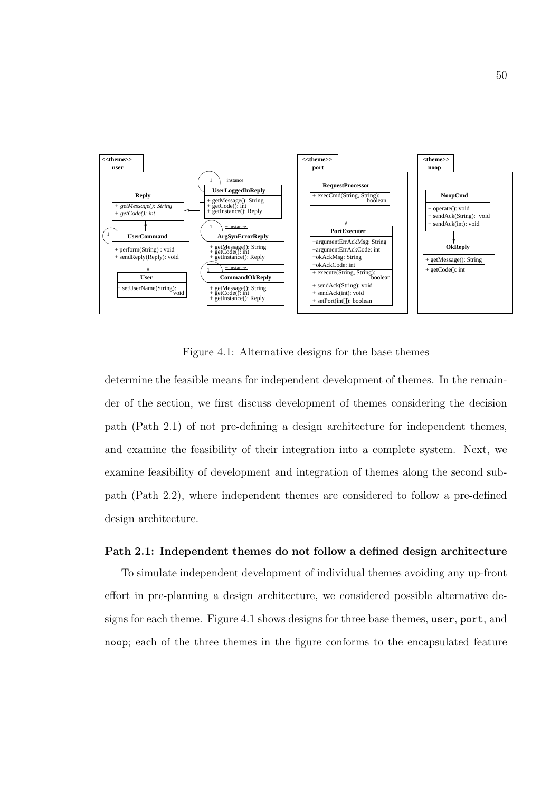

Figure 4.1: Alternative designs for the base themes

determine the feasible means for independent development of themes. In the remainder of the section, we first discuss development of themes considering the decision path (Path 2.1) of not pre-defining a design architecture for independent themes, and examine the feasibility of their integration into a complete system. Next, we examine feasibility of development and integration of themes along the second subpath (Path 2.2), where independent themes are considered to follow a pre-defined design architecture.

## Path 2.1: Independent themes do not follow a defined design architecture

To simulate independent development of individual themes avoiding any up-front effort in pre-planning a design architecture, we considered possible alternative designs for each theme. Figure 4.1 shows designs for three base themes, user, port, and noop; each of the three themes in the figure conforms to the encapsulated feature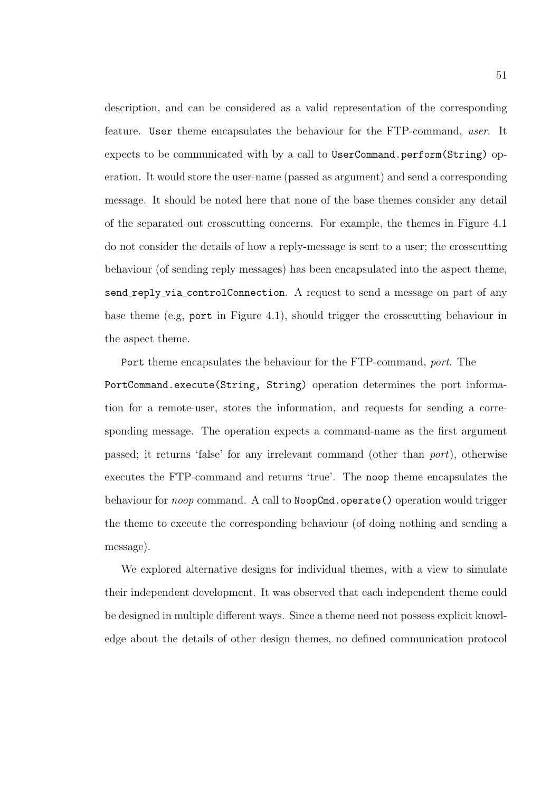description, and can be considered as a valid representation of the corresponding feature. User theme encapsulates the behaviour for the FTP-command, user. It expects to be communicated with by a call to UserCommand.perform(String) operation. It would store the user-name (passed as argument) and send a corresponding message. It should be noted here that none of the base themes consider any detail of the separated out crosscutting concerns. For example, the themes in Figure 4.1 do not consider the details of how a reply-message is sent to a user; the crosscutting behaviour (of sending reply messages) has been encapsulated into the aspect theme, send reply via controlConnection. A request to send a message on part of any base theme (e.g, port in Figure 4.1), should trigger the crosscutting behaviour in the aspect theme.

Port theme encapsulates the behaviour for the FTP-command, port. The PortCommand.execute(String, String) operation determines the port information for a remote-user, stores the information, and requests for sending a corresponding message. The operation expects a command-name as the first argument passed; it returns 'false' for any irrelevant command (other than port), otherwise executes the FTP-command and returns 'true'. The noop theme encapsulates the behaviour for *noop* command. A call to NoopCmd.operate() operation would trigger the theme to execute the corresponding behaviour (of doing nothing and sending a message).

We explored alternative designs for individual themes, with a view to simulate their independent development. It was observed that each independent theme could be designed in multiple different ways. Since a theme need not possess explicit knowledge about the details of other design themes, no defined communication protocol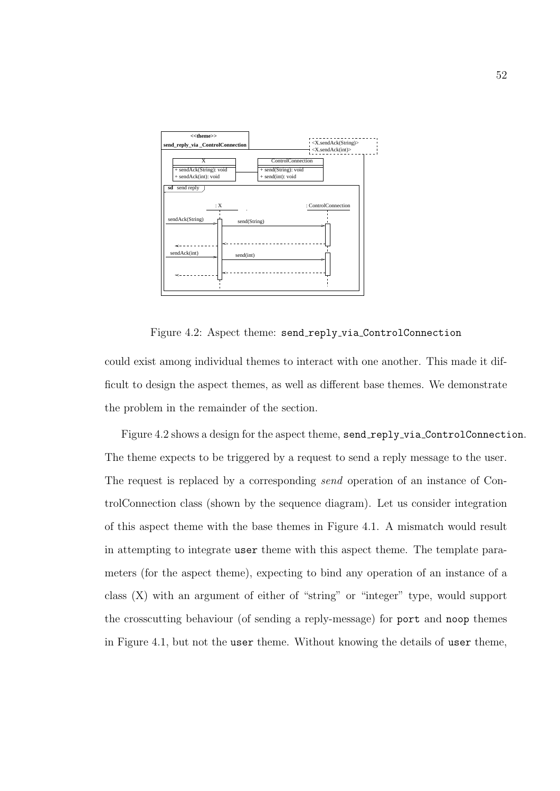

Figure 4.2: Aspect theme: send reply via ControlConnection

could exist among individual themes to interact with one another. This made it difficult to design the aspect themes, as well as different base themes. We demonstrate the problem in the remainder of the section.

Figure 4.2 shows a design for the aspect theme, send\_reply\_via\_ControlConnection. The theme expects to be triggered by a request to send a reply message to the user. The request is replaced by a corresponding send operation of an instance of ControlConnection class (shown by the sequence diagram). Let us consider integration of this aspect theme with the base themes in Figure 4.1. A mismatch would result in attempting to integrate user theme with this aspect theme. The template parameters (for the aspect theme), expecting to bind any operation of an instance of a class (X) with an argument of either of "string" or "integer" type, would support the crosscutting behaviour (of sending a reply-message) for port and noop themes in Figure 4.1, but not the user theme. Without knowing the details of user theme,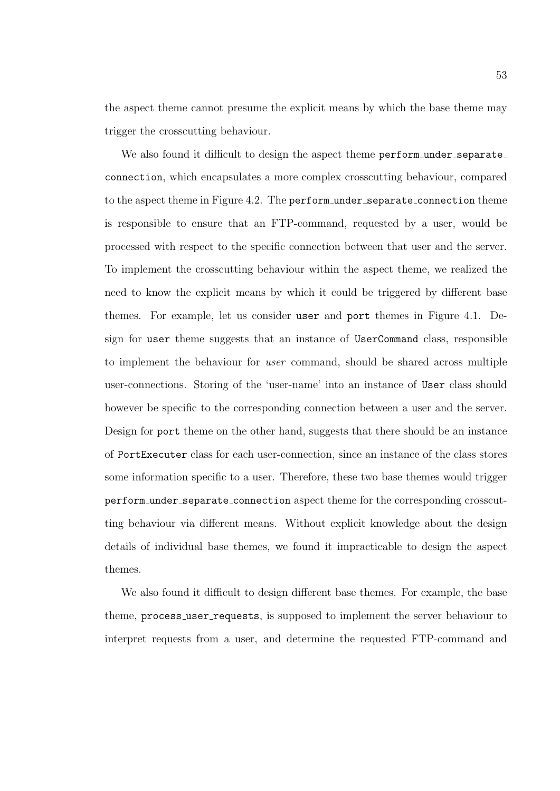the aspect theme cannot presume the explicit means by which the base theme may trigger the crosscutting behaviour.

We also found it difficult to design the aspect theme perform under separate connection, which encapsulates a more complex crosscutting behaviour, compared to the aspect theme in Figure 4.2. The perform under separate connection theme is responsible to ensure that an FTP-command, requested by a user, would be processed with respect to the specific connection between that user and the server. To implement the crosscutting behaviour within the aspect theme, we realized the need to know the explicit means by which it could be triggered by different base themes. For example, let us consider user and port themes in Figure 4.1. Design for user theme suggests that an instance of UserCommand class, responsible to implement the behaviour for user command, should be shared across multiple user-connections. Storing of the 'user-name' into an instance of User class should however be specific to the corresponding connection between a user and the server. Design for port theme on the other hand, suggests that there should be an instance of PortExecuter class for each user-connection, since an instance of the class stores some information specific to a user. Therefore, these two base themes would trigger perform under separate connection aspect theme for the corresponding crosscutting behaviour via different means. Without explicit knowledge about the design details of individual base themes, we found it impracticable to design the aspect themes.

We also found it difficult to design different base themes. For example, the base theme, process user requests, is supposed to implement the server behaviour to interpret requests from a user, and determine the requested FTP-command and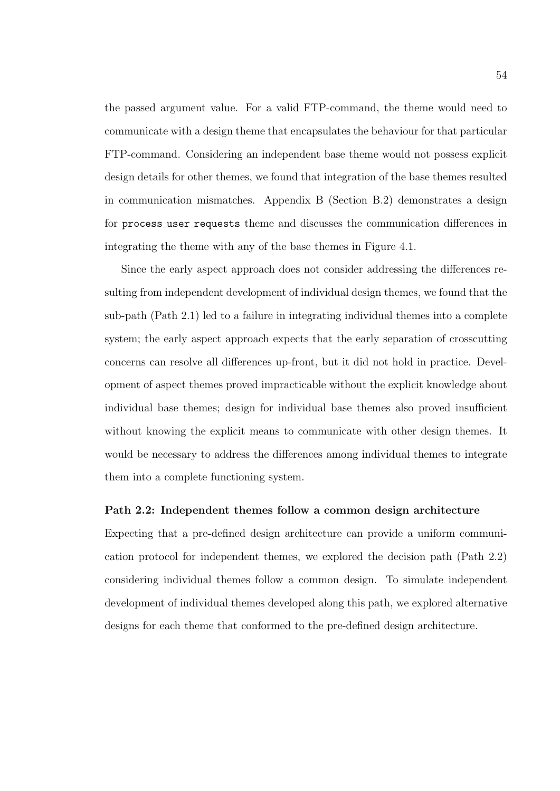the passed argument value. For a valid FTP-command, the theme would need to communicate with a design theme that encapsulates the behaviour for that particular FTP-command. Considering an independent base theme would not possess explicit design details for other themes, we found that integration of the base themes resulted in communication mismatches. Appendix B (Section B.2) demonstrates a design for process user requests theme and discusses the communication differences in integrating the theme with any of the base themes in Figure 4.1.

Since the early aspect approach does not consider addressing the differences resulting from independent development of individual design themes, we found that the sub-path (Path 2.1) led to a failure in integrating individual themes into a complete system; the early aspect approach expects that the early separation of crosscutting concerns can resolve all differences up-front, but it did not hold in practice. Development of aspect themes proved impracticable without the explicit knowledge about individual base themes; design for individual base themes also proved insufficient without knowing the explicit means to communicate with other design themes. It would be necessary to address the differences among individual themes to integrate them into a complete functioning system.

#### Path 2.2: Independent themes follow a common design architecture

Expecting that a pre-defined design architecture can provide a uniform communication protocol for independent themes, we explored the decision path (Path 2.2) considering individual themes follow a common design. To simulate independent development of individual themes developed along this path, we explored alternative designs for each theme that conformed to the pre-defined design architecture.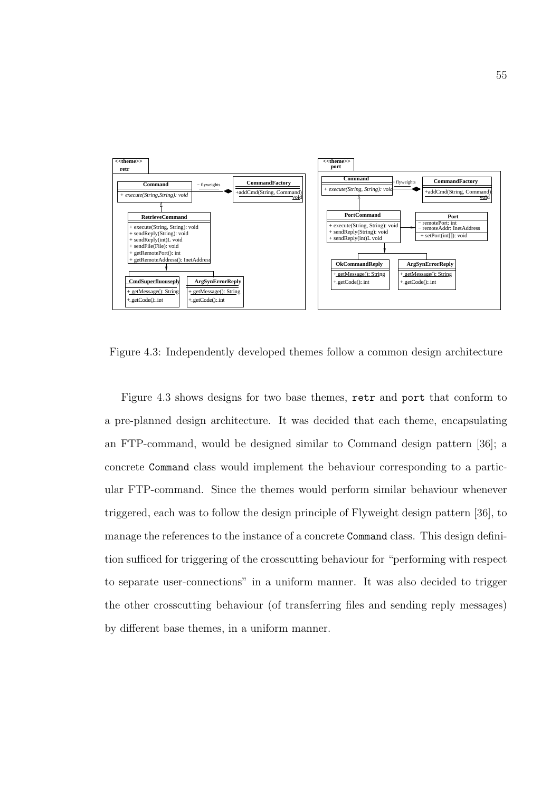

Figure 4.3: Independently developed themes follow a common design architecture

Figure 4.3 shows designs for two base themes, retr and port that conform to a pre-planned design architecture. It was decided that each theme, encapsulating an FTP-command, would be designed similar to Command design pattern [36]; a concrete Command class would implement the behaviour corresponding to a particular FTP-command. Since the themes would perform similar behaviour whenever triggered, each was to follow the design principle of Flyweight design pattern [36], to manage the references to the instance of a concrete Command class. This design definition sufficed for triggering of the crosscutting behaviour for "performing with respect to separate user-connections" in a uniform manner. It was also decided to trigger the other crosscutting behaviour (of transferring files and sending reply messages) by different base themes, in a uniform manner.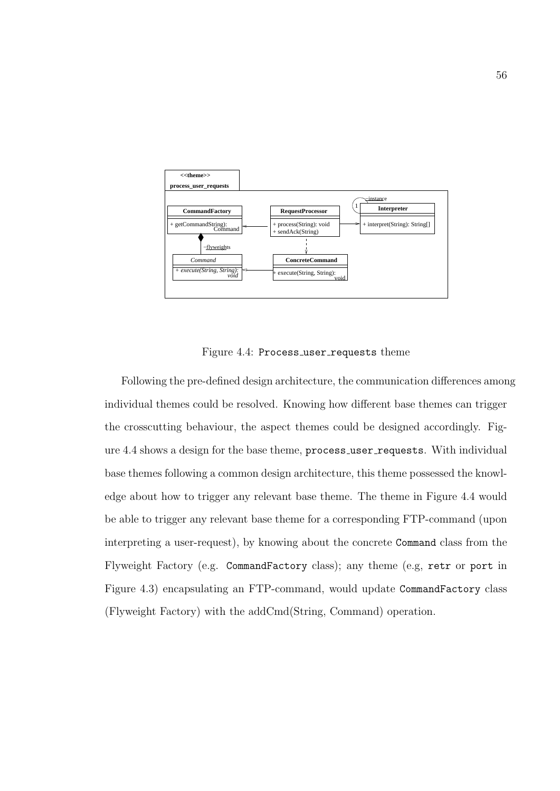

Figure 4.4: Process\_user\_requests theme

Following the pre-defined design architecture, the communication differences among individual themes could be resolved. Knowing how different base themes can trigger the crosscutting behaviour, the aspect themes could be designed accordingly. Figure 4.4 shows a design for the base theme, process\_user\_requests. With individual base themes following a common design architecture, this theme possessed the knowledge about how to trigger any relevant base theme. The theme in Figure 4.4 would be able to trigger any relevant base theme for a corresponding FTP-command (upon interpreting a user-request), by knowing about the concrete Command class from the Flyweight Factory (e.g. CommandFactory class); any theme (e.g, retr or port in Figure 4.3) encapsulating an FTP-command, would update CommandFactory class (Flyweight Factory) with the addCmd(String, Command) operation.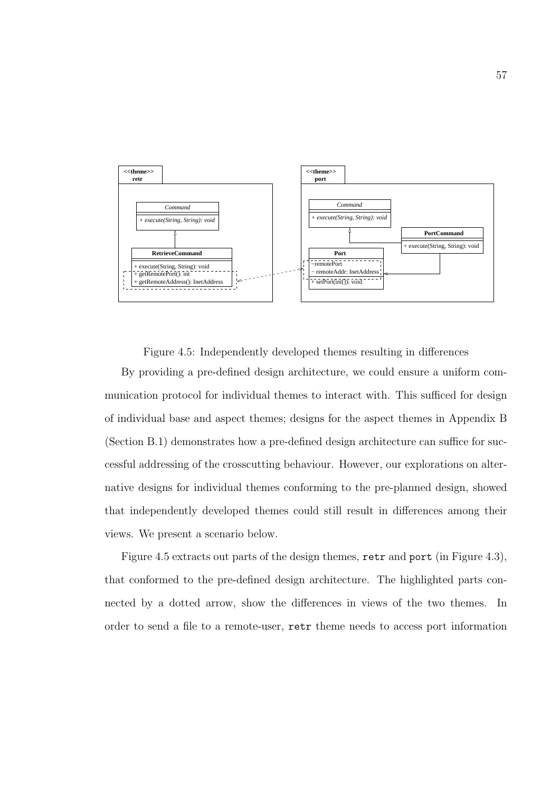

Figure 4.5: Independently developed themes resulting in differences

By providing a pre-defined design architecture, we could ensure a uniform communication protocol for individual themes to interact with. This sufficed for design of individual base and aspect themes; designs for the aspect themes in Appendix B (Section B.1) demonstrates how a pre-defined design architecture can suffice for successful addressing of the crosscutting behaviour. However, our explorations on alternative designs for individual themes conforming to the pre-planned design, showed that independently developed themes could still result in differences among their views. We present a scenario below.

Figure 4.5 extracts out parts of the design themes, retr and port (in Figure 4.3), that conformed to the pre-defined design architecture. The highlighted parts connected by a dotted arrow, show the differences in views of the two themes. In order to send a file to a remote-user, retr theme needs to access port information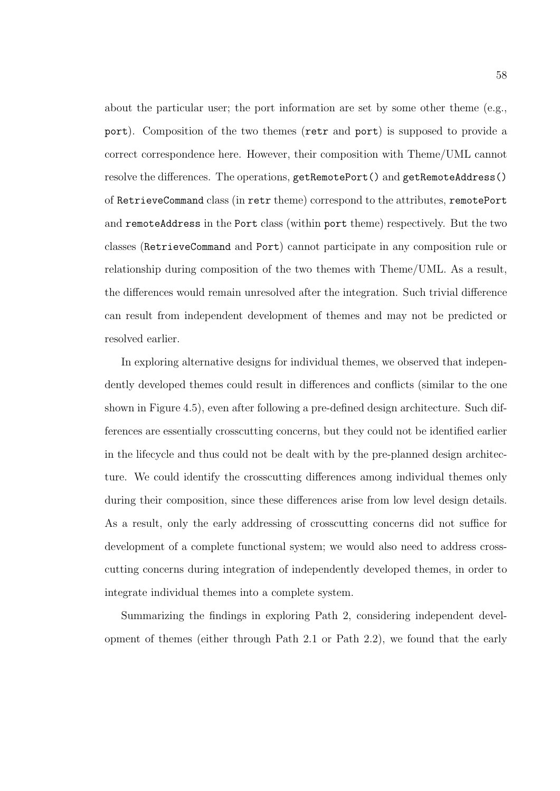about the particular user; the port information are set by some other theme (e.g., port). Composition of the two themes (retr and port) is supposed to provide a correct correspondence here. However, their composition with Theme/UML cannot resolve the differences. The operations, getRemotePort() and getRemoteAddress() of RetrieveCommand class (in retr theme) correspond to the attributes, remotePort and remoteAddress in the Port class (within port theme) respectively. But the two classes (RetrieveCommand and Port) cannot participate in any composition rule or relationship during composition of the two themes with Theme/UML. As a result, the differences would remain unresolved after the integration. Such trivial difference can result from independent development of themes and may not be predicted or resolved earlier.

In exploring alternative designs for individual themes, we observed that independently developed themes could result in differences and conflicts (similar to the one shown in Figure 4.5), even after following a pre-defined design architecture. Such differences are essentially crosscutting concerns, but they could not be identified earlier in the lifecycle and thus could not be dealt with by the pre-planned design architecture. We could identify the crosscutting differences among individual themes only during their composition, since these differences arise from low level design details. As a result, only the early addressing of crosscutting concerns did not suffice for development of a complete functional system; we would also need to address crosscutting concerns during integration of independently developed themes, in order to integrate individual themes into a complete system.

Summarizing the findings in exploring Path 2, considering independent development of themes (either through Path 2.1 or Path 2.2), we found that the early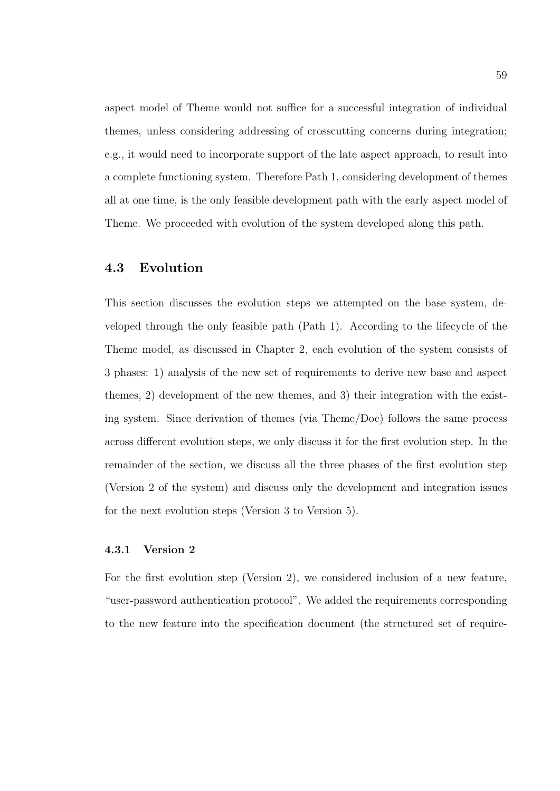aspect model of Theme would not suffice for a successful integration of individual themes, unless considering addressing of crosscutting concerns during integration; e.g., it would need to incorporate support of the late aspect approach, to result into a complete functioning system. Therefore Path 1, considering development of themes all at one time, is the only feasible development path with the early aspect model of Theme. We proceeded with evolution of the system developed along this path.

## 4.3 Evolution

This section discusses the evolution steps we attempted on the base system, developed through the only feasible path (Path 1). According to the lifecycle of the Theme model, as discussed in Chapter 2, each evolution of the system consists of 3 phases: 1) analysis of the new set of requirements to derive new base and aspect themes, 2) development of the new themes, and 3) their integration with the existing system. Since derivation of themes (via Theme/Doc) follows the same process across different evolution steps, we only discuss it for the first evolution step. In the remainder of the section, we discuss all the three phases of the first evolution step (Version 2 of the system) and discuss only the development and integration issues for the next evolution steps (Version 3 to Version 5).

## 4.3.1 Version 2

For the first evolution step (Version 2), we considered inclusion of a new feature, "user-password authentication protocol". We added the requirements corresponding to the new feature into the specification document (the structured set of require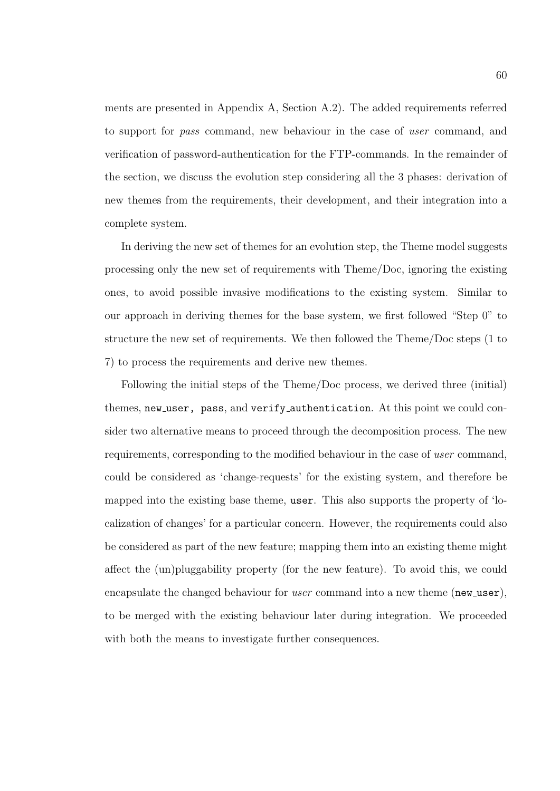ments are presented in Appendix A, Section A.2). The added requirements referred to support for pass command, new behaviour in the case of user command, and verification of password-authentication for the FTP-commands. In the remainder of the section, we discuss the evolution step considering all the 3 phases: derivation of new themes from the requirements, their development, and their integration into a complete system.

In deriving the new set of themes for an evolution step, the Theme model suggests processing only the new set of requirements with Theme/Doc, ignoring the existing ones, to avoid possible invasive modifications to the existing system. Similar to our approach in deriving themes for the base system, we first followed "Step 0" to structure the new set of requirements. We then followed the Theme/Doc steps (1 to 7) to process the requirements and derive new themes.

Following the initial steps of the Theme/Doc process, we derived three (initial) themes, new user, pass, and verify authentication. At this point we could consider two alternative means to proceed through the decomposition process. The new requirements, corresponding to the modified behaviour in the case of user command, could be considered as 'change-requests' for the existing system, and therefore be mapped into the existing base theme, user. This also supports the property of 'localization of changes' for a particular concern. However, the requirements could also be considered as part of the new feature; mapping them into an existing theme might affect the (un)pluggability property (for the new feature). To avoid this, we could encapsulate the changed behaviour for *user* command into a new theme (new user), to be merged with the existing behaviour later during integration. We proceeded with both the means to investigate further consequences.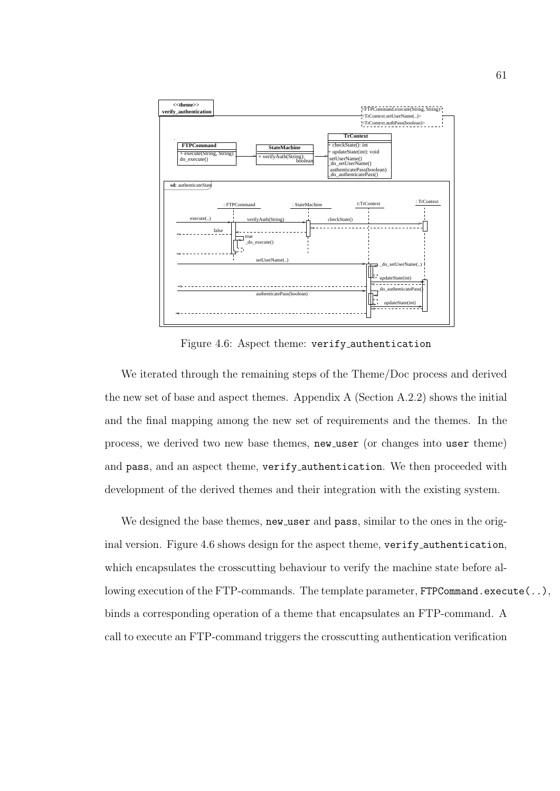

Figure 4.6: Aspect theme: verify authentication

We iterated through the remaining steps of the Theme/Doc process and derived the new set of base and aspect themes. Appendix  $A$  (Section  $A.2.2$ ) shows the initial and the final mapping among the new set of requirements and the themes. In the process, we derived two new base themes, new user (or changes into user theme) and pass, and an aspect theme, verify authentication. We then proceeded with development of the derived themes and their integration with the existing system.

We designed the base themes, new user and pass, similar to the ones in the original version. Figure 4.6 shows design for the aspect theme, verify authentication, which encapsulates the crosscutting behaviour to verify the machine state before allowing execution of the FTP-commands. The template parameter, FTPCommand.execute(..), binds a corresponding operation of a theme that encapsulates an FTP-command. A call to execute an FTP-command triggers the crosscutting authentication verification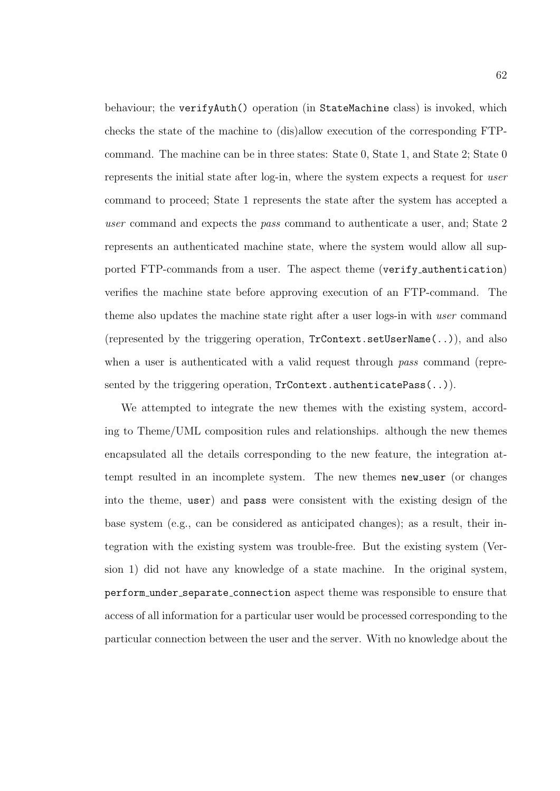behaviour; the verifyAuth() operation (in StateMachine class) is invoked, which checks the state of the machine to (dis)allow execution of the corresponding FTPcommand. The machine can be in three states: State 0, State 1, and State 2; State 0 represents the initial state after log-in, where the system expects a request for user command to proceed; State 1 represents the state after the system has accepted a user command and expects the pass command to authenticate a user, and; State 2 represents an authenticated machine state, where the system would allow all supported FTP-commands from a user. The aspect theme (verify authentication) verifies the machine state before approving execution of an FTP-command. The theme also updates the machine state right after a user logs-in with user command (represented by the triggering operation, TrContext.setUserName(..)), and also when a user is authenticated with a valid request through pass command (represented by the triggering operation, TrContext.authenticatePass(..)).

We attempted to integrate the new themes with the existing system, according to Theme/UML composition rules and relationships. although the new themes encapsulated all the details corresponding to the new feature, the integration attempt resulted in an incomplete system. The new themes new user (or changes into the theme, user) and pass were consistent with the existing design of the base system (e.g., can be considered as anticipated changes); as a result, their integration with the existing system was trouble-free. But the existing system (Version 1) did not have any knowledge of a state machine. In the original system, perform under separate connection aspect theme was responsible to ensure that access of all information for a particular user would be processed corresponding to the particular connection between the user and the server. With no knowledge about the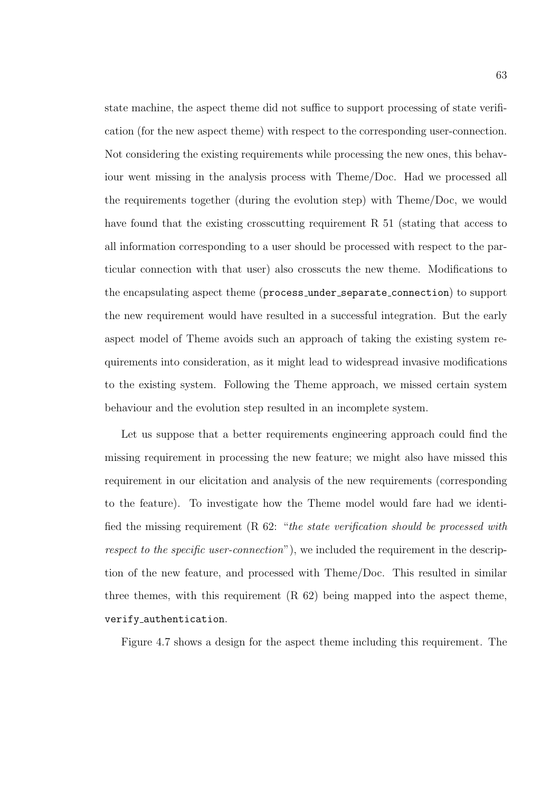state machine, the aspect theme did not suffice to support processing of state verification (for the new aspect theme) with respect to the corresponding user-connection. Not considering the existing requirements while processing the new ones, this behaviour went missing in the analysis process with Theme/Doc. Had we processed all the requirements together (during the evolution step) with Theme/Doc, we would have found that the existing crosscutting requirement R 51 (stating that access to all information corresponding to a user should be processed with respect to the particular connection with that user) also crosscuts the new theme. Modifications to the encapsulating aspect theme (process under separate connection) to support the new requirement would have resulted in a successful integration. But the early aspect model of Theme avoids such an approach of taking the existing system requirements into consideration, as it might lead to widespread invasive modifications to the existing system. Following the Theme approach, we missed certain system behaviour and the evolution step resulted in an incomplete system.

Let us suppose that a better requirements engineering approach could find the missing requirement in processing the new feature; we might also have missed this requirement in our elicitation and analysis of the new requirements (corresponding to the feature). To investigate how the Theme model would fare had we identified the missing requirement (R 62: "the state verification should be processed with respect to the specific user-connection"), we included the requirement in the description of the new feature, and processed with Theme/Doc. This resulted in similar three themes, with this requirement  $(R 62)$  being mapped into the aspect theme, verify authentication.

Figure 4.7 shows a design for the aspect theme including this requirement. The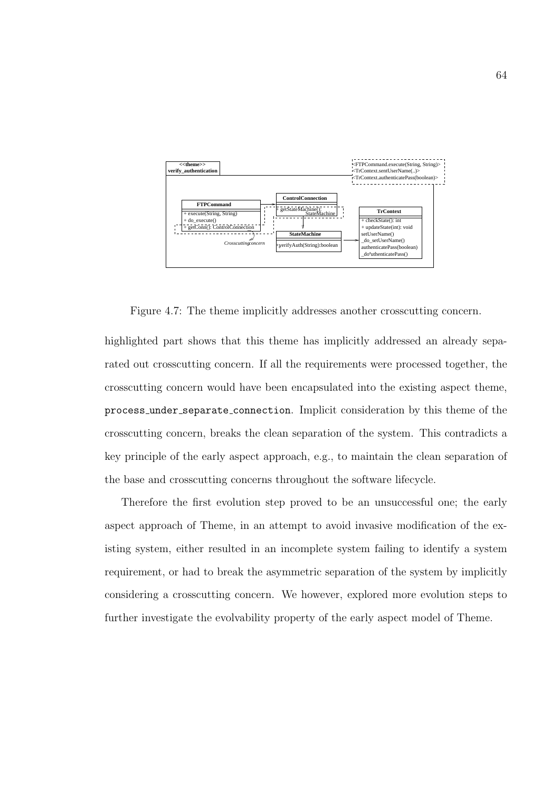

Figure 4.7: The theme implicitly addresses another crosscutting concern.

highlighted part shows that this theme has implicitly addressed an already separated out crosscutting concern. If all the requirements were processed together, the crosscutting concern would have been encapsulated into the existing aspect theme, process under separate connection. Implicit consideration by this theme of the crosscutting concern, breaks the clean separation of the system. This contradicts a key principle of the early aspect approach, e.g., to maintain the clean separation of the base and crosscutting concerns throughout the software lifecycle.

Therefore the first evolution step proved to be an unsuccessful one; the early aspect approach of Theme, in an attempt to avoid invasive modification of the existing system, either resulted in an incomplete system failing to identify a system requirement, or had to break the asymmetric separation of the system by implicitly considering a crosscutting concern. We however, explored more evolution steps to further investigate the evolvability property of the early aspect model of Theme.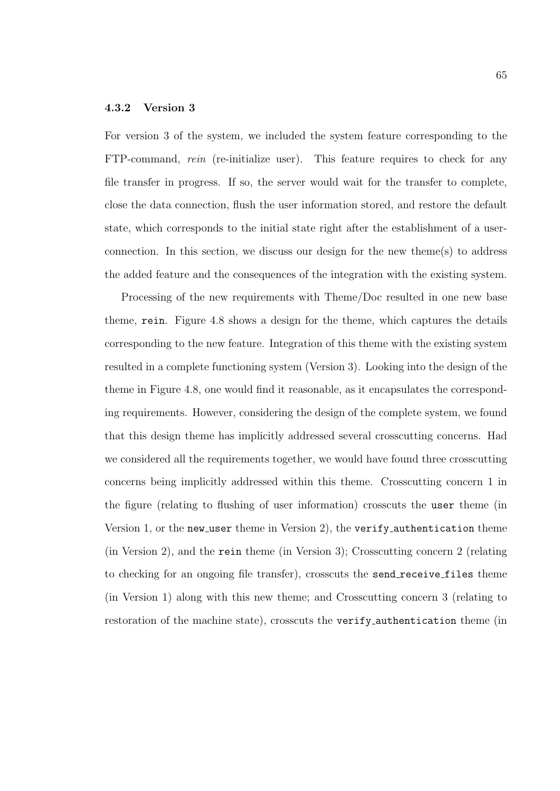#### 4.3.2 Version 3

For version 3 of the system, we included the system feature corresponding to the FTP-command, rein (re-initialize user). This feature requires to check for any file transfer in progress. If so, the server would wait for the transfer to complete, close the data connection, flush the user information stored, and restore the default state, which corresponds to the initial state right after the establishment of a userconnection. In this section, we discuss our design for the new theme(s) to address the added feature and the consequences of the integration with the existing system.

Processing of the new requirements with Theme/Doc resulted in one new base theme, rein. Figure 4.8 shows a design for the theme, which captures the details corresponding to the new feature. Integration of this theme with the existing system resulted in a complete functioning system (Version 3). Looking into the design of the theme in Figure 4.8, one would find it reasonable, as it encapsulates the corresponding requirements. However, considering the design of the complete system, we found that this design theme has implicitly addressed several crosscutting concerns. Had we considered all the requirements together, we would have found three crosscutting concerns being implicitly addressed within this theme. Crosscutting concern 1 in the figure (relating to flushing of user information) crosscuts the user theme (in Version 1, or the new user theme in Version 2), the verify authentication theme (in Version 2), and the rein theme (in Version 3); Crosscutting concern 2 (relating to checking for an ongoing file transfer), crosscuts the send receive files theme (in Version 1) along with this new theme; and Crosscutting concern 3 (relating to restoration of the machine state), crosscuts the verify authentication theme (in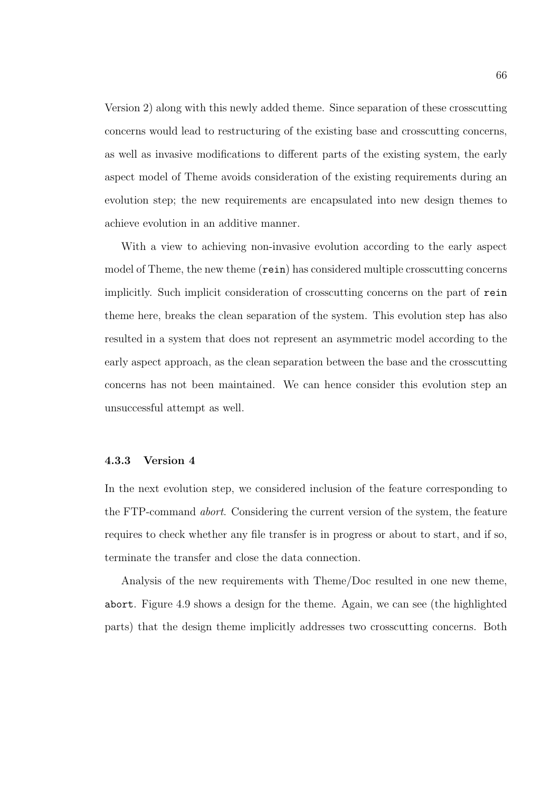Version 2) along with this newly added theme. Since separation of these crosscutting concerns would lead to restructuring of the existing base and crosscutting concerns, as well as invasive modifications to different parts of the existing system, the early aspect model of Theme avoids consideration of the existing requirements during an evolution step; the new requirements are encapsulated into new design themes to achieve evolution in an additive manner.

With a view to achieving non-invasive evolution according to the early aspect model of Theme, the new theme (rein) has considered multiple crosscutting concerns implicitly. Such implicit consideration of crosscutting concerns on the part of rein theme here, breaks the clean separation of the system. This evolution step has also resulted in a system that does not represent an asymmetric model according to the early aspect approach, as the clean separation between the base and the crosscutting concerns has not been maintained. We can hence consider this evolution step an unsuccessful attempt as well.

#### 4.3.3 Version 4

In the next evolution step, we considered inclusion of the feature corresponding to the FTP-command abort. Considering the current version of the system, the feature requires to check whether any file transfer is in progress or about to start, and if so, terminate the transfer and close the data connection.

Analysis of the new requirements with Theme/Doc resulted in one new theme, abort. Figure 4.9 shows a design for the theme. Again, we can see (the highlighted parts) that the design theme implicitly addresses two crosscutting concerns. Both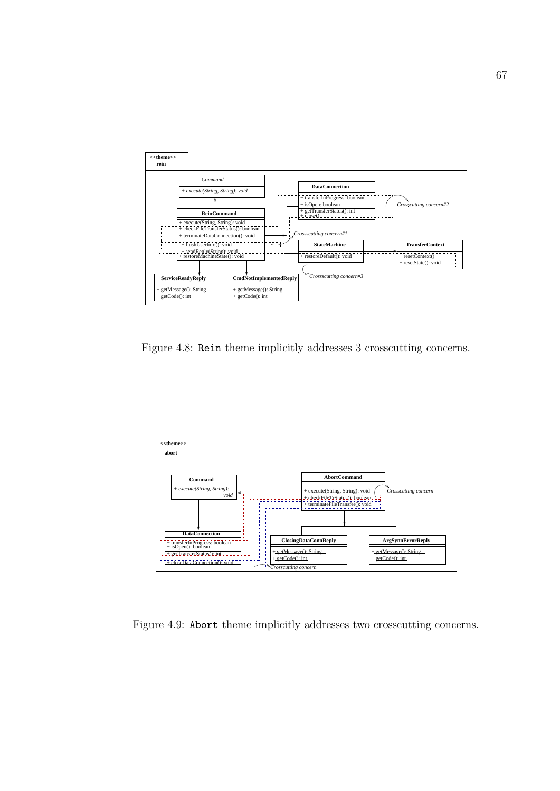

Figure 4.8: Rein theme implicitly addresses 3 crosscutting concerns.



Figure 4.9: Abort theme implicitly addresses two crosscutting concerns.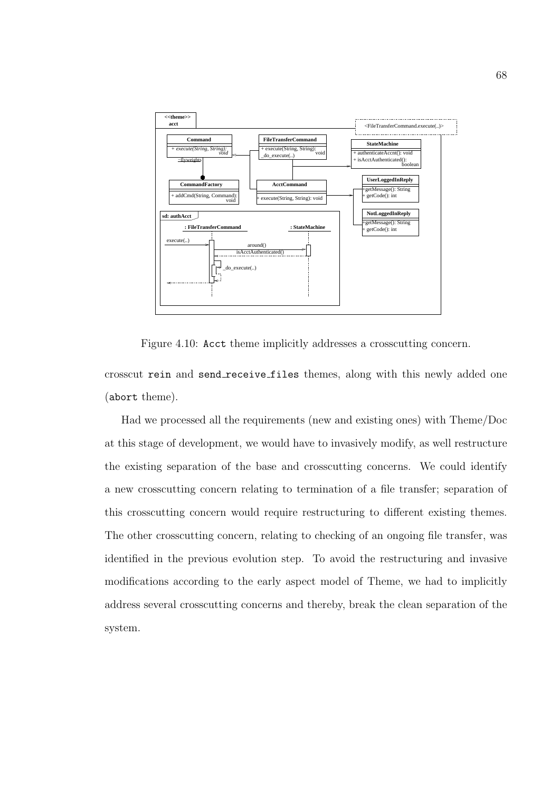

Figure 4.10: Acct theme implicitly addresses a crosscutting concern.

crosscut rein and send receive files themes, along with this newly added one (abort theme).

Had we processed all the requirements (new and existing ones) with Theme/Doc at this stage of development, we would have to invasively modify, as well restructure the existing separation of the base and crosscutting concerns. We could identify a new crosscutting concern relating to termination of a file transfer; separation of this crosscutting concern would require restructuring to different existing themes. The other crosscutting concern, relating to checking of an ongoing file transfer, was identified in the previous evolution step. To avoid the restructuring and invasive modifications according to the early aspect model of Theme, we had to implicitly address several crosscutting concerns and thereby, break the clean separation of the system.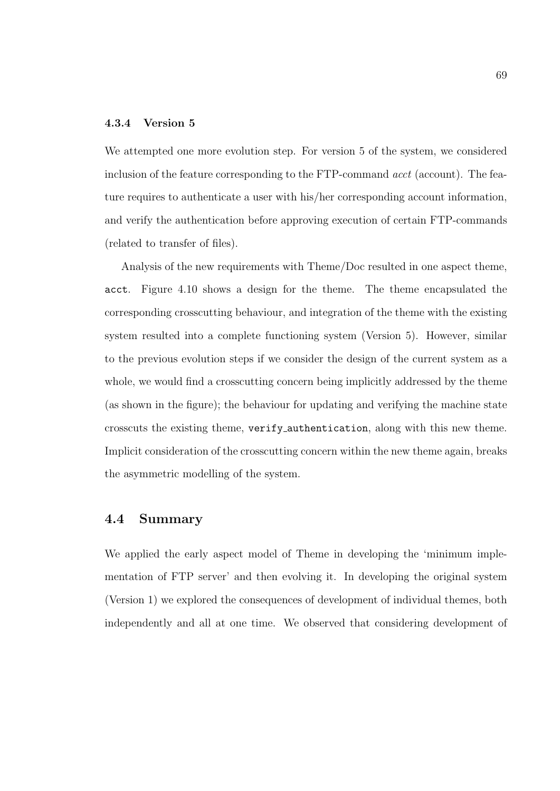#### 4.3.4 Version 5

We attempted one more evolution step. For version 5 of the system, we considered inclusion of the feature corresponding to the FTP-command *acct* (account). The feature requires to authenticate a user with his/her corresponding account information, and verify the authentication before approving execution of certain FTP-commands (related to transfer of files).

Analysis of the new requirements with Theme/Doc resulted in one aspect theme, acct. Figure 4.10 shows a design for the theme. The theme encapsulated the corresponding crosscutting behaviour, and integration of the theme with the existing system resulted into a complete functioning system (Version 5). However, similar to the previous evolution steps if we consider the design of the current system as a whole, we would find a crosscutting concern being implicitly addressed by the theme (as shown in the figure); the behaviour for updating and verifying the machine state crosscuts the existing theme, verify authentication, along with this new theme. Implicit consideration of the crosscutting concern within the new theme again, breaks the asymmetric modelling of the system.

## 4.4 Summary

We applied the early aspect model of Theme in developing the 'minimum implementation of FTP server' and then evolving it. In developing the original system (Version 1) we explored the consequences of development of individual themes, both independently and all at one time. We observed that considering development of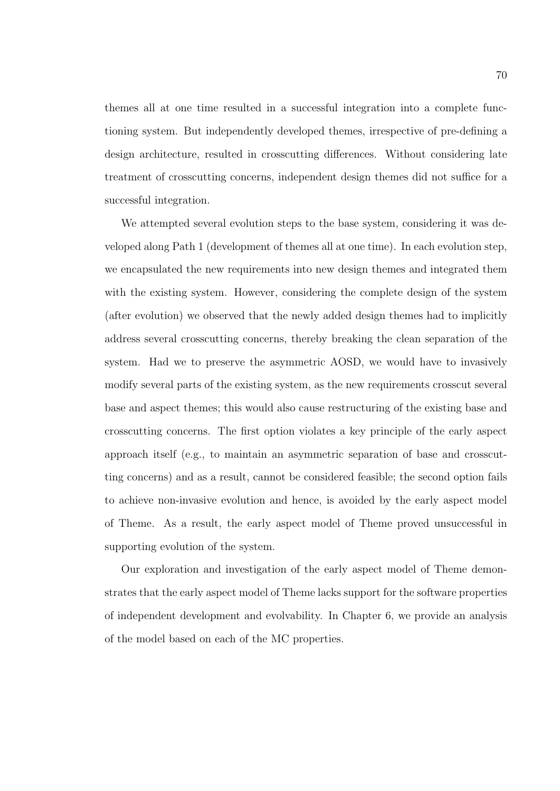themes all at one time resulted in a successful integration into a complete functioning system. But independently developed themes, irrespective of pre-defining a design architecture, resulted in crosscutting differences. Without considering late treatment of crosscutting concerns, independent design themes did not suffice for a successful integration.

We attempted several evolution steps to the base system, considering it was developed along Path 1 (development of themes all at one time). In each evolution step, we encapsulated the new requirements into new design themes and integrated them with the existing system. However, considering the complete design of the system (after evolution) we observed that the newly added design themes had to implicitly address several crosscutting concerns, thereby breaking the clean separation of the system. Had we to preserve the asymmetric AOSD, we would have to invasively modify several parts of the existing system, as the new requirements crosscut several base and aspect themes; this would also cause restructuring of the existing base and crosscutting concerns. The first option violates a key principle of the early aspect approach itself (e.g., to maintain an asymmetric separation of base and crosscutting concerns) and as a result, cannot be considered feasible; the second option fails to achieve non-invasive evolution and hence, is avoided by the early aspect model of Theme. As a result, the early aspect model of Theme proved unsuccessful in supporting evolution of the system.

Our exploration and investigation of the early aspect model of Theme demonstrates that the early aspect model of Theme lacks support for the software properties of independent development and evolvability. In Chapter 6, we provide an analysis of the model based on each of the MC properties.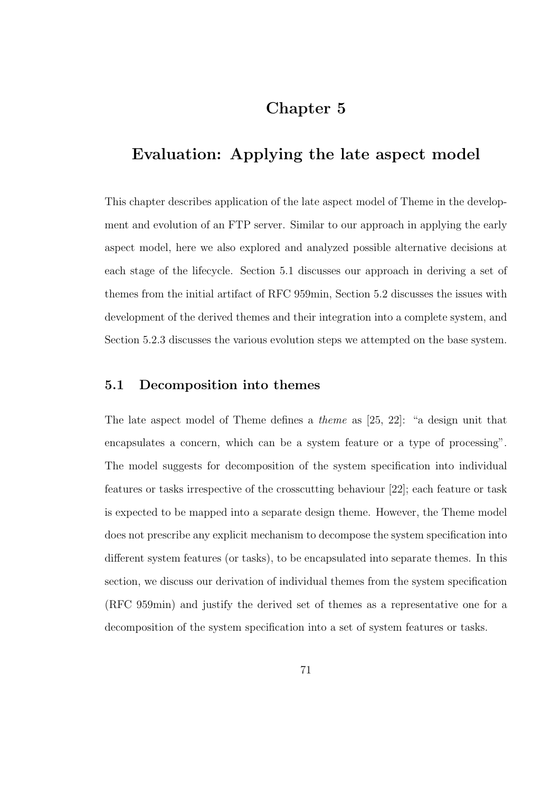# Chapter 5

# Evaluation: Applying the late aspect model

This chapter describes application of the late aspect model of Theme in the development and evolution of an FTP server. Similar to our approach in applying the early aspect model, here we also explored and analyzed possible alternative decisions at each stage of the lifecycle. Section 5.1 discusses our approach in deriving a set of themes from the initial artifact of RFC 959min, Section 5.2 discusses the issues with development of the derived themes and their integration into a complete system, and Section 5.2.3 discusses the various evolution steps we attempted on the base system.

## 5.1 Decomposition into themes

The late aspect model of Theme defines a theme as [25, 22]: "a design unit that encapsulates a concern, which can be a system feature or a type of processing". The model suggests for decomposition of the system specification into individual features or tasks irrespective of the crosscutting behaviour [22]; each feature or task is expected to be mapped into a separate design theme. However, the Theme model does not prescribe any explicit mechanism to decompose the system specification into different system features (or tasks), to be encapsulated into separate themes. In this section, we discuss our derivation of individual themes from the system specification (RFC 959min) and justify the derived set of themes as a representative one for a decomposition of the system specification into a set of system features or tasks.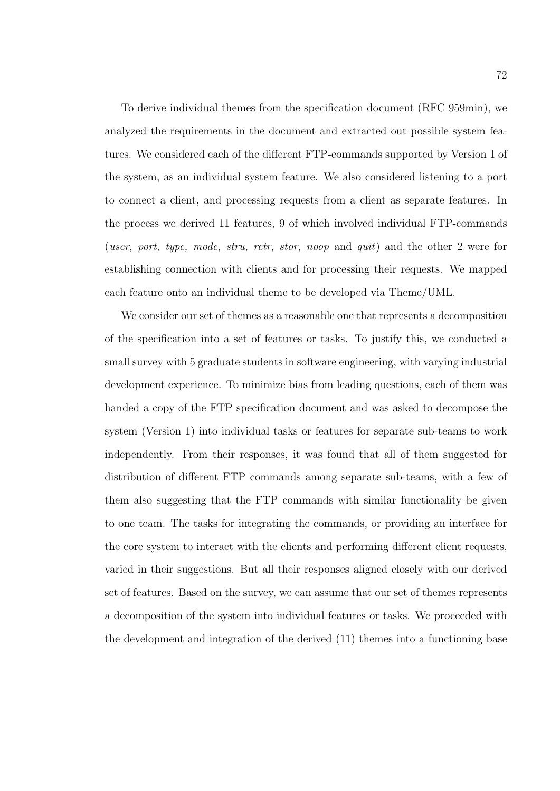To derive individual themes from the specification document (RFC 959min), we analyzed the requirements in the document and extracted out possible system features. We considered each of the different FTP-commands supported by Version 1 of the system, as an individual system feature. We also considered listening to a port to connect a client, and processing requests from a client as separate features. In the process we derived 11 features, 9 of which involved individual FTP-commands (user, port, type, mode, stru, retr, stor, noop and quit) and the other 2 were for establishing connection with clients and for processing their requests. We mapped each feature onto an individual theme to be developed via Theme/UML.

We consider our set of themes as a reasonable one that represents a decomposition of the specification into a set of features or tasks. To justify this, we conducted a small survey with 5 graduate students in software engineering, with varying industrial development experience. To minimize bias from leading questions, each of them was handed a copy of the FTP specification document and was asked to decompose the system (Version 1) into individual tasks or features for separate sub-teams to work independently. From their responses, it was found that all of them suggested for distribution of different FTP commands among separate sub-teams, with a few of them also suggesting that the FTP commands with similar functionality be given to one team. The tasks for integrating the commands, or providing an interface for the core system to interact with the clients and performing different client requests, varied in their suggestions. But all their responses aligned closely with our derived set of features. Based on the survey, we can assume that our set of themes represents a decomposition of the system into individual features or tasks. We proceeded with the development and integration of the derived (11) themes into a functioning base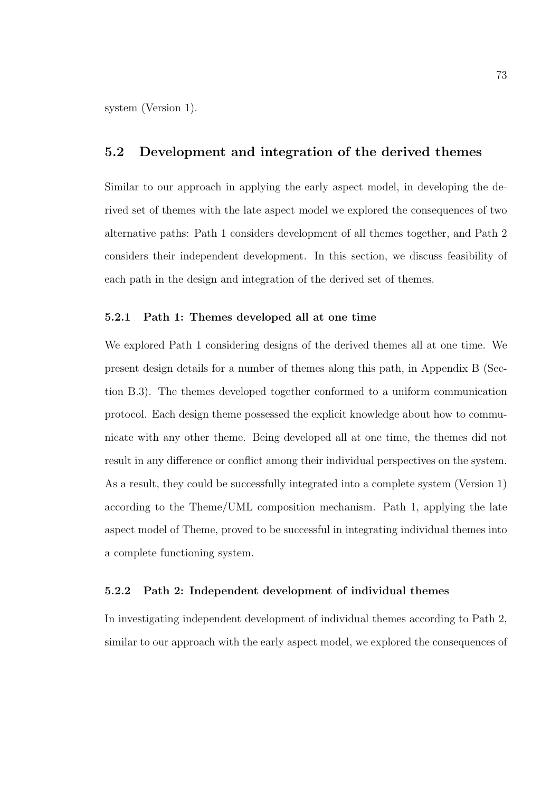system (Version 1).

## 5.2 Development and integration of the derived themes

Similar to our approach in applying the early aspect model, in developing the derived set of themes with the late aspect model we explored the consequences of two alternative paths: Path 1 considers development of all themes together, and Path 2 considers their independent development. In this section, we discuss feasibility of each path in the design and integration of the derived set of themes.

#### 5.2.1 Path 1: Themes developed all at one time

We explored Path 1 considering designs of the derived themes all at one time. We present design details for a number of themes along this path, in Appendix B (Section B.3). The themes developed together conformed to a uniform communication protocol. Each design theme possessed the explicit knowledge about how to communicate with any other theme. Being developed all at one time, the themes did not result in any difference or conflict among their individual perspectives on the system. As a result, they could be successfully integrated into a complete system (Version 1) according to the Theme/UML composition mechanism. Path 1, applying the late aspect model of Theme, proved to be successful in integrating individual themes into a complete functioning system.

#### 5.2.2 Path 2: Independent development of individual themes

In investigating independent development of individual themes according to Path 2, similar to our approach with the early aspect model, we explored the consequences of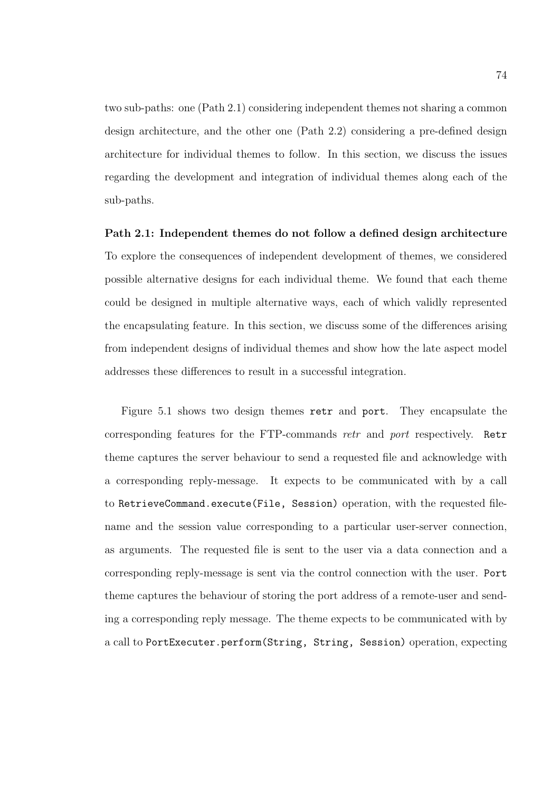two sub-paths: one (Path 2.1) considering independent themes not sharing a common design architecture, and the other one (Path 2.2) considering a pre-defined design architecture for individual themes to follow. In this section, we discuss the issues regarding the development and integration of individual themes along each of the sub-paths.

### Path 2.1: Independent themes do not follow a defined design architecture

To explore the consequences of independent development of themes, we considered possible alternative designs for each individual theme. We found that each theme could be designed in multiple alternative ways, each of which validly represented the encapsulating feature. In this section, we discuss some of the differences arising from independent designs of individual themes and show how the late aspect model addresses these differences to result in a successful integration.

Figure 5.1 shows two design themes retr and port. They encapsulate the corresponding features for the FTP-commands retr and port respectively. Retr theme captures the server behaviour to send a requested file and acknowledge with a corresponding reply-message. It expects to be communicated with by a call to RetrieveCommand.execute(File, Session) operation, with the requested filename and the session value corresponding to a particular user-server connection, as arguments. The requested file is sent to the user via a data connection and a corresponding reply-message is sent via the control connection with the user. Port theme captures the behaviour of storing the port address of a remote-user and sending a corresponding reply message. The theme expects to be communicated with by a call to PortExecuter.perform(String, String, Session) operation, expecting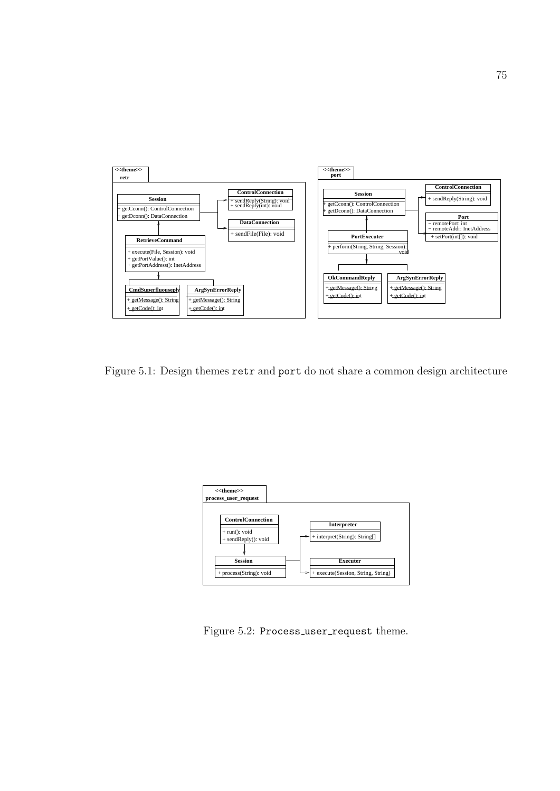

Figure 5.1: Design themes retr and port do not share a common design architecture



Figure 5.2: Process\_user\_request theme.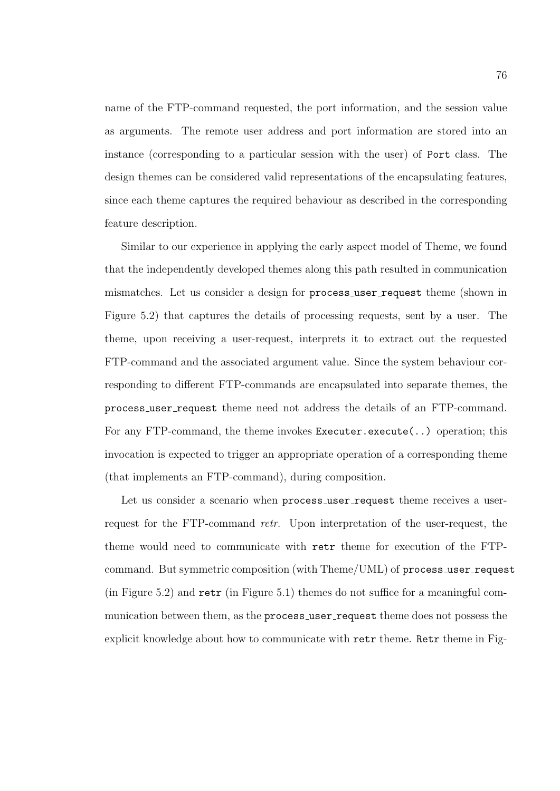name of the FTP-command requested, the port information, and the session value as arguments. The remote user address and port information are stored into an instance (corresponding to a particular session with the user) of Port class. The design themes can be considered valid representations of the encapsulating features, since each theme captures the required behaviour as described in the corresponding feature description.

Similar to our experience in applying the early aspect model of Theme, we found that the independently developed themes along this path resulted in communication mismatches. Let us consider a design for process user request theme (shown in Figure 5.2) that captures the details of processing requests, sent by a user. The theme, upon receiving a user-request, interprets it to extract out the requested FTP-command and the associated argument value. Since the system behaviour corresponding to different FTP-commands are encapsulated into separate themes, the process user request theme need not address the details of an FTP-command. For any FTP-command, the theme invokes Executer.execute(..) operation; this invocation is expected to trigger an appropriate operation of a corresponding theme (that implements an FTP-command), during composition.

Let us consider a scenario when process\_user\_request theme receives a userrequest for the FTP-command retr. Upon interpretation of the user-request, the theme would need to communicate with retr theme for execution of the FTPcommand. But symmetric composition (with Theme/UML) of process\_user\_request (in Figure 5.2) and retr (in Figure 5.1) themes do not suffice for a meaningful communication between them, as the process\_user\_request theme does not possess the explicit knowledge about how to communicate with retr theme. Retr theme in Fig-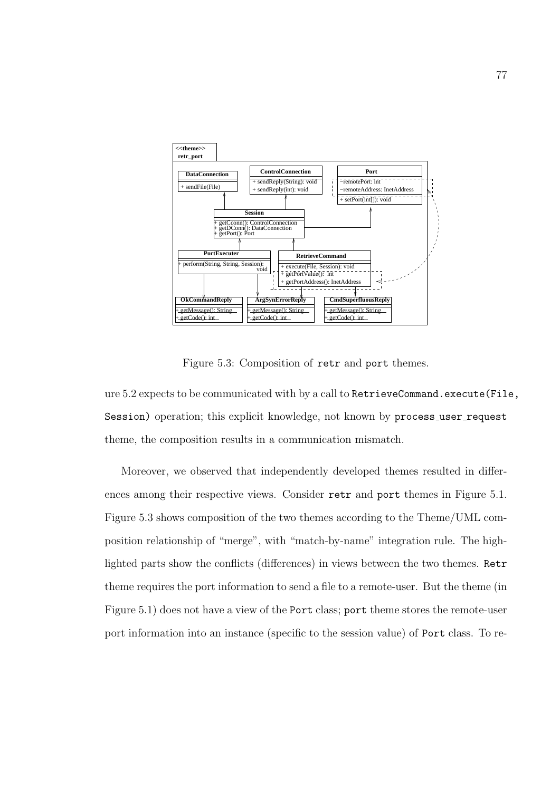

Figure 5.3: Composition of retr and port themes.

ure 5.2 expects to be communicated with by a call to RetrieveCommand.execute(File, Session) operation; this explicit knowledge, not known by process\_user\_request theme, the composition results in a communication mismatch.

Moreover, we observed that independently developed themes resulted in differences among their respective views. Consider retr and port themes in Figure 5.1. Figure 5.3 shows composition of the two themes according to the Theme/UML composition relationship of "merge", with "match-by-name" integration rule. The highlighted parts show the conflicts (differences) in views between the two themes. Retr theme requires the port information to send a file to a remote-user. But the theme (in Figure 5.1) does not have a view of the Port class; port theme stores the remote-user port information into an instance (specific to the session value) of Port class. To re-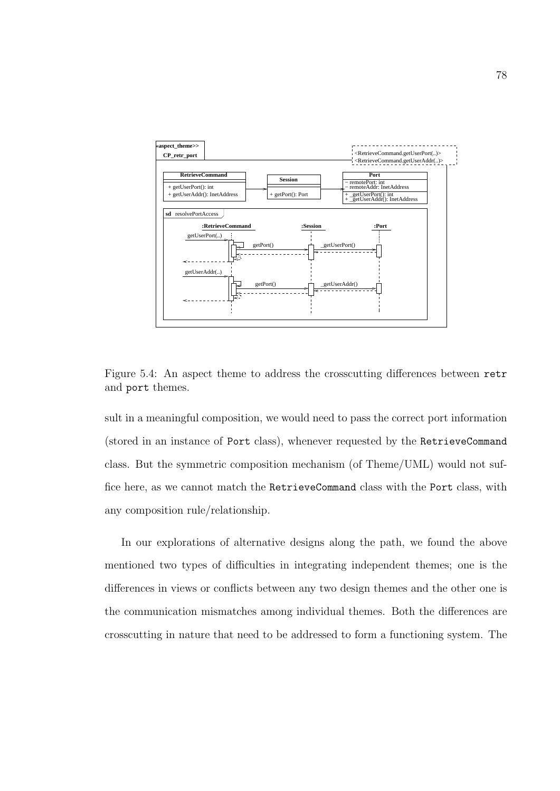

Figure 5.4: An aspect theme to address the crosscutting differences between retr and port themes.

sult in a meaningful composition, we would need to pass the correct port information (stored in an instance of Port class), whenever requested by the RetrieveCommand class. But the symmetric composition mechanism (of Theme/UML) would not suffice here, as we cannot match the RetrieveCommand class with the Port class, with any composition rule/relationship.

In our explorations of alternative designs along the path, we found the above mentioned two types of difficulties in integrating independent themes; one is the differences in views or conflicts between any two design themes and the other one is the communication mismatches among individual themes. Both the differences are crosscutting in nature that need to be addressed to form a functioning system. The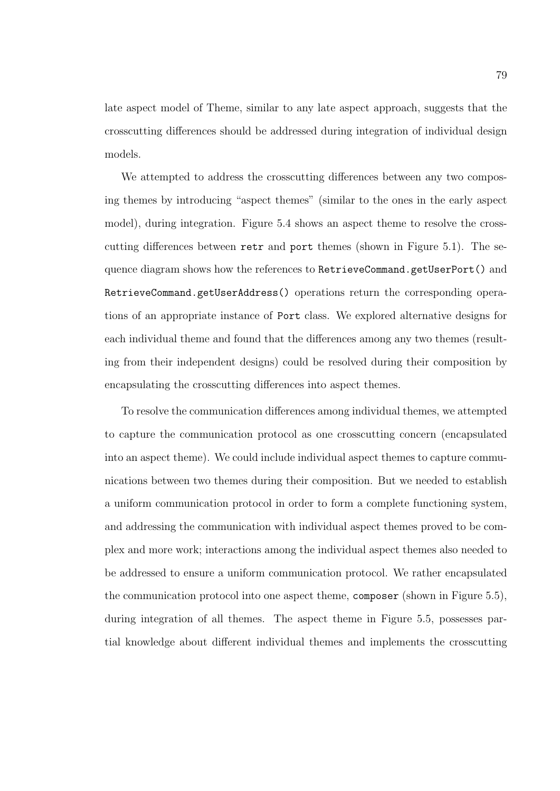late aspect model of Theme, similar to any late aspect approach, suggests that the crosscutting differences should be addressed during integration of individual design models.

We attempted to address the crosscutting differences between any two composing themes by introducing "aspect themes" (similar to the ones in the early aspect model), during integration. Figure 5.4 shows an aspect theme to resolve the crosscutting differences between retr and port themes (shown in Figure 5.1). The sequence diagram shows how the references to RetrieveCommand.getUserPort() and RetrieveCommand.getUserAddress() operations return the corresponding operations of an appropriate instance of Port class. We explored alternative designs for each individual theme and found that the differences among any two themes (resulting from their independent designs) could be resolved during their composition by encapsulating the crosscutting differences into aspect themes.

To resolve the communication differences among individual themes, we attempted to capture the communication protocol as one crosscutting concern (encapsulated into an aspect theme). We could include individual aspect themes to capture communications between two themes during their composition. But we needed to establish a uniform communication protocol in order to form a complete functioning system, and addressing the communication with individual aspect themes proved to be complex and more work; interactions among the individual aspect themes also needed to be addressed to ensure a uniform communication protocol. We rather encapsulated the communication protocol into one aspect theme, composer (shown in Figure 5.5), during integration of all themes. The aspect theme in Figure 5.5, possesses partial knowledge about different individual themes and implements the crosscutting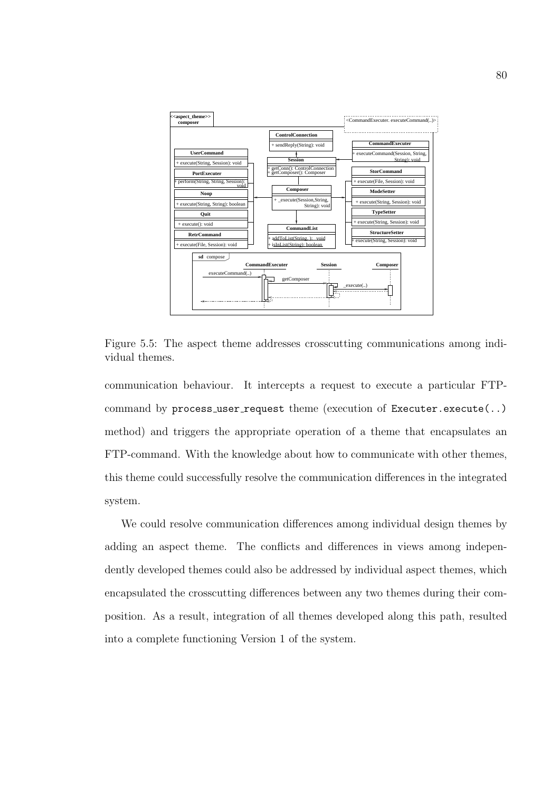

Figure 5.5: The aspect theme addresses crosscutting communications among individual themes.

communication behaviour. It intercepts a request to execute a particular FTPcommand by process\_user\_request theme (execution of Executer.execute(..) method) and triggers the appropriate operation of a theme that encapsulates an FTP-command. With the knowledge about how to communicate with other themes, this theme could successfully resolve the communication differences in the integrated system.

We could resolve communication differences among individual design themes by adding an aspect theme. The conflicts and differences in views among independently developed themes could also be addressed by individual aspect themes, which encapsulated the crosscutting differences between any two themes during their composition. As a result, integration of all themes developed along this path, resulted into a complete functioning Version 1 of the system.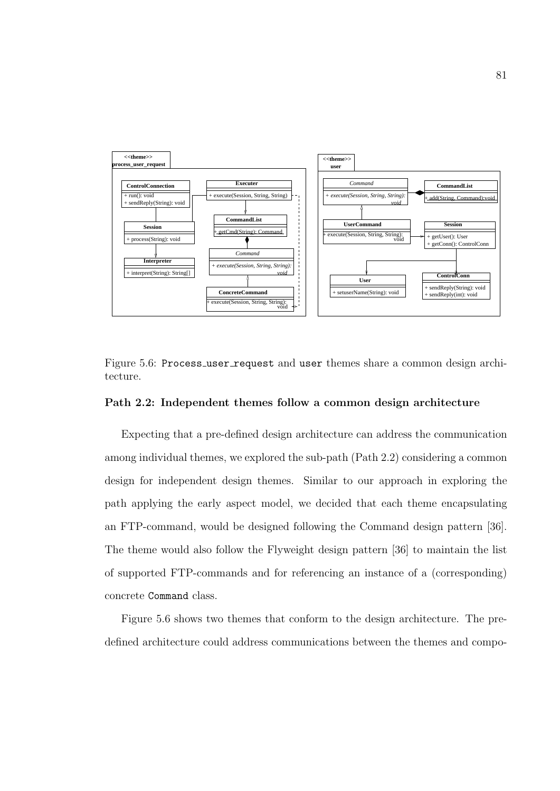

Figure 5.6: Process\_user\_request and user themes share a common design architecture.

#### Path 2.2: Independent themes follow a common design architecture

Expecting that a pre-defined design architecture can address the communication among individual themes, we explored the sub-path (Path 2.2) considering a common design for independent design themes. Similar to our approach in exploring the path applying the early aspect model, we decided that each theme encapsulating an FTP-command, would be designed following the Command design pattern [36]. The theme would also follow the Flyweight design pattern [36] to maintain the list of supported FTP-commands and for referencing an instance of a (corresponding) concrete Command class.

Figure 5.6 shows two themes that conform to the design architecture. The predefined architecture could address communications between the themes and compo-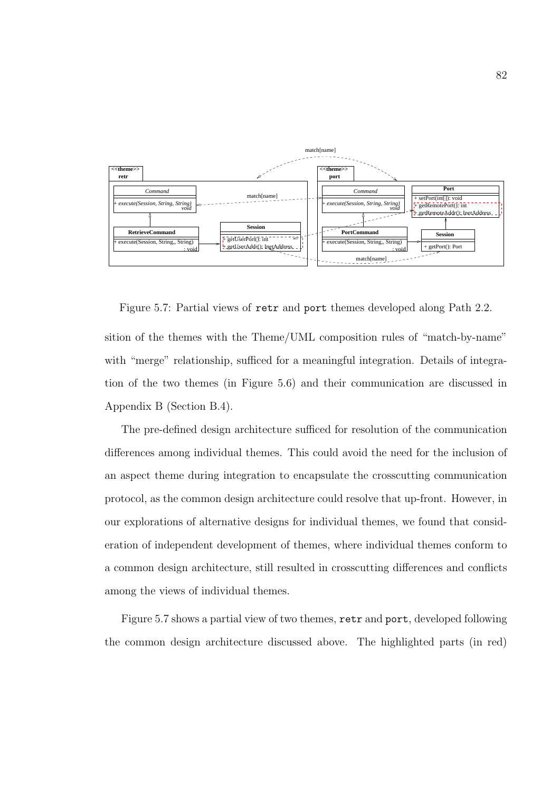

Figure 5.7: Partial views of retr and port themes developed along Path 2.2.

sition of the themes with the Theme/UML composition rules of "match-by-name" with "merge" relationship, sufficed for a meaningful integration. Details of integration of the two themes (in Figure 5.6) and their communication are discussed in Appendix B (Section B.4).

The pre-defined design architecture sufficed for resolution of the communication differences among individual themes. This could avoid the need for the inclusion of an aspect theme during integration to encapsulate the crosscutting communication protocol, as the common design architecture could resolve that up-front. However, in our explorations of alternative designs for individual themes, we found that consideration of independent development of themes, where individual themes conform to a common design architecture, still resulted in crosscutting differences and conflicts among the views of individual themes.

Figure 5.7 shows a partial view of two themes, retr and port, developed following the common design architecture discussed above. The highlighted parts (in red)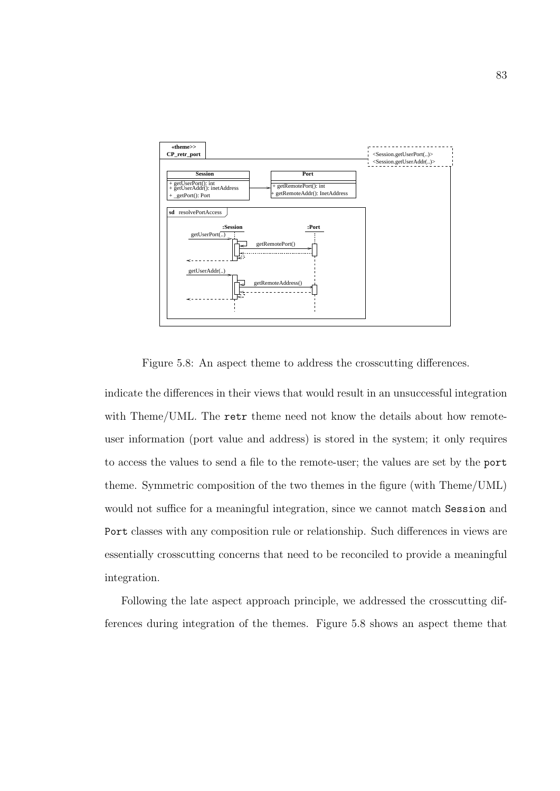

Figure 5.8: An aspect theme to address the crosscutting differences.

indicate the differences in their views that would result in an unsuccessful integration with Theme/UML. The retr theme need not know the details about how remoteuser information (port value and address) is stored in the system; it only requires to access the values to send a file to the remote-user; the values are set by the port theme. Symmetric composition of the two themes in the figure (with Theme/UML) would not suffice for a meaningful integration, since we cannot match Session and Port classes with any composition rule or relationship. Such differences in views are essentially crosscutting concerns that need to be reconciled to provide a meaningful integration.

Following the late aspect approach principle, we addressed the crosscutting differences during integration of the themes. Figure 5.8 shows an aspect theme that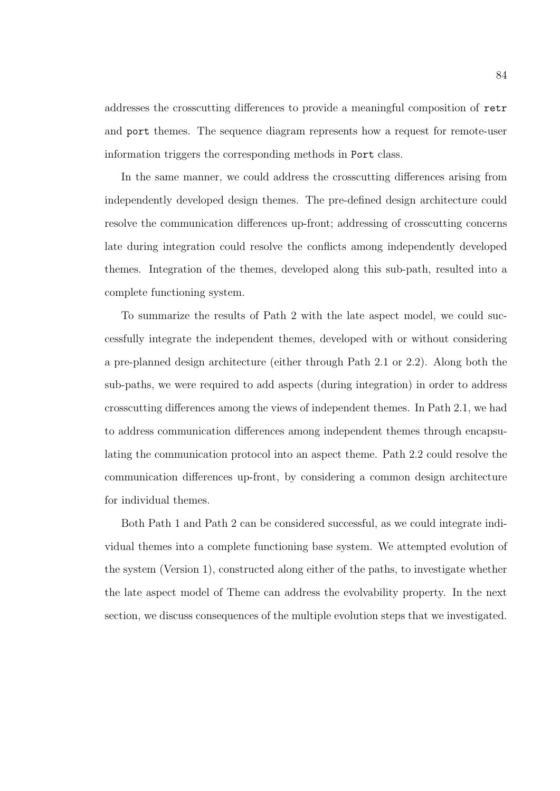addresses the crosscutting differences to provide a meaningful composition of retr and port themes. The sequence diagram represents how a request for remote-user information triggers the corresponding methods in Port class.

In the same manner, we could address the crosscutting differences arising from independently developed design themes. The pre-defined design architecture could resolve the communication differences up-front; addressing of crosscutting concerns late during integration could resolve the conflicts among independently developed themes. Integration of the themes, developed along this sub-path, resulted into a complete functioning system.

To summarize the results of Path 2 with the late aspect model, we could successfully integrate the independent themes, developed with or without considering a pre-planned design architecture (either through Path 2.1 or 2.2). Along both the sub-paths, we were required to add aspects (during integration) in order to address crosscutting differences among the views of independent themes. In Path 2.1, we had to address communication differences among independent themes through encapsulating the communication protocol into an aspect theme. Path 2.2 could resolve the communication differences up-front, by considering a common design architecture for individual themes.

Both Path 1 and Path 2 can be considered successful, as we could integrate individual themes into a complete functioning base system. We attempted evolution of the system (Version 1), constructed along either of the paths, to investigate whether the late aspect model of Theme can address the evolvability property. In the next section, we discuss consequences of the multiple evolution steps that we investigated.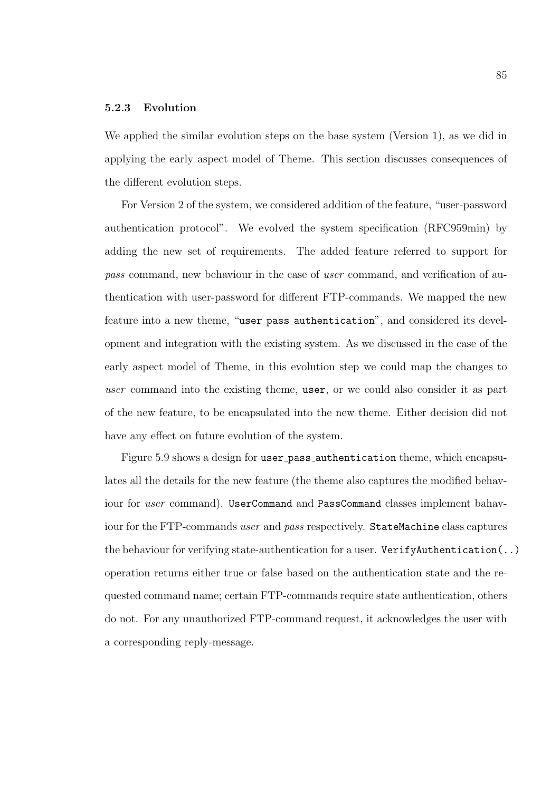### 5.2.3 Evolution

We applied the similar evolution steps on the base system (Version 1), as we did in applying the early aspect model of Theme. This section discusses consequences of the different evolution steps.

For Version 2 of the system, we considered addition of the feature, "user-password authentication protocol". We evolved the system specification (RFC959min) by adding the new set of requirements. The added feature referred to support for pass command, new behaviour in the case of user command, and verification of authentication with user-password for different FTP-commands. We mapped the new feature into a new theme, "user pass authentication", and considered its development and integration with the existing system. As we discussed in the case of the early aspect model of Theme, in this evolution step we could map the changes to user command into the existing theme, user, or we could also consider it as part of the new feature, to be encapsulated into the new theme. Either decision did not have any effect on future evolution of the system.

Figure 5.9 shows a design for user pass authentication theme, which encapsulates all the details for the new feature (the theme also captures the modified behaviour for user command). UserCommand and PassCommand classes implement bahaviour for the FTP-commands user and pass respectively. StateMachine class captures the behaviour for verifying state-authentication for a user. VerifyAuthentication(..) operation returns either true or false based on the authentication state and the requested command name; certain FTP-commands require state authentication, others do not. For any unauthorized FTP-command request, it acknowledges the user with a corresponding reply-message.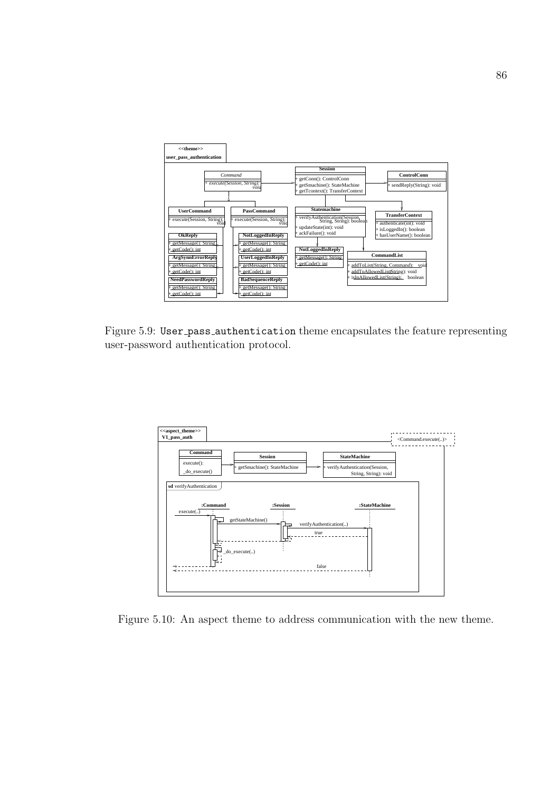

Figure 5.9: User pass authentication theme encapsulates the feature representing user-password authentication protocol.



Figure 5.10: An aspect theme to address communication with the new theme.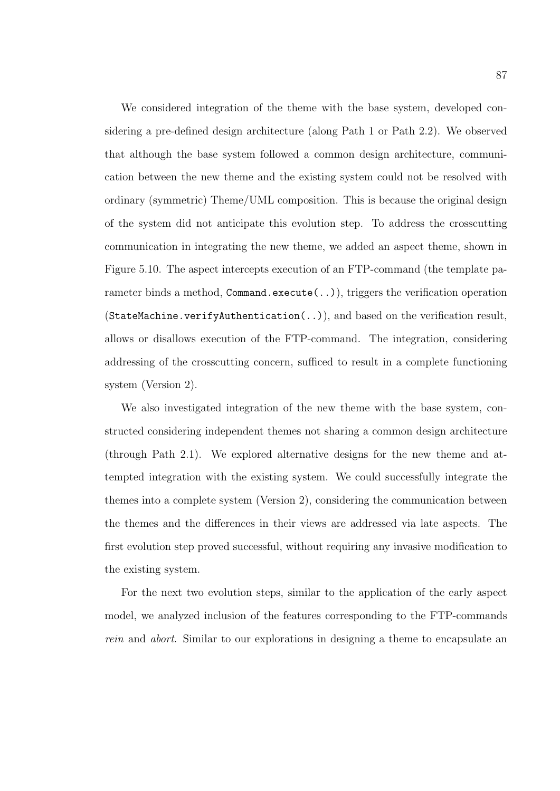We considered integration of the theme with the base system, developed considering a pre-defined design architecture (along Path 1 or Path 2.2). We observed that although the base system followed a common design architecture, communication between the new theme and the existing system could not be resolved with ordinary (symmetric) Theme/UML composition. This is because the original design of the system did not anticipate this evolution step. To address the crosscutting communication in integrating the new theme, we added an aspect theme, shown in Figure 5.10. The aspect intercepts execution of an FTP-command (the template parameter binds a method, Command.execute(..)), triggers the verification operation  $(Statementlication(...))$ , and based on the verification result, allows or disallows execution of the FTP-command. The integration, considering addressing of the crosscutting concern, sufficed to result in a complete functioning system (Version 2).

We also investigated integration of the new theme with the base system, constructed considering independent themes not sharing a common design architecture (through Path 2.1). We explored alternative designs for the new theme and attempted integration with the existing system. We could successfully integrate the themes into a complete system (Version 2), considering the communication between the themes and the differences in their views are addressed via late aspects. The first evolution step proved successful, without requiring any invasive modification to the existing system.

For the next two evolution steps, similar to the application of the early aspect model, we analyzed inclusion of the features corresponding to the FTP-commands rein and abort. Similar to our explorations in designing a theme to encapsulate an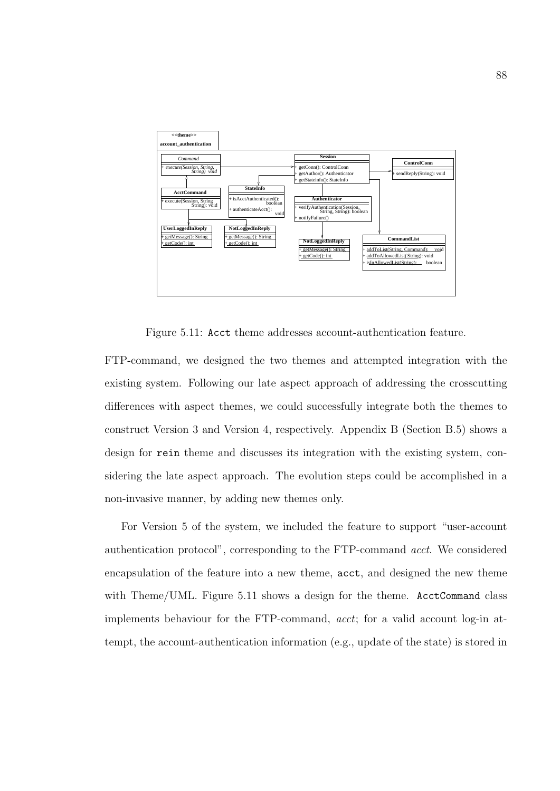

Figure 5.11: Acct theme addresses account-authentication feature.

FTP-command, we designed the two themes and attempted integration with the existing system. Following our late aspect approach of addressing the crosscutting differences with aspect themes, we could successfully integrate both the themes to construct Version 3 and Version 4, respectively. Appendix B (Section B.5) shows a design for rein theme and discusses its integration with the existing system, considering the late aspect approach. The evolution steps could be accomplished in a non-invasive manner, by adding new themes only.

For Version 5 of the system, we included the feature to support "user-account authentication protocol", corresponding to the FTP-command acct. We considered encapsulation of the feature into a new theme, acct, and designed the new theme with Theme/UML. Figure 5.11 shows a design for the theme. AcctCommand class implements behaviour for the FTP-command, acct; for a valid account log-in attempt, the account-authentication information (e.g., update of the state) is stored in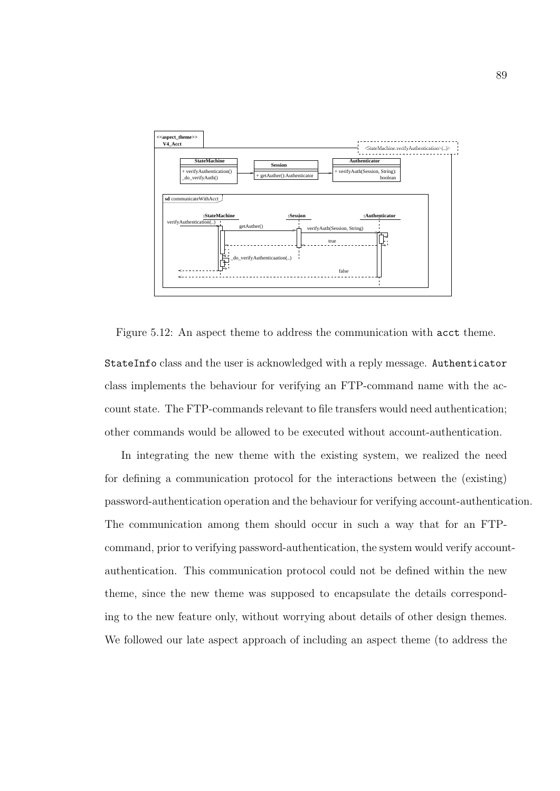

Figure 5.12: An aspect theme to address the communication with acct theme.

StateInfo class and the user is acknowledged with a reply message. Authenticator class implements the behaviour for verifying an FTP-command name with the account state. The FTP-commands relevant to file transfers would need authentication; other commands would be allowed to be executed without account-authentication.

In integrating the new theme with the existing system, we realized the need for defining a communication protocol for the interactions between the (existing) password-authentication operation and the behaviour for verifying account-authentication. The communication among them should occur in such a way that for an FTPcommand, prior to verifying password-authentication, the system would verify accountauthentication. This communication protocol could not be defined within the new theme, since the new theme was supposed to encapsulate the details corresponding to the new feature only, without worrying about details of other design themes. We followed our late aspect approach of including an aspect theme (to address the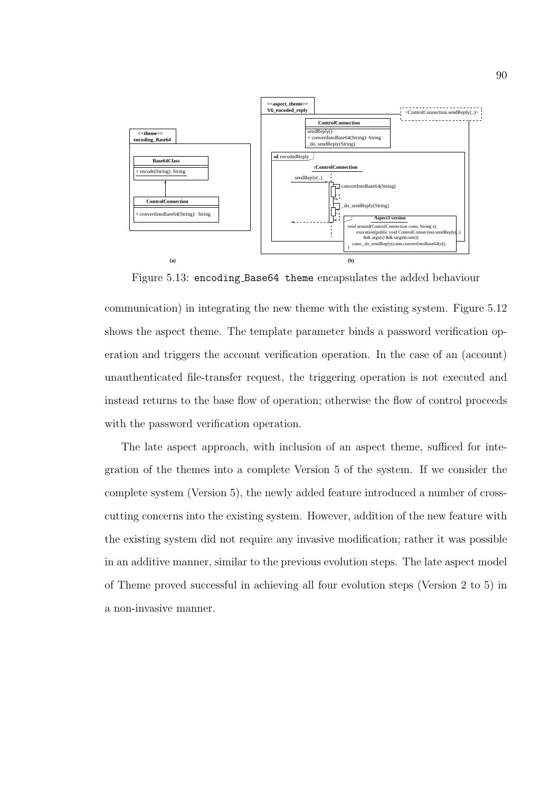

Figure 5.13: encoding Base64 theme encapsulates the added behaviour

communication) in integrating the new theme with the existing system. Figure 5.12 shows the aspect theme. The template parameter binds a password verification operation and triggers the account verification operation. In the case of an (account) unauthenticated file-transfer request, the triggering operation is not executed and instead returns to the base flow of operation; otherwise the flow of control proceeds with the password verification operation.

The late aspect approach, with inclusion of an aspect theme, sufficed for integration of the themes into a complete Version 5 of the system. If we consider the complete system (Version 5), the newly added feature introduced a number of crosscutting concerns into the existing system. However, addition of the new feature with the existing system did not require any invasive modification; rather it was possible in an additive manner, similar to the previous evolution steps. The late aspect model of Theme proved successful in achieving all four evolution steps (Version 2 to 5) in a non-invasive manner.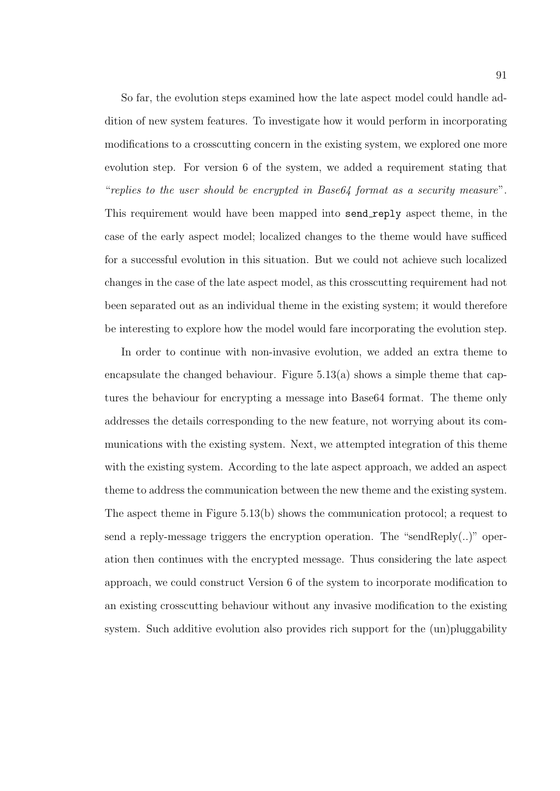So far, the evolution steps examined how the late aspect model could handle addition of new system features. To investigate how it would perform in incorporating modifications to a crosscutting concern in the existing system, we explored one more evolution step. For version 6 of the system, we added a requirement stating that "replies to the user should be encrypted in Base64 format as a security measure". This requirement would have been mapped into send reply aspect theme, in the case of the early aspect model; localized changes to the theme would have sufficed for a successful evolution in this situation. But we could not achieve such localized changes in the case of the late aspect model, as this crosscutting requirement had not been separated out as an individual theme in the existing system; it would therefore be interesting to explore how the model would fare incorporating the evolution step.

In order to continue with non-invasive evolution, we added an extra theme to encapsulate the changed behaviour. Figure  $5.13(a)$  shows a simple theme that captures the behaviour for encrypting a message into Base64 format. The theme only addresses the details corresponding to the new feature, not worrying about its communications with the existing system. Next, we attempted integration of this theme with the existing system. According to the late aspect approach, we added an aspect theme to address the communication between the new theme and the existing system. The aspect theme in Figure 5.13(b) shows the communication protocol; a request to send a reply-message triggers the encryption operation. The "sendReply(..)" operation then continues with the encrypted message. Thus considering the late aspect approach, we could construct Version 6 of the system to incorporate modification to an existing crosscutting behaviour without any invasive modification to the existing system. Such additive evolution also provides rich support for the (un)pluggability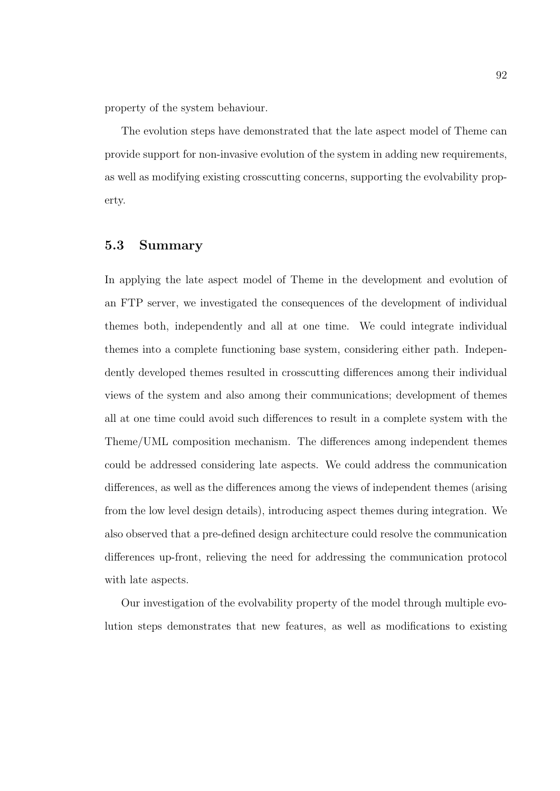property of the system behaviour.

The evolution steps have demonstrated that the late aspect model of Theme can provide support for non-invasive evolution of the system in adding new requirements, as well as modifying existing crosscutting concerns, supporting the evolvability property.

## 5.3 Summary

In applying the late aspect model of Theme in the development and evolution of an FTP server, we investigated the consequences of the development of individual themes both, independently and all at one time. We could integrate individual themes into a complete functioning base system, considering either path. Independently developed themes resulted in crosscutting differences among their individual views of the system and also among their communications; development of themes all at one time could avoid such differences to result in a complete system with the Theme/UML composition mechanism. The differences among independent themes could be addressed considering late aspects. We could address the communication differences, as well as the differences among the views of independent themes (arising from the low level design details), introducing aspect themes during integration. We also observed that a pre-defined design architecture could resolve the communication differences up-front, relieving the need for addressing the communication protocol with late aspects.

Our investigation of the evolvability property of the model through multiple evolution steps demonstrates that new features, as well as modifications to existing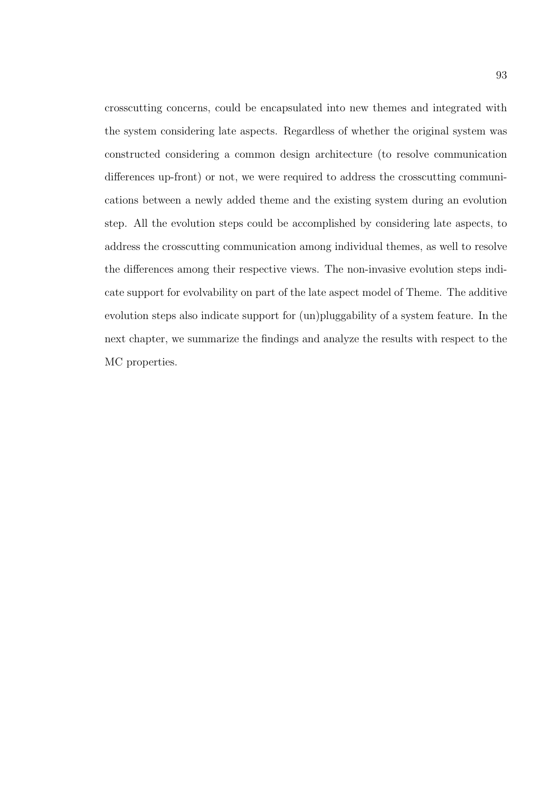crosscutting concerns, could be encapsulated into new themes and integrated with the system considering late aspects. Regardless of whether the original system was constructed considering a common design architecture (to resolve communication differences up-front) or not, we were required to address the crosscutting communications between a newly added theme and the existing system during an evolution step. All the evolution steps could be accomplished by considering late aspects, to address the crosscutting communication among individual themes, as well to resolve the differences among their respective views. The non-invasive evolution steps indicate support for evolvability on part of the late aspect model of Theme. The additive evolution steps also indicate support for (un)pluggability of a system feature. In the next chapter, we summarize the findings and analyze the results with respect to the MC properties.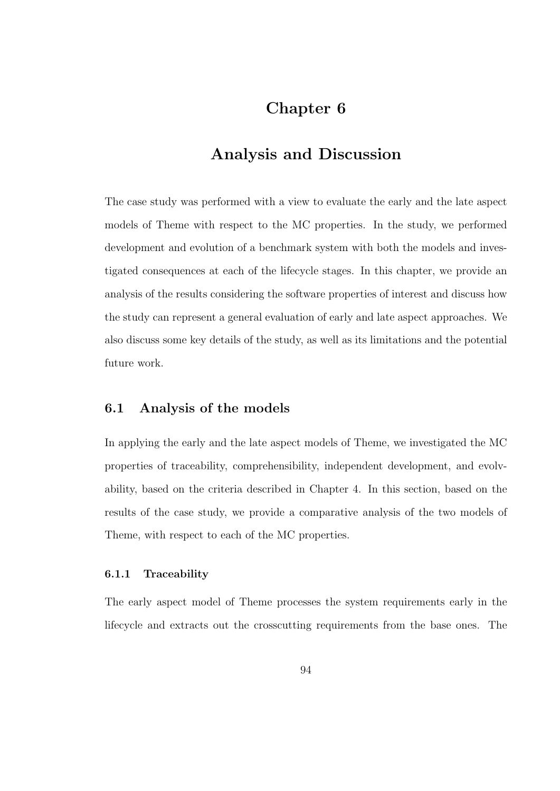# Chapter 6

# Analysis and Discussion

The case study was performed with a view to evaluate the early and the late aspect models of Theme with respect to the MC properties. In the study, we performed development and evolution of a benchmark system with both the models and investigated consequences at each of the lifecycle stages. In this chapter, we provide an analysis of the results considering the software properties of interest and discuss how the study can represent a general evaluation of early and late aspect approaches. We also discuss some key details of the study, as well as its limitations and the potential future work.

### 6.1 Analysis of the models

In applying the early and the late aspect models of Theme, we investigated the MC properties of traceability, comprehensibility, independent development, and evolvability, based on the criteria described in Chapter 4. In this section, based on the results of the case study, we provide a comparative analysis of the two models of Theme, with respect to each of the MC properties.

#### 6.1.1 Traceability

The early aspect model of Theme processes the system requirements early in the lifecycle and extracts out the crosscutting requirements from the base ones. The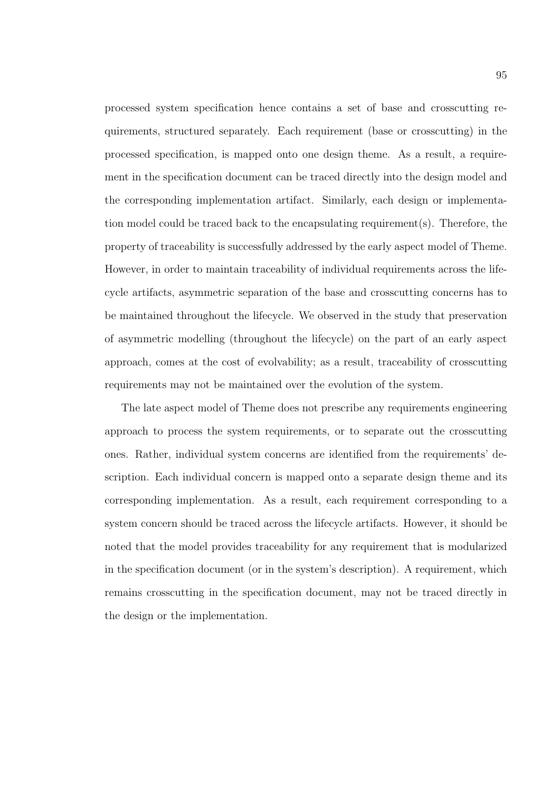processed system specification hence contains a set of base and crosscutting requirements, structured separately. Each requirement (base or crosscutting) in the processed specification, is mapped onto one design theme. As a result, a requirement in the specification document can be traced directly into the design model and the corresponding implementation artifact. Similarly, each design or implementation model could be traced back to the encapsulating requirement(s). Therefore, the property of traceability is successfully addressed by the early aspect model of Theme. However, in order to maintain traceability of individual requirements across the lifecycle artifacts, asymmetric separation of the base and crosscutting concerns has to be maintained throughout the lifecycle. We observed in the study that preservation of asymmetric modelling (throughout the lifecycle) on the part of an early aspect approach, comes at the cost of evolvability; as a result, traceability of crosscutting requirements may not be maintained over the evolution of the system.

The late aspect model of Theme does not prescribe any requirements engineering approach to process the system requirements, or to separate out the crosscutting ones. Rather, individual system concerns are identified from the requirements' description. Each individual concern is mapped onto a separate design theme and its corresponding implementation. As a result, each requirement corresponding to a system concern should be traced across the lifecycle artifacts. However, it should be noted that the model provides traceability for any requirement that is modularized in the specification document (or in the system's description). A requirement, which remains crosscutting in the specification document, may not be traced directly in the design or the implementation.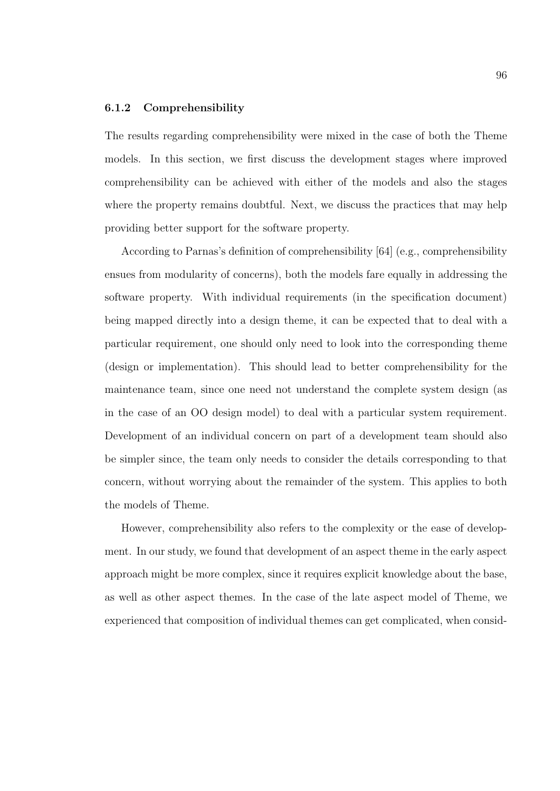#### 6.1.2 Comprehensibility

The results regarding comprehensibility were mixed in the case of both the Theme models. In this section, we first discuss the development stages where improved comprehensibility can be achieved with either of the models and also the stages where the property remains doubtful. Next, we discuss the practices that may help providing better support for the software property.

According to Parnas's definition of comprehensibility [64] (e.g., comprehensibility ensues from modularity of concerns), both the models fare equally in addressing the software property. With individual requirements (in the specification document) being mapped directly into a design theme, it can be expected that to deal with a particular requirement, one should only need to look into the corresponding theme (design or implementation). This should lead to better comprehensibility for the maintenance team, since one need not understand the complete system design (as in the case of an OO design model) to deal with a particular system requirement. Development of an individual concern on part of a development team should also be simpler since, the team only needs to consider the details corresponding to that concern, without worrying about the remainder of the system. This applies to both the models of Theme.

However, comprehensibility also refers to the complexity or the ease of development. In our study, we found that development of an aspect theme in the early aspect approach might be more complex, since it requires explicit knowledge about the base, as well as other aspect themes. In the case of the late aspect model of Theme, we experienced that composition of individual themes can get complicated, when consid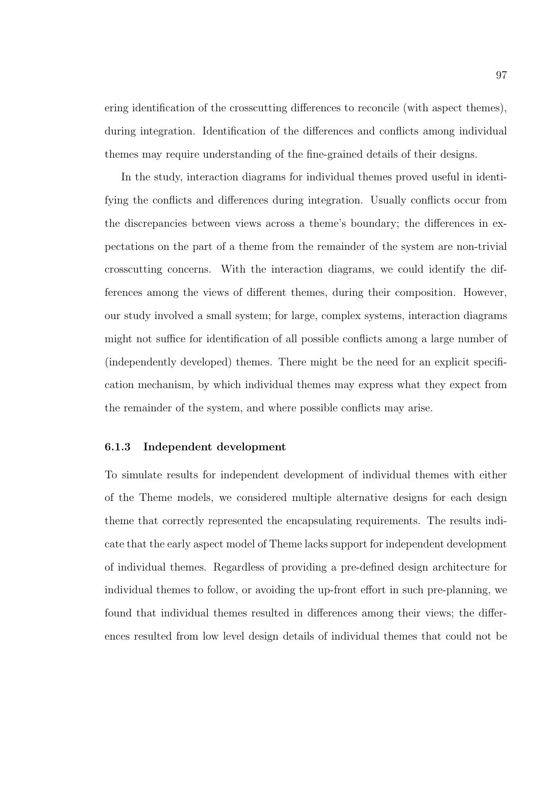ering identification of the crosscutting differences to reconcile (with aspect themes), during integration. Identification of the differences and conflicts among individual themes may require understanding of the fine-grained details of their designs.

In the study, interaction diagrams for individual themes proved useful in identifying the conflicts and differences during integration. Usually conflicts occur from the discrepancies between views across a theme's boundary; the differences in expectations on the part of a theme from the remainder of the system are non-trivial crosscutting concerns. With the interaction diagrams, we could identify the differences among the views of different themes, during their composition. However, our study involved a small system; for large, complex systems, interaction diagrams might not suffice for identification of all possible conflicts among a large number of (independently developed) themes. There might be the need for an explicit specification mechanism, by which individual themes may express what they expect from the remainder of the system, and where possible conflicts may arise.

### 6.1.3 Independent development

To simulate results for independent development of individual themes with either of the Theme models, we considered multiple alternative designs for each design theme that correctly represented the encapsulating requirements. The results indicate that the early aspect model of Theme lacks support for independent development of individual themes. Regardless of providing a pre-defined design architecture for individual themes to follow, or avoiding the up-front effort in such pre-planning, we found that individual themes resulted in differences among their views; the differences resulted from low level design details of individual themes that could not be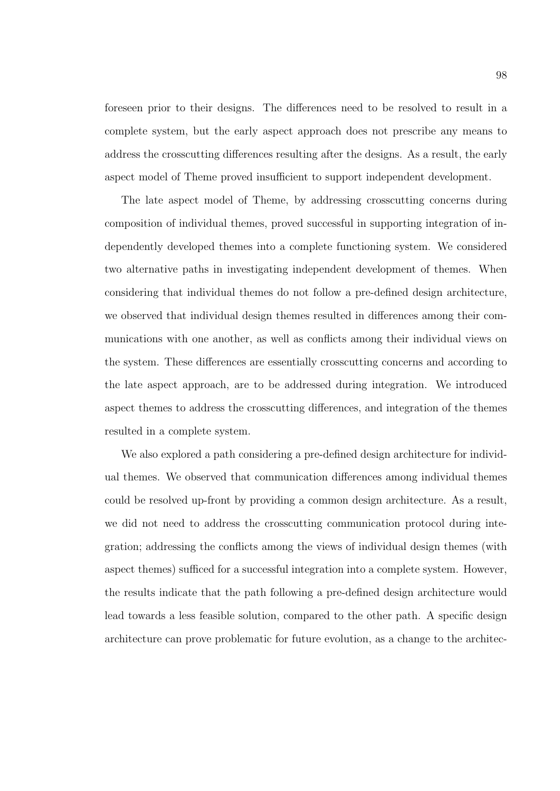foreseen prior to their designs. The differences need to be resolved to result in a complete system, but the early aspect approach does not prescribe any means to address the crosscutting differences resulting after the designs. As a result, the early aspect model of Theme proved insufficient to support independent development.

The late aspect model of Theme, by addressing crosscutting concerns during composition of individual themes, proved successful in supporting integration of independently developed themes into a complete functioning system. We considered two alternative paths in investigating independent development of themes. When considering that individual themes do not follow a pre-defined design architecture, we observed that individual design themes resulted in differences among their communications with one another, as well as conflicts among their individual views on the system. These differences are essentially crosscutting concerns and according to the late aspect approach, are to be addressed during integration. We introduced aspect themes to address the crosscutting differences, and integration of the themes resulted in a complete system.

We also explored a path considering a pre-defined design architecture for individual themes. We observed that communication differences among individual themes could be resolved up-front by providing a common design architecture. As a result, we did not need to address the crosscutting communication protocol during integration; addressing the conflicts among the views of individual design themes (with aspect themes) sufficed for a successful integration into a complete system. However, the results indicate that the path following a pre-defined design architecture would lead towards a less feasible solution, compared to the other path. A specific design architecture can prove problematic for future evolution, as a change to the architec-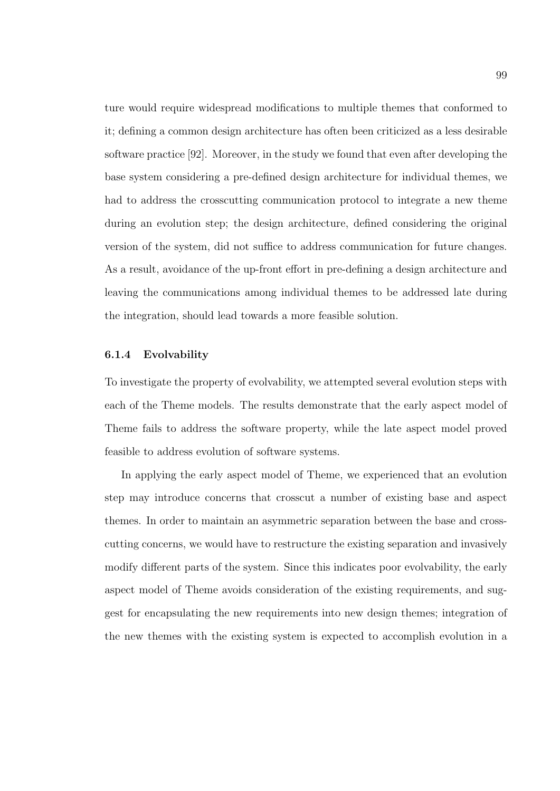ture would require widespread modifications to multiple themes that conformed to it; defining a common design architecture has often been criticized as a less desirable software practice [92]. Moreover, in the study we found that even after developing the base system considering a pre-defined design architecture for individual themes, we had to address the crosscutting communication protocol to integrate a new theme during an evolution step; the design architecture, defined considering the original version of the system, did not suffice to address communication for future changes. As a result, avoidance of the up-front effort in pre-defining a design architecture and leaving the communications among individual themes to be addressed late during the integration, should lead towards a more feasible solution.

#### 6.1.4 Evolvability

To investigate the property of evolvability, we attempted several evolution steps with each of the Theme models. The results demonstrate that the early aspect model of Theme fails to address the software property, while the late aspect model proved feasible to address evolution of software systems.

In applying the early aspect model of Theme, we experienced that an evolution step may introduce concerns that crosscut a number of existing base and aspect themes. In order to maintain an asymmetric separation between the base and crosscutting concerns, we would have to restructure the existing separation and invasively modify different parts of the system. Since this indicates poor evolvability, the early aspect model of Theme avoids consideration of the existing requirements, and suggest for encapsulating the new requirements into new design themes; integration of the new themes with the existing system is expected to accomplish evolution in a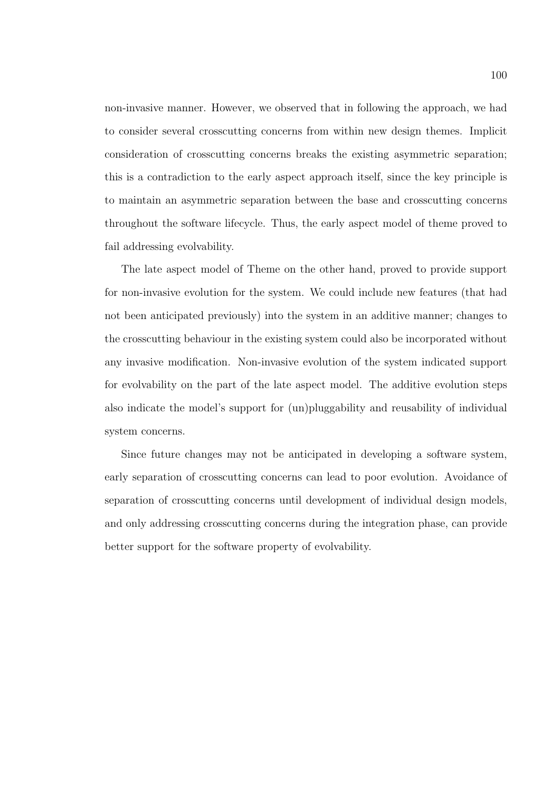non-invasive manner. However, we observed that in following the approach, we had to consider several crosscutting concerns from within new design themes. Implicit consideration of crosscutting concerns breaks the existing asymmetric separation; this is a contradiction to the early aspect approach itself, since the key principle is to maintain an asymmetric separation between the base and crosscutting concerns throughout the software lifecycle. Thus, the early aspect model of theme proved to fail addressing evolvability.

The late aspect model of Theme on the other hand, proved to provide support for non-invasive evolution for the system. We could include new features (that had not been anticipated previously) into the system in an additive manner; changes to the crosscutting behaviour in the existing system could also be incorporated without any invasive modification. Non-invasive evolution of the system indicated support for evolvability on the part of the late aspect model. The additive evolution steps also indicate the model's support for (un)pluggability and reusability of individual system concerns.

Since future changes may not be anticipated in developing a software system, early separation of crosscutting concerns can lead to poor evolution. Avoidance of separation of crosscutting concerns until development of individual design models, and only addressing crosscutting concerns during the integration phase, can provide better support for the software property of evolvability.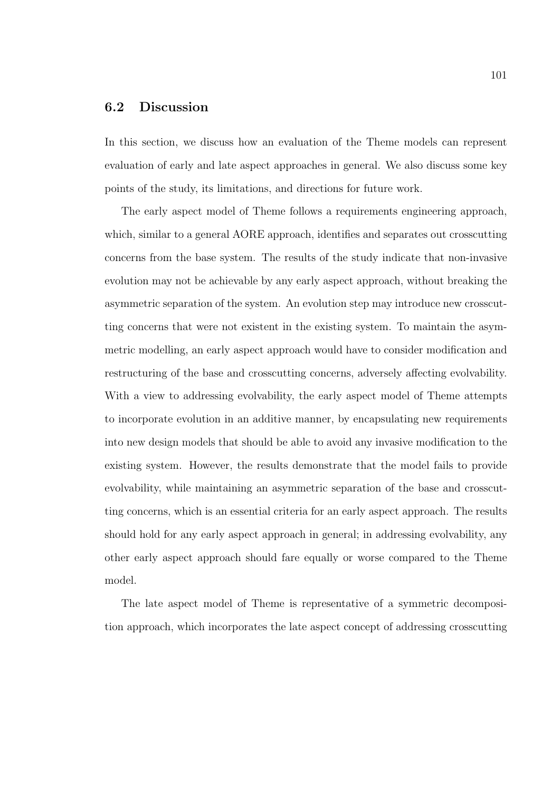## 6.2 Discussion

In this section, we discuss how an evaluation of the Theme models can represent evaluation of early and late aspect approaches in general. We also discuss some key points of the study, its limitations, and directions for future work.

The early aspect model of Theme follows a requirements engineering approach, which, similar to a general AORE approach, identifies and separates out crosscutting concerns from the base system. The results of the study indicate that non-invasive evolution may not be achievable by any early aspect approach, without breaking the asymmetric separation of the system. An evolution step may introduce new crosscutting concerns that were not existent in the existing system. To maintain the asymmetric modelling, an early aspect approach would have to consider modification and restructuring of the base and crosscutting concerns, adversely affecting evolvability. With a view to addressing evolvability, the early aspect model of Theme attempts to incorporate evolution in an additive manner, by encapsulating new requirements into new design models that should be able to avoid any invasive modification to the existing system. However, the results demonstrate that the model fails to provide evolvability, while maintaining an asymmetric separation of the base and crosscutting concerns, which is an essential criteria for an early aspect approach. The results should hold for any early aspect approach in general; in addressing evolvability, any other early aspect approach should fare equally or worse compared to the Theme model.

The late aspect model of Theme is representative of a symmetric decomposition approach, which incorporates the late aspect concept of addressing crosscutting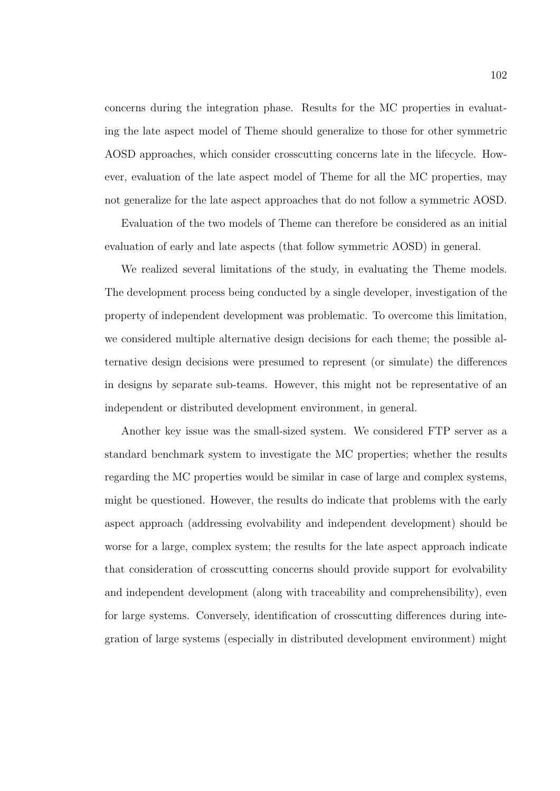concerns during the integration phase. Results for the MC properties in evaluating the late aspect model of Theme should generalize to those for other symmetric AOSD approaches, which consider crosscutting concerns late in the lifecycle. However, evaluation of the late aspect model of Theme for all the MC properties, may not generalize for the late aspect approaches that do not follow a symmetric AOSD.

Evaluation of the two models of Theme can therefore be considered as an initial evaluation of early and late aspects (that follow symmetric AOSD) in general.

We realized several limitations of the study, in evaluating the Theme models. The development process being conducted by a single developer, investigation of the property of independent development was problematic. To overcome this limitation, we considered multiple alternative design decisions for each theme; the possible alternative design decisions were presumed to represent (or simulate) the differences in designs by separate sub-teams. However, this might not be representative of an independent or distributed development environment, in general.

Another key issue was the small-sized system. We considered FTP server as a standard benchmark system to investigate the MC properties; whether the results regarding the MC properties would be similar in case of large and complex systems, might be questioned. However, the results do indicate that problems with the early aspect approach (addressing evolvability and independent development) should be worse for a large, complex system; the results for the late aspect approach indicate that consideration of crosscutting concerns should provide support for evolvability and independent development (along with traceability and comprehensibility), even for large systems. Conversely, identification of crosscutting differences during integration of large systems (especially in distributed development environment) might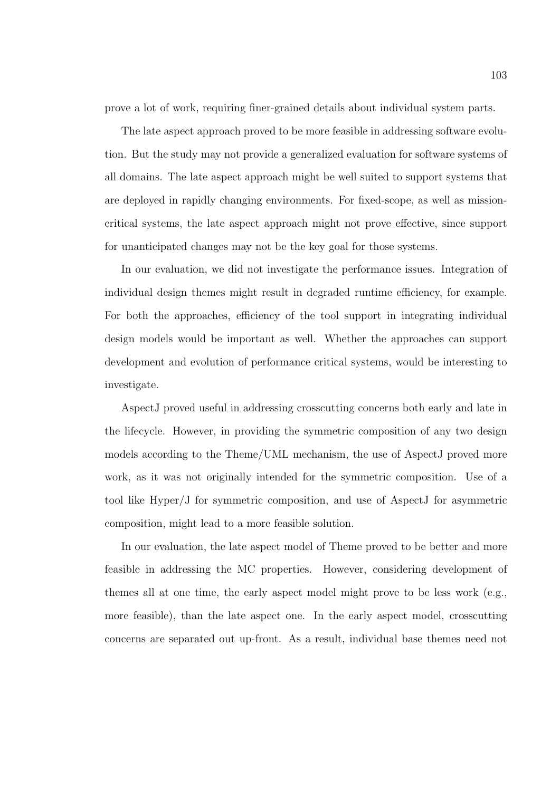prove a lot of work, requiring finer-grained details about individual system parts.

The late aspect approach proved to be more feasible in addressing software evolution. But the study may not provide a generalized evaluation for software systems of all domains. The late aspect approach might be well suited to support systems that are deployed in rapidly changing environments. For fixed-scope, as well as missioncritical systems, the late aspect approach might not prove effective, since support for unanticipated changes may not be the key goal for those systems.

In our evaluation, we did not investigate the performance issues. Integration of individual design themes might result in degraded runtime efficiency, for example. For both the approaches, efficiency of the tool support in integrating individual design models would be important as well. Whether the approaches can support development and evolution of performance critical systems, would be interesting to investigate.

AspectJ proved useful in addressing crosscutting concerns both early and late in the lifecycle. However, in providing the symmetric composition of any two design models according to the Theme/UML mechanism, the use of AspectJ proved more work, as it was not originally intended for the symmetric composition. Use of a tool like Hyper/J for symmetric composition, and use of AspectJ for asymmetric composition, might lead to a more feasible solution.

In our evaluation, the late aspect model of Theme proved to be better and more feasible in addressing the MC properties. However, considering development of themes all at one time, the early aspect model might prove to be less work (e.g., more feasible), than the late aspect one. In the early aspect model, crosscutting concerns are separated out up-front. As a result, individual base themes need not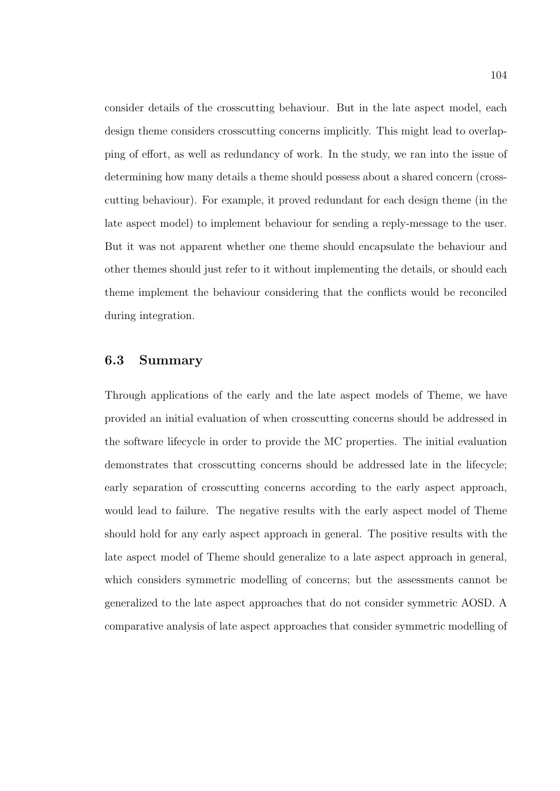consider details of the crosscutting behaviour. But in the late aspect model, each design theme considers crosscutting concerns implicitly. This might lead to overlapping of effort, as well as redundancy of work. In the study, we ran into the issue of determining how many details a theme should possess about a shared concern (crosscutting behaviour). For example, it proved redundant for each design theme (in the late aspect model) to implement behaviour for sending a reply-message to the user. But it was not apparent whether one theme should encapsulate the behaviour and other themes should just refer to it without implementing the details, or should each theme implement the behaviour considering that the conflicts would be reconciled during integration.

## 6.3 Summary

Through applications of the early and the late aspect models of Theme, we have provided an initial evaluation of when crosscutting concerns should be addressed in the software lifecycle in order to provide the MC properties. The initial evaluation demonstrates that crosscutting concerns should be addressed late in the lifecycle; early separation of crosscutting concerns according to the early aspect approach, would lead to failure. The negative results with the early aspect model of Theme should hold for any early aspect approach in general. The positive results with the late aspect model of Theme should generalize to a late aspect approach in general, which considers symmetric modelling of concerns; but the assessments cannot be generalized to the late aspect approaches that do not consider symmetric AOSD. A comparative analysis of late aspect approaches that consider symmetric modelling of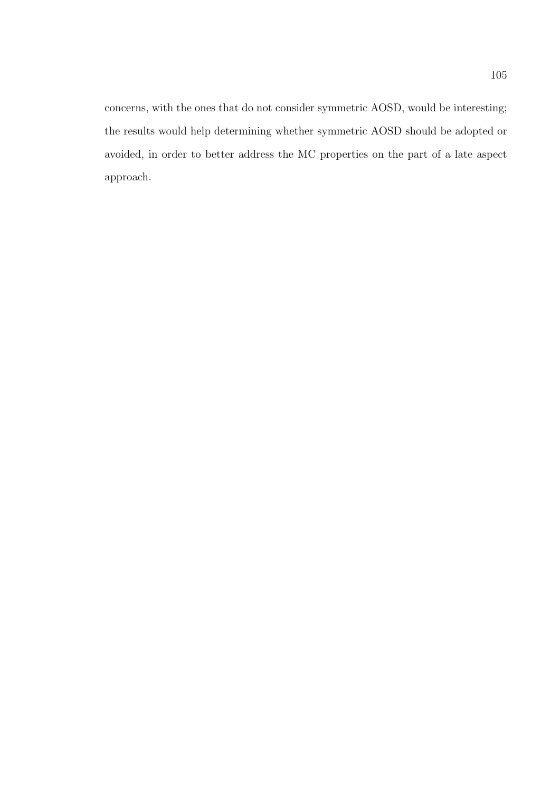concerns, with the ones that do not consider symmetric AOSD, would be interesting; the results would help determining whether symmetric AOSD should be adopted or avoided, in order to better address the MC properties on the part of a late aspect approach.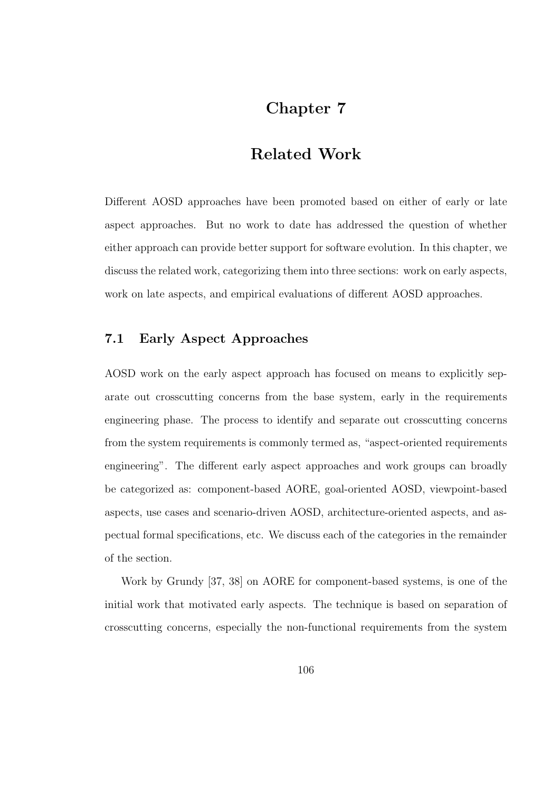# Chapter 7

## Related Work

Different AOSD approaches have been promoted based on either of early or late aspect approaches. But no work to date has addressed the question of whether either approach can provide better support for software evolution. In this chapter, we discuss the related work, categorizing them into three sections: work on early aspects, work on late aspects, and empirical evaluations of different AOSD approaches.

#### 7.1 Early Aspect Approaches

AOSD work on the early aspect approach has focused on means to explicitly separate out crosscutting concerns from the base system, early in the requirements engineering phase. The process to identify and separate out crosscutting concerns from the system requirements is commonly termed as, "aspect-oriented requirements engineering". The different early aspect approaches and work groups can broadly be categorized as: component-based AORE, goal-oriented AOSD, viewpoint-based aspects, use cases and scenario-driven AOSD, architecture-oriented aspects, and aspectual formal specifications, etc. We discuss each of the categories in the remainder of the section.

Work by Grundy [37, 38] on AORE for component-based systems, is one of the initial work that motivated early aspects. The technique is based on separation of crosscutting concerns, especially the non-functional requirements from the system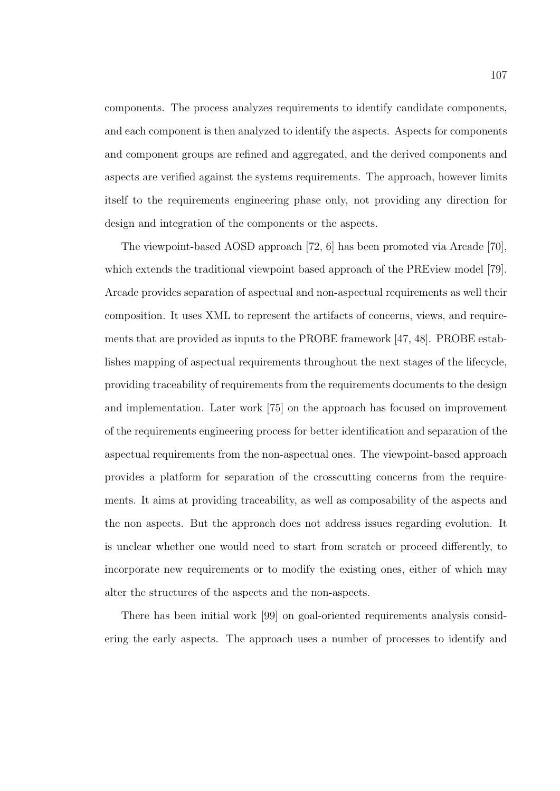components. The process analyzes requirements to identify candidate components, and each component is then analyzed to identify the aspects. Aspects for components and component groups are refined and aggregated, and the derived components and aspects are verified against the systems requirements. The approach, however limits itself to the requirements engineering phase only, not providing any direction for design and integration of the components or the aspects.

The viewpoint-based AOSD approach [72, 6] has been promoted via Arcade [70], which extends the traditional viewpoint based approach of the PREview model [79]. Arcade provides separation of aspectual and non-aspectual requirements as well their composition. It uses XML to represent the artifacts of concerns, views, and requirements that are provided as inputs to the PROBE framework [47, 48]. PROBE establishes mapping of aspectual requirements throughout the next stages of the lifecycle, providing traceability of requirements from the requirements documents to the design and implementation. Later work [75] on the approach has focused on improvement of the requirements engineering process for better identification and separation of the aspectual requirements from the non-aspectual ones. The viewpoint-based approach provides a platform for separation of the crosscutting concerns from the requirements. It aims at providing traceability, as well as composability of the aspects and the non aspects. But the approach does not address issues regarding evolution. It is unclear whether one would need to start from scratch or proceed differently, to incorporate new requirements or to modify the existing ones, either of which may alter the structures of the aspects and the non-aspects.

There has been initial work [99] on goal-oriented requirements analysis considering the early aspects. The approach uses a number of processes to identify and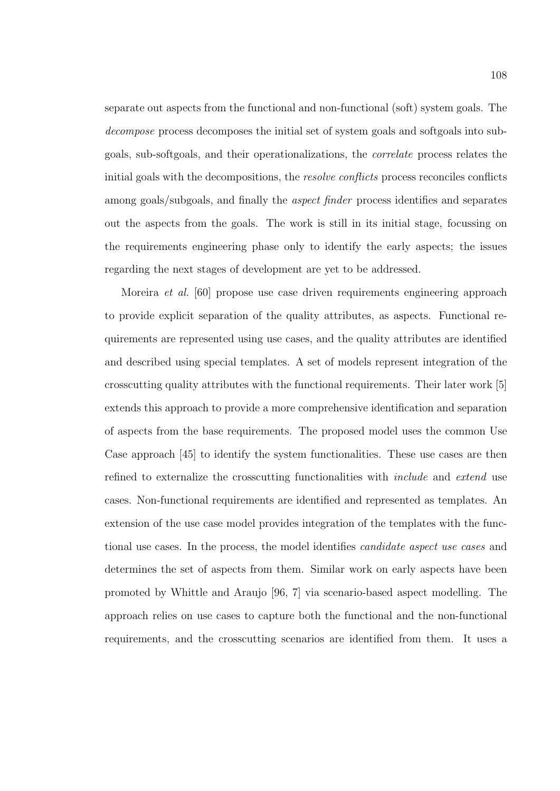separate out aspects from the functional and non-functional (soft) system goals. The decompose process decomposes the initial set of system goals and softgoals into subgoals, sub-softgoals, and their operationalizations, the correlate process relates the initial goals with the decompositions, the resolve conflicts process reconciles conflicts among goals/subgoals, and finally the *aspect finder* process identifies and separates out the aspects from the goals. The work is still in its initial stage, focussing on the requirements engineering phase only to identify the early aspects; the issues regarding the next stages of development are yet to be addressed.

Moreira et al. [60] propose use case driven requirements engineering approach to provide explicit separation of the quality attributes, as aspects. Functional requirements are represented using use cases, and the quality attributes are identified and described using special templates. A set of models represent integration of the crosscutting quality attributes with the functional requirements. Their later work [5] extends this approach to provide a more comprehensive identification and separation of aspects from the base requirements. The proposed model uses the common Use Case approach [45] to identify the system functionalities. These use cases are then refined to externalize the crosscutting functionalities with include and extend use cases. Non-functional requirements are identified and represented as templates. An extension of the use case model provides integration of the templates with the functional use cases. In the process, the model identifies candidate aspect use cases and determines the set of aspects from them. Similar work on early aspects have been promoted by Whittle and Araujo [96, 7] via scenario-based aspect modelling. The approach relies on use cases to capture both the functional and the non-functional requirements, and the crosscutting scenarios are identified from them. It uses a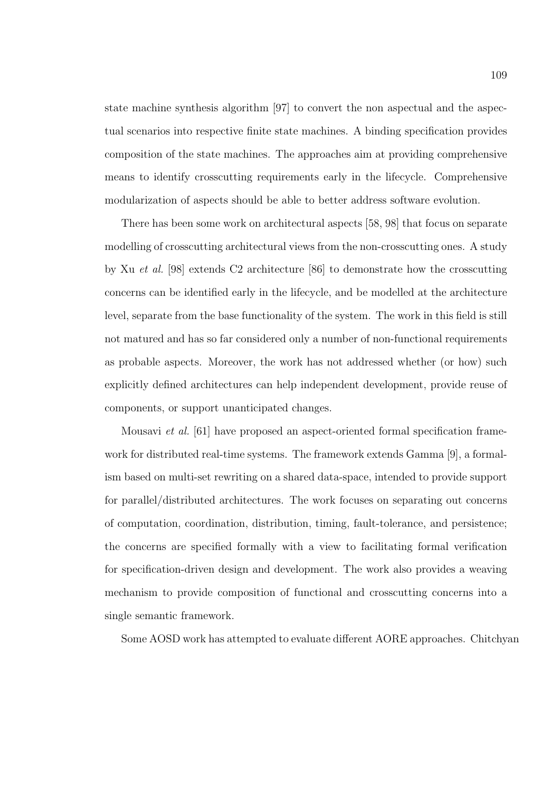state machine synthesis algorithm [97] to convert the non aspectual and the aspectual scenarios into respective finite state machines. A binding specification provides composition of the state machines. The approaches aim at providing comprehensive means to identify crosscutting requirements early in the lifecycle. Comprehensive modularization of aspects should be able to better address software evolution.

There has been some work on architectural aspects [58, 98] that focus on separate modelling of crosscutting architectural views from the non-crosscutting ones. A study by Xu et al. [98] extends C2 architecture [86] to demonstrate how the crosscutting concerns can be identified early in the lifecycle, and be modelled at the architecture level, separate from the base functionality of the system. The work in this field is still not matured and has so far considered only a number of non-functional requirements as probable aspects. Moreover, the work has not addressed whether (or how) such explicitly defined architectures can help independent development, provide reuse of components, or support unanticipated changes.

Mousavi et al. [61] have proposed an aspect-oriented formal specification framework for distributed real-time systems. The framework extends Gamma [9], a formalism based on multi-set rewriting on a shared data-space, intended to provide support for parallel/distributed architectures. The work focuses on separating out concerns of computation, coordination, distribution, timing, fault-tolerance, and persistence; the concerns are specified formally with a view to facilitating formal verification for specification-driven design and development. The work also provides a weaving mechanism to provide composition of functional and crosscutting concerns into a single semantic framework.

Some AOSD work has attempted to evaluate different AORE approaches. Chitchyan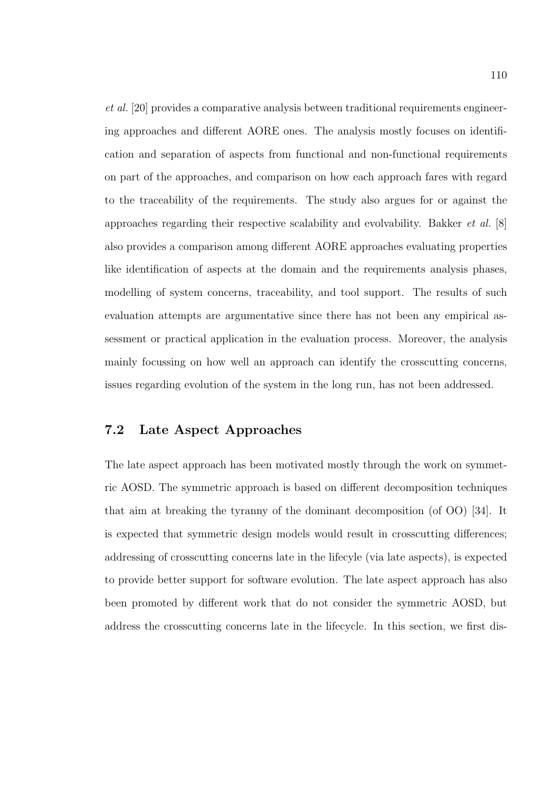et al. [20] provides a comparative analysis between traditional requirements engineering approaches and different AORE ones. The analysis mostly focuses on identification and separation of aspects from functional and non-functional requirements on part of the approaches, and comparison on how each approach fares with regard to the traceability of the requirements. The study also argues for or against the approaches regarding their respective scalability and evolvability. Bakker et al. [8] also provides a comparison among different AORE approaches evaluating properties like identification of aspects at the domain and the requirements analysis phases, modelling of system concerns, traceability, and tool support. The results of such evaluation attempts are argumentative since there has not been any empirical assessment or practical application in the evaluation process. Moreover, the analysis mainly focussing on how well an approach can identify the crosscutting concerns, issues regarding evolution of the system in the long run, has not been addressed.

## 7.2 Late Aspect Approaches

The late aspect approach has been motivated mostly through the work on symmetric AOSD. The symmetric approach is based on different decomposition techniques that aim at breaking the tyranny of the dominant decomposition (of OO) [34]. It is expected that symmetric design models would result in crosscutting differences; addressing of crosscutting concerns late in the lifecyle (via late aspects), is expected to provide better support for software evolution. The late aspect approach has also been promoted by different work that do not consider the symmetric AOSD, but address the crosscutting concerns late in the lifecycle. In this section, we first dis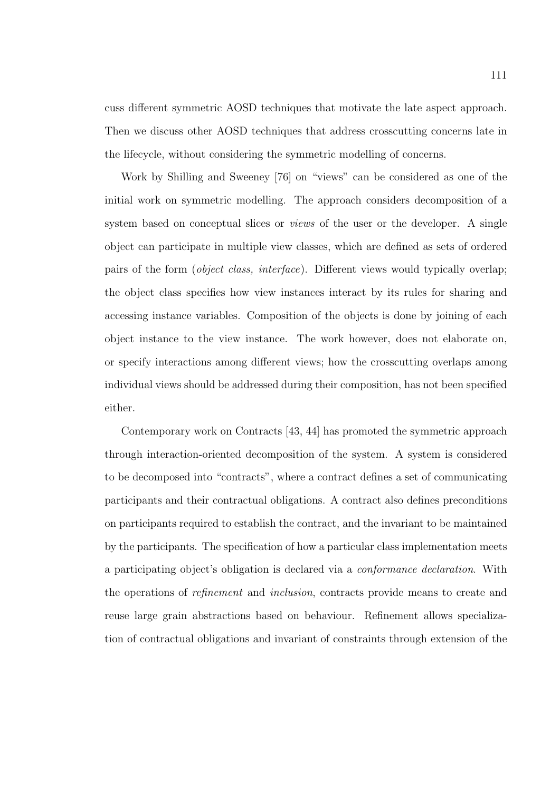cuss different symmetric AOSD techniques that motivate the late aspect approach. Then we discuss other AOSD techniques that address crosscutting concerns late in the lifecycle, without considering the symmetric modelling of concerns.

Work by Shilling and Sweeney [76] on "views" can be considered as one of the initial work on symmetric modelling. The approach considers decomposition of a system based on conceptual slices or *views* of the user or the developer. A single object can participate in multiple view classes, which are defined as sets of ordered pairs of the form (object class, interface). Different views would typically overlap; the object class specifies how view instances interact by its rules for sharing and accessing instance variables. Composition of the objects is done by joining of each object instance to the view instance. The work however, does not elaborate on, or specify interactions among different views; how the crosscutting overlaps among individual views should be addressed during their composition, has not been specified either.

Contemporary work on Contracts [43, 44] has promoted the symmetric approach through interaction-oriented decomposition of the system. A system is considered to be decomposed into "contracts", where a contract defines a set of communicating participants and their contractual obligations. A contract also defines preconditions on participants required to establish the contract, and the invariant to be maintained by the participants. The specification of how a particular class implementation meets a participating object's obligation is declared via a conformance declaration. With the operations of refinement and inclusion, contracts provide means to create and reuse large grain abstractions based on behaviour. Refinement allows specialization of contractual obligations and invariant of constraints through extension of the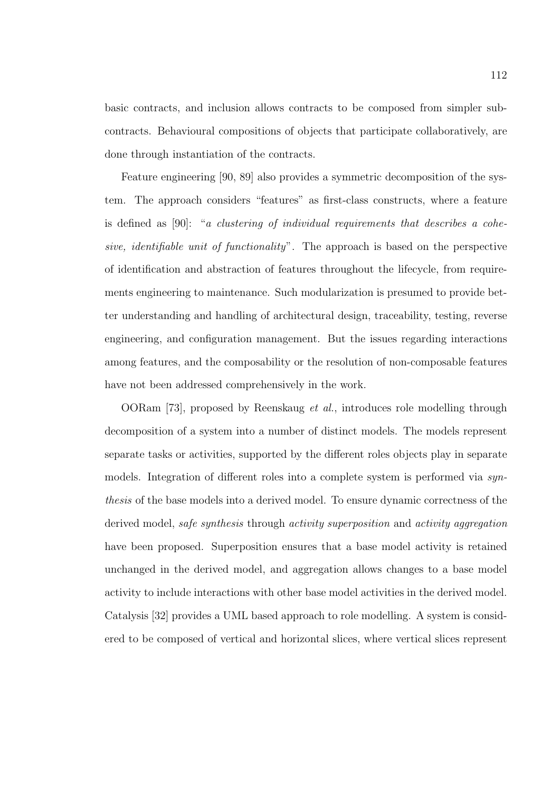basic contracts, and inclusion allows contracts to be composed from simpler subcontracts. Behavioural compositions of objects that participate collaboratively, are done through instantiation of the contracts.

Feature engineering [90, 89] also provides a symmetric decomposition of the system. The approach considers "features" as first-class constructs, where a feature is defined as [90]: "a clustering of individual requirements that describes a cohesive, identifiable unit of functionality". The approach is based on the perspective of identification and abstraction of features throughout the lifecycle, from requirements engineering to maintenance. Such modularization is presumed to provide better understanding and handling of architectural design, traceability, testing, reverse engineering, and configuration management. But the issues regarding interactions among features, and the composability or the resolution of non-composable features have not been addressed comprehensively in the work.

OORam [73], proposed by Reenskaug et al., introduces role modelling through decomposition of a system into a number of distinct models. The models represent separate tasks or activities, supported by the different roles objects play in separate models. Integration of different roles into a complete system is performed via synthesis of the base models into a derived model. To ensure dynamic correctness of the derived model, safe synthesis through activity superposition and activity aggregation have been proposed. Superposition ensures that a base model activity is retained unchanged in the derived model, and aggregation allows changes to a base model activity to include interactions with other base model activities in the derived model. Catalysis [32] provides a UML based approach to role modelling. A system is considered to be composed of vertical and horizontal slices, where vertical slices represent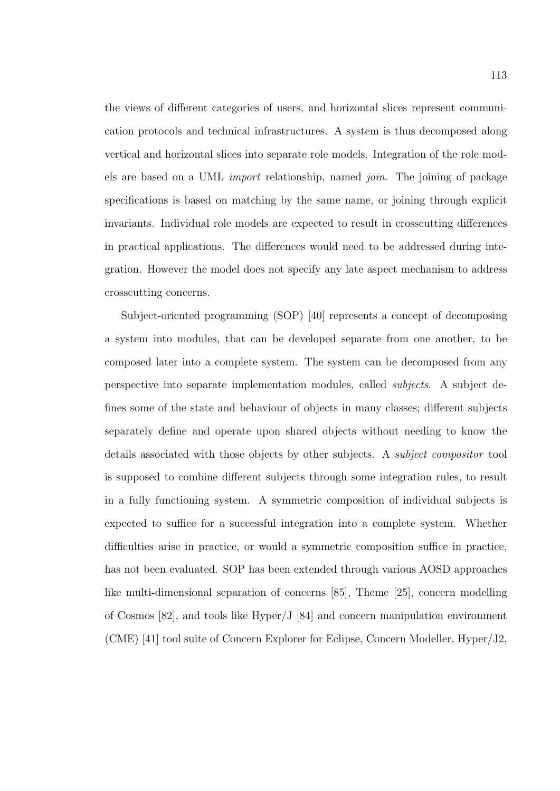the views of different categories of users, and horizontal slices represent communication protocols and technical infrastructures. A system is thus decomposed along vertical and horizontal slices into separate role models. Integration of the role models are based on a UML import relationship, named join. The joining of package specifications is based on matching by the same name, or joining through explicit invariants. Individual role models are expected to result in crosscutting differences in practical applications. The differences would need to be addressed during integration. However the model does not specify any late aspect mechanism to address crosscutting concerns.

Subject-oriented programming (SOP) [40] represents a concept of decomposing a system into modules, that can be developed separate from one another, to be composed later into a complete system. The system can be decomposed from any perspective into separate implementation modules, called subjects. A subject defines some of the state and behaviour of objects in many classes; different subjects separately define and operate upon shared objects without needing to know the details associated with those objects by other subjects. A *subject compositor* tool is supposed to combine different subjects through some integration rules, to result in a fully functioning system. A symmetric composition of individual subjects is expected to suffice for a successful integration into a complete system. Whether difficulties arise in practice, or would a symmetric composition suffice in practice, has not been evaluated. SOP has been extended through various AOSD approaches like multi-dimensional separation of concerns [85], Theme [25], concern modelling of Cosmos [82], and tools like Hyper/J [84] and concern manipulation environment (CME) [41] tool suite of Concern Explorer for Eclipse, Concern Modeller, Hyper/J2,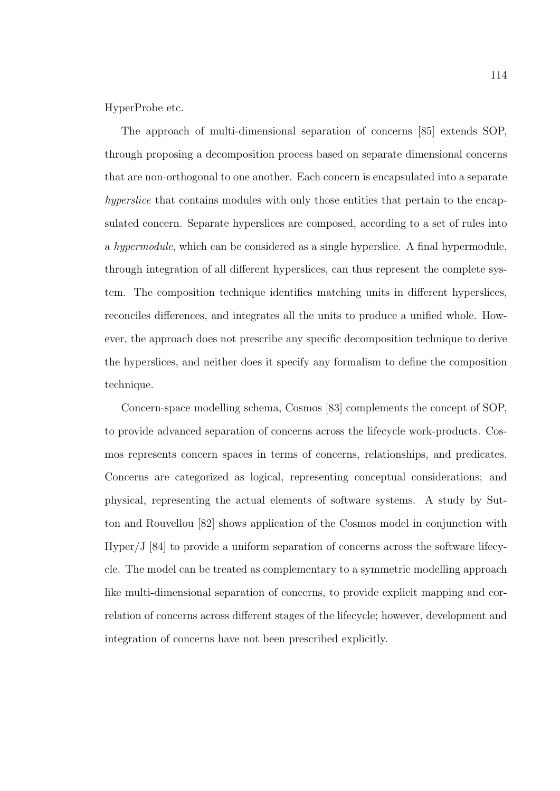HyperProbe etc.

The approach of multi-dimensional separation of concerns [85] extends SOP, through proposing a decomposition process based on separate dimensional concerns that are non-orthogonal to one another. Each concern is encapsulated into a separate hyperslice that contains modules with only those entities that pertain to the encapsulated concern. Separate hyperslices are composed, according to a set of rules into a hypermodule, which can be considered as a single hyperslice. A final hypermodule, through integration of all different hyperslices, can thus represent the complete system. The composition technique identifies matching units in different hyperslices, reconciles differences, and integrates all the units to produce a unified whole. However, the approach does not prescribe any specific decomposition technique to derive the hyperslices, and neither does it specify any formalism to define the composition technique.

Concern-space modelling schema, Cosmos [83] complements the concept of SOP, to provide advanced separation of concerns across the lifecycle work-products. Cosmos represents concern spaces in terms of concerns, relationships, and predicates. Concerns are categorized as logical, representing conceptual considerations; and physical, representing the actual elements of software systems. A study by Sutton and Rouvellou [82] shows application of the Cosmos model in conjunction with Hyper/J [84] to provide a uniform separation of concerns across the software lifecycle. The model can be treated as complementary to a symmetric modelling approach like multi-dimensional separation of concerns, to provide explicit mapping and correlation of concerns across different stages of the lifecycle; however, development and integration of concerns have not been prescribed explicitly.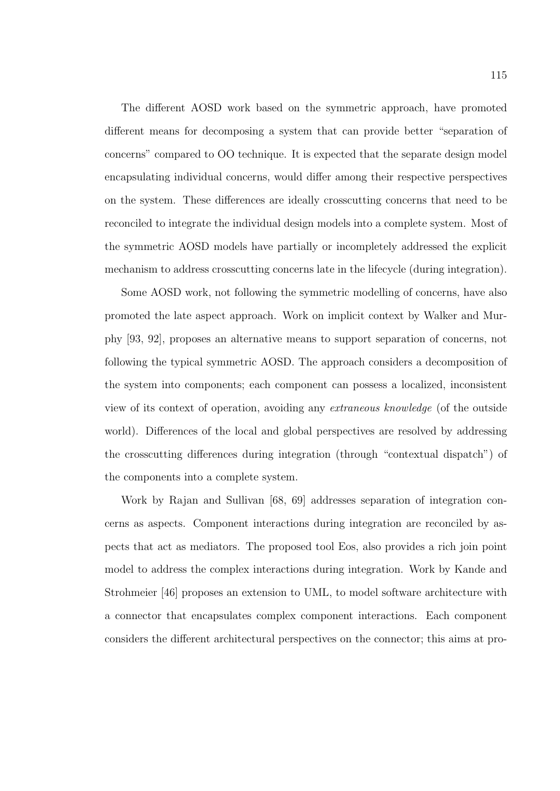The different AOSD work based on the symmetric approach, have promoted different means for decomposing a system that can provide better "separation of concerns" compared to OO technique. It is expected that the separate design model encapsulating individual concerns, would differ among their respective perspectives on the system. These differences are ideally crosscutting concerns that need to be reconciled to integrate the individual design models into a complete system. Most of the symmetric AOSD models have partially or incompletely addressed the explicit mechanism to address crosscutting concerns late in the lifecycle (during integration).

Some AOSD work, not following the symmetric modelling of concerns, have also promoted the late aspect approach. Work on implicit context by Walker and Murphy [93, 92], proposes an alternative means to support separation of concerns, not following the typical symmetric AOSD. The approach considers a decomposition of the system into components; each component can possess a localized, inconsistent view of its context of operation, avoiding any extraneous knowledge (of the outside world). Differences of the local and global perspectives are resolved by addressing the crosscutting differences during integration (through "contextual dispatch") of the components into a complete system.

Work by Rajan and Sullivan [68, 69] addresses separation of integration concerns as aspects. Component interactions during integration are reconciled by aspects that act as mediators. The proposed tool Eos, also provides a rich join point model to address the complex interactions during integration. Work by Kande and Strohmeier [46] proposes an extension to UML, to model software architecture with a connector that encapsulates complex component interactions. Each component considers the different architectural perspectives on the connector; this aims at pro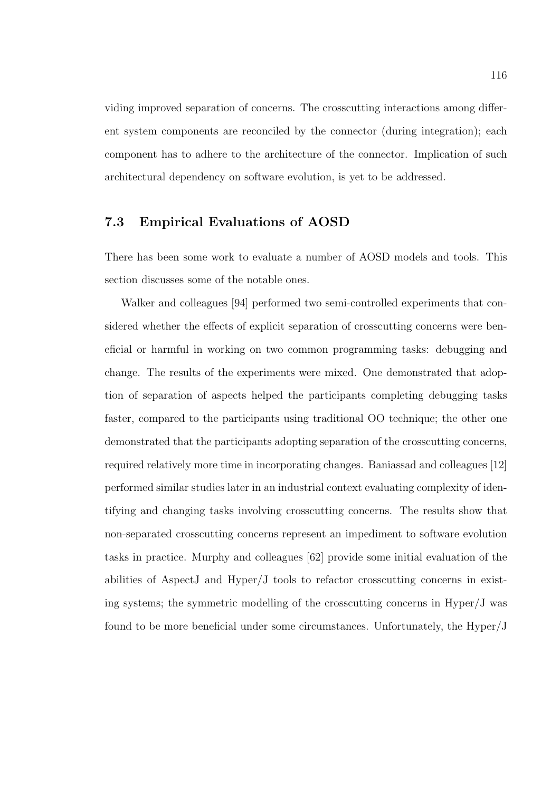viding improved separation of concerns. The crosscutting interactions among different system components are reconciled by the connector (during integration); each component has to adhere to the architecture of the connector. Implication of such architectural dependency on software evolution, is yet to be addressed.

#### 7.3 Empirical Evaluations of AOSD

There has been some work to evaluate a number of AOSD models and tools. This section discusses some of the notable ones.

Walker and colleagues [94] performed two semi-controlled experiments that considered whether the effects of explicit separation of crosscutting concerns were beneficial or harmful in working on two common programming tasks: debugging and change. The results of the experiments were mixed. One demonstrated that adoption of separation of aspects helped the participants completing debugging tasks faster, compared to the participants using traditional OO technique; the other one demonstrated that the participants adopting separation of the crosscutting concerns, required relatively more time in incorporating changes. Baniassad and colleagues [12] performed similar studies later in an industrial context evaluating complexity of identifying and changing tasks involving crosscutting concerns. The results show that non-separated crosscutting concerns represent an impediment to software evolution tasks in practice. Murphy and colleagues [62] provide some initial evaluation of the abilities of AspectJ and Hyper/J tools to refactor crosscutting concerns in existing systems; the symmetric modelling of the crosscutting concerns in Hyper/J was found to be more beneficial under some circumstances. Unfortunately, the Hyper/J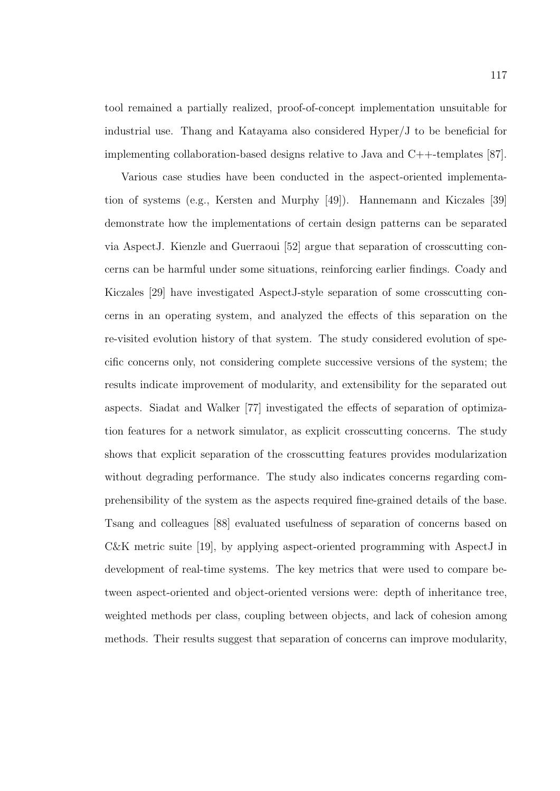tool remained a partially realized, proof-of-concept implementation unsuitable for industrial use. Thang and Katayama also considered Hyper/J to be beneficial for implementing collaboration-based designs relative to Java and C++-templates [87].

Various case studies have been conducted in the aspect-oriented implementation of systems (e.g., Kersten and Murphy [49]). Hannemann and Kiczales [39] demonstrate how the implementations of certain design patterns can be separated via AspectJ. Kienzle and Guerraoui [52] argue that separation of crosscutting concerns can be harmful under some situations, reinforcing earlier findings. Coady and Kiczales [29] have investigated AspectJ-style separation of some crosscutting concerns in an operating system, and analyzed the effects of this separation on the re-visited evolution history of that system. The study considered evolution of specific concerns only, not considering complete successive versions of the system; the results indicate improvement of modularity, and extensibility for the separated out aspects. Siadat and Walker [77] investigated the effects of separation of optimization features for a network simulator, as explicit crosscutting concerns. The study shows that explicit separation of the crosscutting features provides modularization without degrading performance. The study also indicates concerns regarding comprehensibility of the system as the aspects required fine-grained details of the base. Tsang and colleagues [88] evaluated usefulness of separation of concerns based on C&K metric suite [19], by applying aspect-oriented programming with AspectJ in development of real-time systems. The key metrics that were used to compare between aspect-oriented and object-oriented versions were: depth of inheritance tree, weighted methods per class, coupling between objects, and lack of cohesion among methods. Their results suggest that separation of concerns can improve modularity,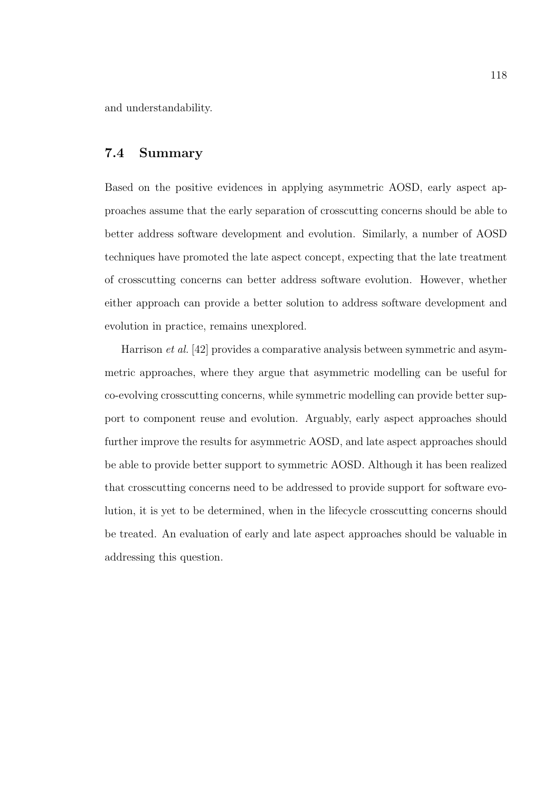and understandability.

## 7.4 Summary

Based on the positive evidences in applying asymmetric AOSD, early aspect approaches assume that the early separation of crosscutting concerns should be able to better address software development and evolution. Similarly, a number of AOSD techniques have promoted the late aspect concept, expecting that the late treatment of crosscutting concerns can better address software evolution. However, whether either approach can provide a better solution to address software development and evolution in practice, remains unexplored.

Harrison et al. [42] provides a comparative analysis between symmetric and asymmetric approaches, where they argue that asymmetric modelling can be useful for co-evolving crosscutting concerns, while symmetric modelling can provide better support to component reuse and evolution. Arguably, early aspect approaches should further improve the results for asymmetric AOSD, and late aspect approaches should be able to provide better support to symmetric AOSD. Although it has been realized that crosscutting concerns need to be addressed to provide support for software evolution, it is yet to be determined, when in the lifecycle crosscutting concerns should be treated. An evaluation of early and late aspect approaches should be valuable in addressing this question.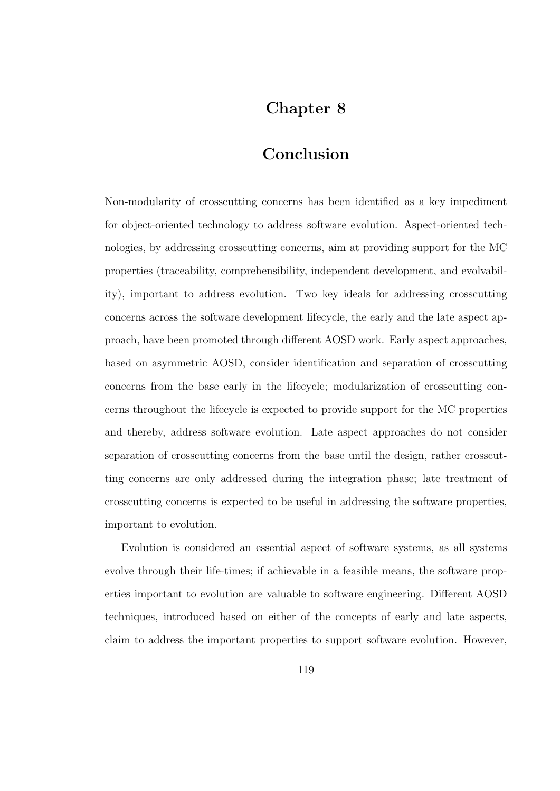# Chapter 8

## Conclusion

Non-modularity of crosscutting concerns has been identified as a key impediment for object-oriented technology to address software evolution. Aspect-oriented technologies, by addressing crosscutting concerns, aim at providing support for the MC properties (traceability, comprehensibility, independent development, and evolvability), important to address evolution. Two key ideals for addressing crosscutting concerns across the software development lifecycle, the early and the late aspect approach, have been promoted through different AOSD work. Early aspect approaches, based on asymmetric AOSD, consider identification and separation of crosscutting concerns from the base early in the lifecycle; modularization of crosscutting concerns throughout the lifecycle is expected to provide support for the MC properties and thereby, address software evolution. Late aspect approaches do not consider separation of crosscutting concerns from the base until the design, rather crosscutting concerns are only addressed during the integration phase; late treatment of crosscutting concerns is expected to be useful in addressing the software properties, important to evolution.

Evolution is considered an essential aspect of software systems, as all systems evolve through their life-times; if achievable in a feasible means, the software properties important to evolution are valuable to software engineering. Different AOSD techniques, introduced based on either of the concepts of early and late aspects, claim to address the important properties to support software evolution. However,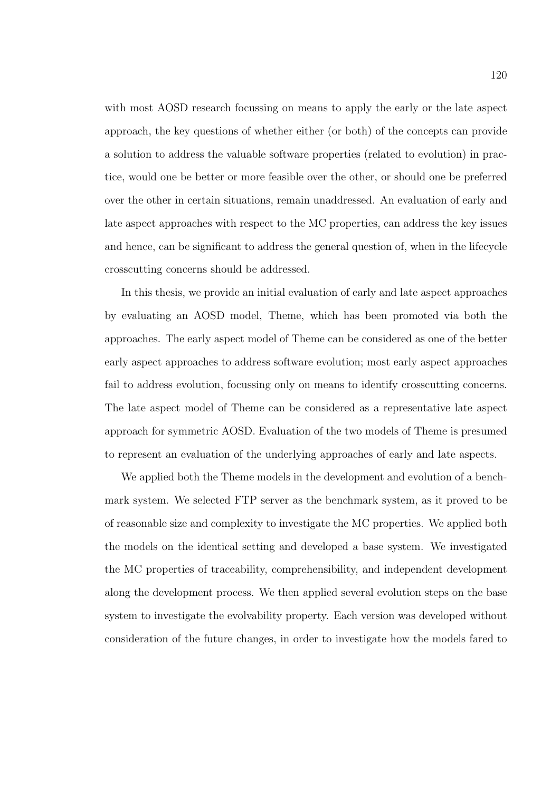with most AOSD research focussing on means to apply the early or the late aspect approach, the key questions of whether either (or both) of the concepts can provide a solution to address the valuable software properties (related to evolution) in practice, would one be better or more feasible over the other, or should one be preferred over the other in certain situations, remain unaddressed. An evaluation of early and late aspect approaches with respect to the MC properties, can address the key issues and hence, can be significant to address the general question of, when in the lifecycle crosscutting concerns should be addressed.

In this thesis, we provide an initial evaluation of early and late aspect approaches by evaluating an AOSD model, Theme, which has been promoted via both the approaches. The early aspect model of Theme can be considered as one of the better early aspect approaches to address software evolution; most early aspect approaches fail to address evolution, focussing only on means to identify crosscutting concerns. The late aspect model of Theme can be considered as a representative late aspect approach for symmetric AOSD. Evaluation of the two models of Theme is presumed to represent an evaluation of the underlying approaches of early and late aspects.

We applied both the Theme models in the development and evolution of a benchmark system. We selected FTP server as the benchmark system, as it proved to be of reasonable size and complexity to investigate the MC properties. We applied both the models on the identical setting and developed a base system. We investigated the MC properties of traceability, comprehensibility, and independent development along the development process. We then applied several evolution steps on the base system to investigate the evolvability property. Each version was developed without consideration of the future changes, in order to investigate how the models fared to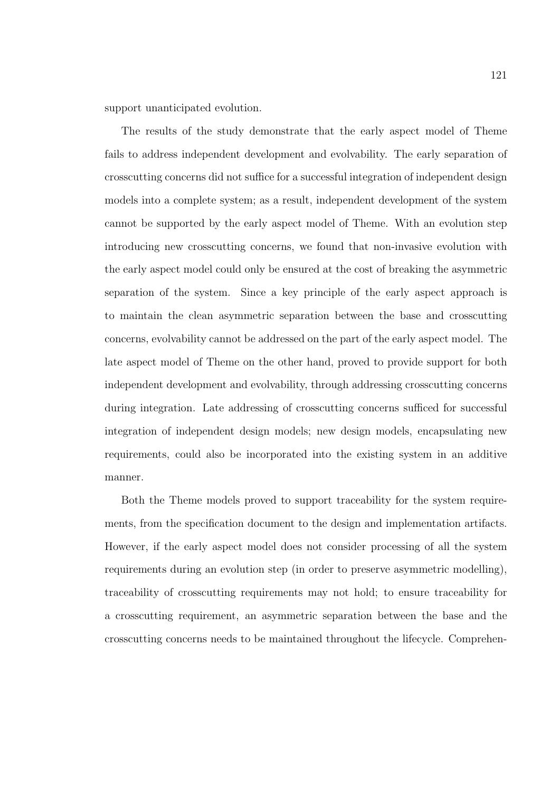support unanticipated evolution.

The results of the study demonstrate that the early aspect model of Theme fails to address independent development and evolvability. The early separation of crosscutting concerns did not suffice for a successful integration of independent design models into a complete system; as a result, independent development of the system cannot be supported by the early aspect model of Theme. With an evolution step introducing new crosscutting concerns, we found that non-invasive evolution with the early aspect model could only be ensured at the cost of breaking the asymmetric separation of the system. Since a key principle of the early aspect approach is to maintain the clean asymmetric separation between the base and crosscutting concerns, evolvability cannot be addressed on the part of the early aspect model. The late aspect model of Theme on the other hand, proved to provide support for both independent development and evolvability, through addressing crosscutting concerns during integration. Late addressing of crosscutting concerns sufficed for successful integration of independent design models; new design models, encapsulating new requirements, could also be incorporated into the existing system in an additive manner.

Both the Theme models proved to support traceability for the system requirements, from the specification document to the design and implementation artifacts. However, if the early aspect model does not consider processing of all the system requirements during an evolution step (in order to preserve asymmetric modelling), traceability of crosscutting requirements may not hold; to ensure traceability for a crosscutting requirement, an asymmetric separation between the base and the crosscutting concerns needs to be maintained throughout the lifecycle. Comprehen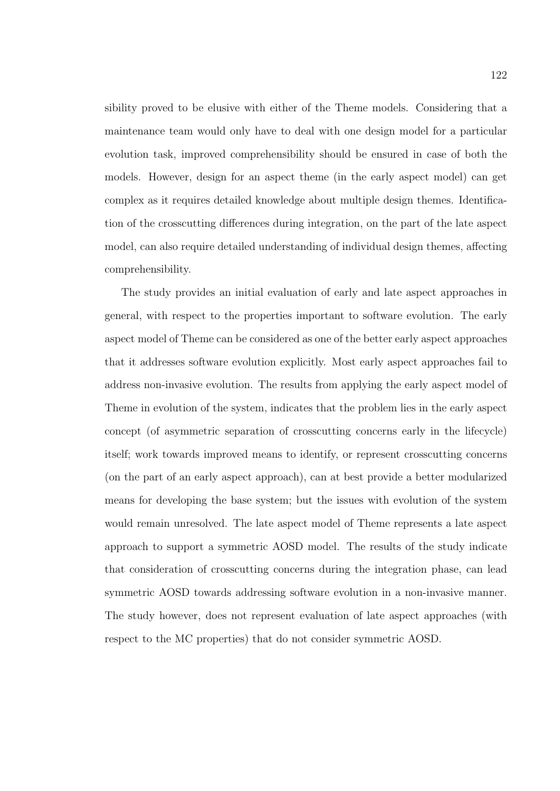sibility proved to be elusive with either of the Theme models. Considering that a maintenance team would only have to deal with one design model for a particular evolution task, improved comprehensibility should be ensured in case of both the models. However, design for an aspect theme (in the early aspect model) can get complex as it requires detailed knowledge about multiple design themes. Identification of the crosscutting differences during integration, on the part of the late aspect model, can also require detailed understanding of individual design themes, affecting comprehensibility.

The study provides an initial evaluation of early and late aspect approaches in general, with respect to the properties important to software evolution. The early aspect model of Theme can be considered as one of the better early aspect approaches that it addresses software evolution explicitly. Most early aspect approaches fail to address non-invasive evolution. The results from applying the early aspect model of Theme in evolution of the system, indicates that the problem lies in the early aspect concept (of asymmetric separation of crosscutting concerns early in the lifecycle) itself; work towards improved means to identify, or represent crosscutting concerns (on the part of an early aspect approach), can at best provide a better modularized means for developing the base system; but the issues with evolution of the system would remain unresolved. The late aspect model of Theme represents a late aspect approach to support a symmetric AOSD model. The results of the study indicate that consideration of crosscutting concerns during the integration phase, can lead symmetric AOSD towards addressing software evolution in a non-invasive manner. The study however, does not represent evaluation of late aspect approaches (with respect to the MC properties) that do not consider symmetric AOSD.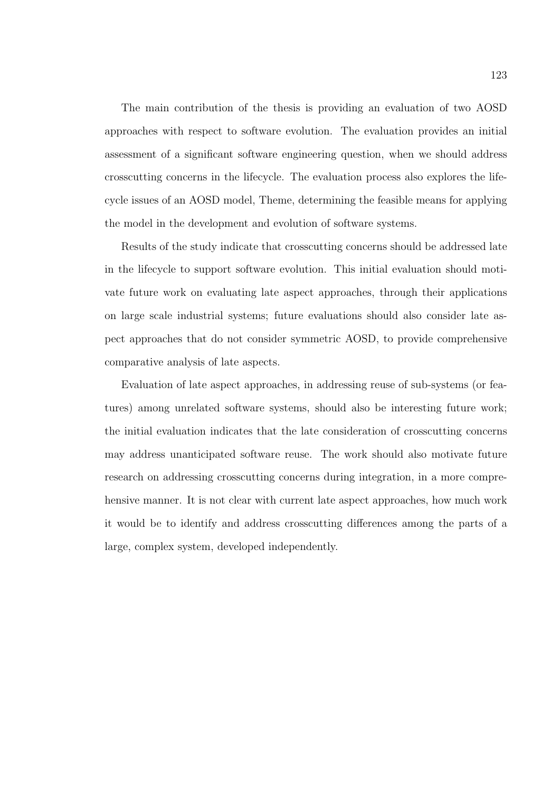The main contribution of the thesis is providing an evaluation of two AOSD approaches with respect to software evolution. The evaluation provides an initial assessment of a significant software engineering question, when we should address crosscutting concerns in the lifecycle. The evaluation process also explores the lifecycle issues of an AOSD model, Theme, determining the feasible means for applying the model in the development and evolution of software systems.

Results of the study indicate that crosscutting concerns should be addressed late in the lifecycle to support software evolution. This initial evaluation should motivate future work on evaluating late aspect approaches, through their applications on large scale industrial systems; future evaluations should also consider late aspect approaches that do not consider symmetric AOSD, to provide comprehensive comparative analysis of late aspects.

Evaluation of late aspect approaches, in addressing reuse of sub-systems (or features) among unrelated software systems, should also be interesting future work; the initial evaluation indicates that the late consideration of crosscutting concerns may address unanticipated software reuse. The work should also motivate future research on addressing crosscutting concerns during integration, in a more comprehensive manner. It is not clear with current late aspect approaches, how much work it would be to identify and address crosscutting differences among the parts of a large, complex system, developed independently.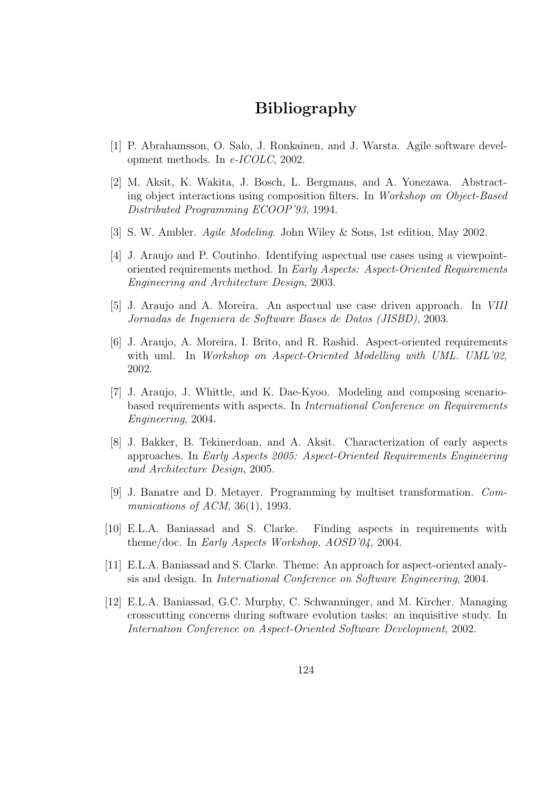## Bibliography

- [1] P. Abrahamsson, O. Salo, J. Ronkainen, and J. Warsta. Agile software development methods. In e-ICOLC, 2002.
- [2] M. Aksit, K. Wakita, J. Bosch, L. Bergmans, and A. Yonezawa. Abstracting object interactions using composition filters. In Workshop on Object-Based Distributed Programming ECOOP'93, 1994.
- [3] S. W. Ambler. Agile Modeling. John Wiley & Sons, 1st edition, May 2002.
- [4] J. Araujo and P. Coutinho. Identifying aspectual use cases using a viewpointoriented requirements method. In Early Aspects: Aspect-Oriented Requirements Engineering and Architecture Design, 2003.
- [5] J. Araujo and A. Moreira. An aspectual use case driven approach. In VIII Jornadas de Ingeniera de Software Bases de Datos (JISBD), 2003.
- [6] J. Araujo, A. Moreira, I. Brito, and R. Rashid. Aspect-oriented requirements with uml. In Workshop on Aspect-Oriented Modelling with UML. UML'02, 2002.
- [7] J. Araujo, J. Whittle, and K. Dae-Kyoo. Modeling and composing scenariobased requirements with aspects. In International Conference on Requirements Engineering, 2004.
- [8] J. Bakker, B. Tekinerdoan, and A. Aksit. Characterization of early aspects approaches. In Early Aspects 2005: Aspect-Oriented Requirements Engineering and Architecture Design, 2005.
- [9] J. Banatre and D. Metayer. Programming by multiset transformation. Communications of ACM,  $36(1)$ , 1993.
- [10] E.L.A. Baniassad and S. Clarke. Finding aspects in requirements with theme/doc. In Early Aspects Workshop, AOSD'04, 2004.
- [11] E.L.A. Baniassad and S. Clarke. Theme: An approach for aspect-oriented analysis and design. In International Conference on Software Engineering, 2004.
- [12] E.L.A. Baniassad, G.C. Murphy, C. Schwanninger, and M. Kircher. Managing crosscutting concerns during software evolution tasks: an inquisitive study. In Internation Conference on Aspect-Oriented Software Development, 2002.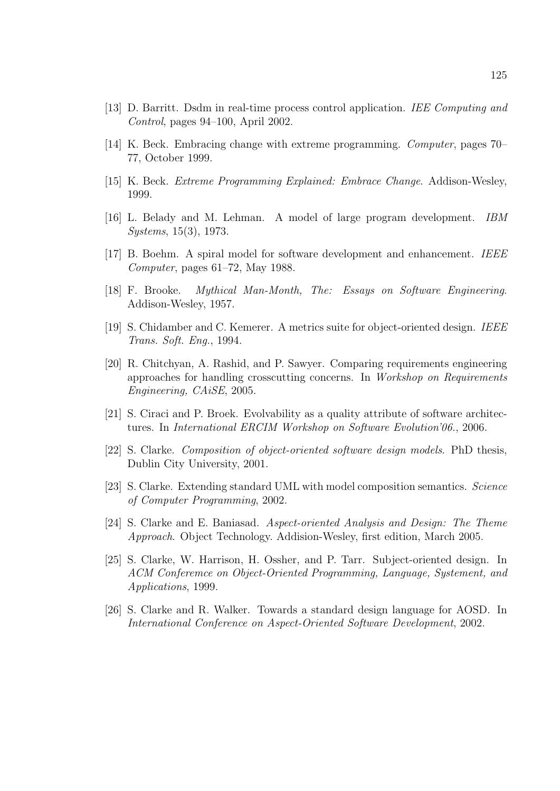- [13] D. Barritt. Dsdm in real-time process control application. IEE Computing and Control, pages 94–100, April 2002.
- [14] K. Beck. Embracing change with extreme programming. Computer, pages 70– 77, October 1999.
- [15] K. Beck. Extreme Programming Explained: Embrace Change. Addison-Wesley, 1999.
- [16] L. Belady and M. Lehman. A model of large program development. IBM Systems, 15(3), 1973.
- [17] B. Boehm. A spiral model for software development and enhancement. IEEE Computer, pages 61–72, May 1988.
- [18] F. Brooke. Mythical Man-Month, The: Essays on Software Engineering. Addison-Wesley, 1957.
- [19] S. Chidamber and C. Kemerer. A metrics suite for object-oriented design. IEEE Trans. Soft. Eng., 1994.
- [20] R. Chitchyan, A. Rashid, and P. Sawyer. Comparing requirements engineering approaches for handling crosscutting concerns. In Workshop on Requirements Engineering, CAiSE, 2005.
- [21] S. Ciraci and P. Broek. Evolvability as a quality attribute of software architectures. In International ERCIM Workshop on Software Evolution'06., 2006.
- [22] S. Clarke. Composition of object-oriented software design models. PhD thesis, Dublin City University, 2001.
- [23] S. Clarke. Extending standard UML with model composition semantics. Science of Computer Programming, 2002.
- [24] S. Clarke and E. Baniasad. Aspect-oriented Analysis and Design: The Theme Approach. Object Technology. Addision-Wesley, first edition, March 2005.
- [25] S. Clarke, W. Harrison, H. Ossher, and P. Tarr. Subject-oriented design. In ACM Conferemce on Object-Oriented Programming, Language, Systement, and Applications, 1999.
- [26] S. Clarke and R. Walker. Towards a standard design language for AOSD. In International Conference on Aspect-Oriented Software Development, 2002.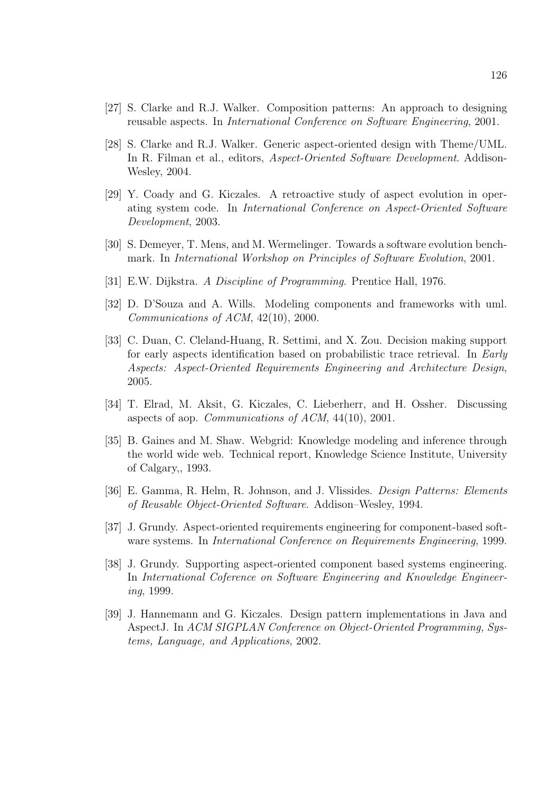- [27] S. Clarke and R.J. Walker. Composition patterns: An approach to designing reusable aspects. In International Conference on Software Engineering, 2001.
- [28] S. Clarke and R.J. Walker. Generic aspect-oriented design with Theme/UML. In R. Filman et al., editors, *Aspect-Oriented Software Development*. Addison-Wesley, 2004.
- [29] Y. Coady and G. Kiczales. A retroactive study of aspect evolution in operating system code. In International Conference on Aspect-Oriented Software Development, 2003.
- [30] S. Demeyer, T. Mens, and M. Wermelinger. Towards a software evolution benchmark. In International Workshop on Principles of Software Evolution, 2001.
- [31] E.W. Dijkstra. A Discipline of Programming. Prentice Hall, 1976.
- [32] D. D'Souza and A. Wills. Modeling components and frameworks with uml. Communications of ACM, 42(10), 2000.
- [33] C. Duan, C. Cleland-Huang, R. Settimi, and X. Zou. Decision making support for early aspects identification based on probabilistic trace retrieval. In Early Aspects: Aspect-Oriented Requirements Engineering and Architecture Design, 2005.
- [34] T. Elrad, M. Aksit, G. Kiczales, C. Lieberherr, and H. Ossher. Discussing aspects of aop. Communications of ACM, 44(10), 2001.
- [35] B. Gaines and M. Shaw. Webgrid: Knowledge modeling and inference through the world wide web. Technical report, Knowledge Science Institute, University of Calgary,, 1993.
- [36] E. Gamma, R. Helm, R. Johnson, and J. Vlissides. Design Patterns: Elements of Reusable Object-Oriented Software. Addison–Wesley, 1994.
- [37] J. Grundy. Aspect-oriented requirements engineering for component-based software systems. In International Conference on Requirements Engineering, 1999.
- [38] J. Grundy. Supporting aspect-oriented component based systems engineering. In International Coference on Software Engineering and Knowledge Engineering, 1999.
- [39] J. Hannemann and G. Kiczales. Design pattern implementations in Java and AspectJ. In ACM SIGPLAN Conference on Object-Oriented Programming, Systems, Language, and Applications, 2002.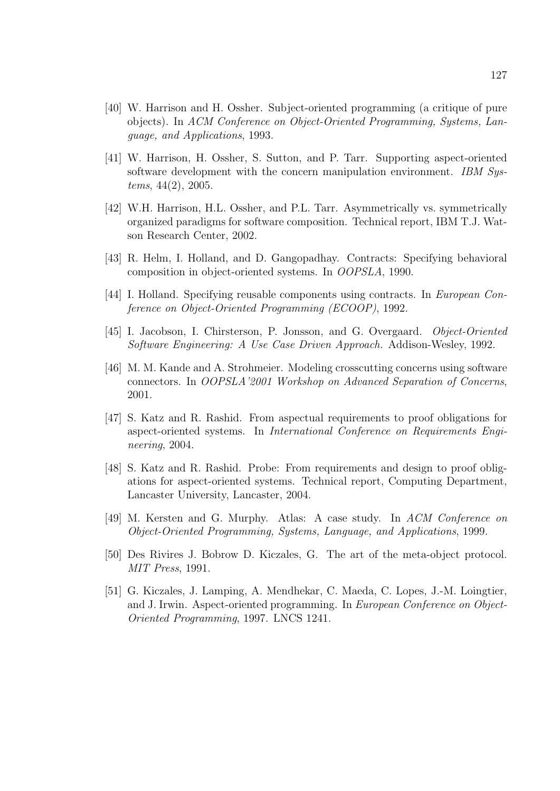- [40] W. Harrison and H. Ossher. Subject-oriented programming (a critique of pure objects). In ACM Conference on Object-Oriented Programming, Systems, Language, and Applications, 1993.
- [41] W. Harrison, H. Ossher, S. Sutton, and P. Tarr. Supporting aspect-oriented software development with the concern manipulation environment. IBM Systems, 44(2), 2005.
- [42] W.H. Harrison, H.L. Ossher, and P.L. Tarr. Asymmetrically vs. symmetrically organized paradigms for software composition. Technical report, IBM T.J. Watson Research Center, 2002.
- [43] R. Helm, I. Holland, and D. Gangopadhay. Contracts: Specifying behavioral composition in object-oriented systems. In OOPSLA, 1990.
- [44] I. Holland. Specifying reusable components using contracts. In European Conference on Object-Oriented Programming (ECOOP), 1992.
- [45] I. Jacobson, I. Chirsterson, P. Jonsson, and G. Overgaard. Object-Oriented Software Engineering: A Use Case Driven Approach. Addison-Wesley, 1992.
- [46] M. M. Kande and A. Strohmeier. Modeling crosscutting concerns using software connectors. In OOPSLA'2001 Workshop on Advanced Separation of Concerns, 2001.
- [47] S. Katz and R. Rashid. From aspectual requirements to proof obligations for aspect-oriented systems. In International Conference on Requirements Engineering, 2004.
- [48] S. Katz and R. Rashid. Probe: From requirements and design to proof obligations for aspect-oriented systems. Technical report, Computing Department, Lancaster University, Lancaster, 2004.
- [49] M. Kersten and G. Murphy. Atlas: A case study. In ACM Conference on Object-Oriented Programming, Systems, Language, and Applications, 1999.
- [50] Des Rivires J. Bobrow D. Kiczales, G. The art of the meta-object protocol. MIT Press, 1991.
- [51] G. Kiczales, J. Lamping, A. Mendhekar, C. Maeda, C. Lopes, J.-M. Loingtier, and J. Irwin. Aspect-oriented programming. In European Conference on Object-Oriented Programming, 1997. LNCS 1241.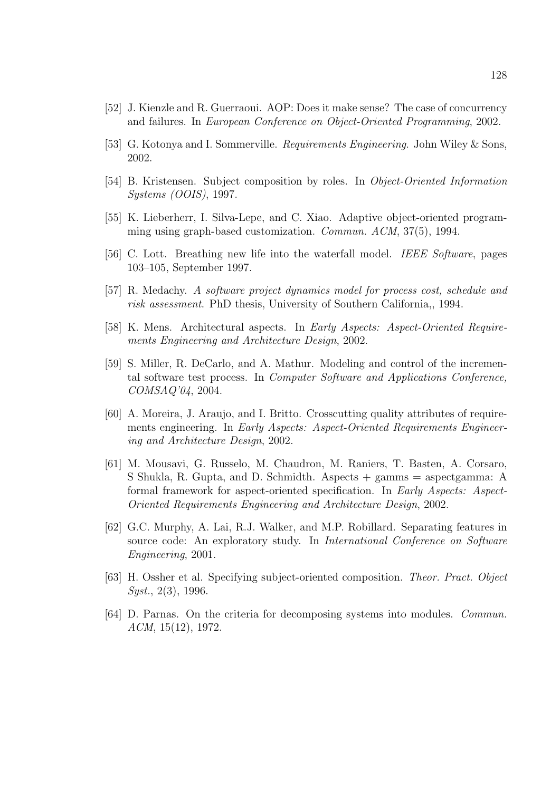- [52] J. Kienzle and R. Guerraoui. AOP: Does it make sense? The case of concurrency and failures. In European Conference on Object-Oriented Programming, 2002.
- [53] G. Kotonya and I. Sommerville. Requirements Engineering. John Wiley & Sons, 2002.
- [54] B. Kristensen. Subject composition by roles. In Object-Oriented Information Systems (OOIS), 1997.
- [55] K. Lieberherr, I. Silva-Lepe, and C. Xiao. Adaptive object-oriented programming using graph-based customization. Commun. ACM, 37(5), 1994.
- [56] C. Lott. Breathing new life into the waterfall model. IEEE Software, pages 103–105, September 1997.
- [57] R. Medachy. A software project dynamics model for process cost, schedule and risk assessment. PhD thesis, University of Southern California,, 1994.
- [58] K. Mens. Architectural aspects. In Early Aspects: Aspect-Oriented Requirements Engineering and Architecture Design, 2002.
- [59] S. Miller, R. DeCarlo, and A. Mathur. Modeling and control of the incremental software test process. In Computer Software and Applications Conference, COMSAQ'04, 2004.
- [60] A. Moreira, J. Araujo, and I. Britto. Crosscutting quality attributes of requirements engineering. In Early Aspects: Aspect-Oriented Requirements Engineering and Architecture Design, 2002.
- [61] M. Mousavi, G. Russelo, M. Chaudron, M. Raniers, T. Basten, A. Corsaro, S Shukla, R. Gupta, and D. Schmidth. Aspects + gamms = aspectgamma: A formal framework for aspect-oriented specification. In Early Aspects: Aspect-Oriented Requirements Engineering and Architecture Design, 2002.
- [62] G.C. Murphy, A. Lai, R.J. Walker, and M.P. Robillard. Separating features in source code: An exploratory study. In International Conference on Software Engineering, 2001.
- [63] H. Ossher et al. Specifying subject-oriented composition. Theor. Pract. Object Syst., 2(3), 1996.
- [64] D. Parnas. On the criteria for decomposing systems into modules. Commun. ACM, 15(12), 1972.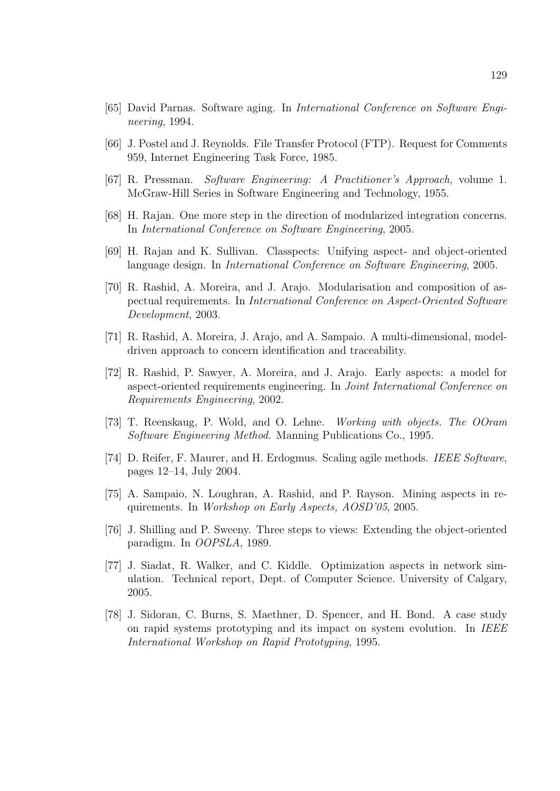- [65] David Parnas. Software aging. In International Conference on Software Engineering, 1994.
- [66] J. Postel and J. Reynolds. File Transfer Protocol (FTP). Request for Comments 959, Internet Engineering Task Force, 1985.
- [67] R. Pressman. Software Engineering: A Practitioner's Approach, volume 1. McGraw-Hill Series in Software Engineering and Technology, 1955.
- [68] H. Rajan. One more step in the direction of modularized integration concerns. In International Conference on Software Engineering, 2005.
- [69] H. Rajan and K. Sullivan. Classpects: Unifying aspect- and object-oriented language design. In International Conference on Software Engineering, 2005.
- [70] R. Rashid, A. Moreira, and J. Arajo. Modularisation and composition of aspectual requirements. In International Conference on Aspect-Oriented Software Development, 2003.
- [71] R. Rashid, A. Moreira, J. Arajo, and A. Sampaio. A multi-dimensional, modeldriven approach to concern identification and traceability.
- [72] R. Rashid, P. Sawyer, A. Moreira, and J. Arajo. Early aspects: a model for aspect-oriented requirements engineering. In Joint International Conference on Requirements Engineering, 2002.
- [73] T. Reenskaug, P. Wold, and O. Lehne. Working with objects. The OOram Software Engineering Method. Manning Publications Co., 1995.
- [74] D. Reifer, F. Maurer, and H. Erdogmus. Scaling agile methods. IEEE Software, pages 12–14, July 2004.
- [75] A. Sampaio, N. Loughran, A. Rashid, and P. Rayson. Mining aspects in requirements. In Workshop on Early Aspects, AOSD'05, 2005.
- [76] J. Shilling and P. Sweeny. Three steps to views: Extending the object-oriented paradigm. In OOPSLA, 1989.
- [77] J. Siadat, R. Walker, and C. Kiddle. Optimization aspects in network simulation. Technical report, Dept. of Computer Science. University of Calgary, 2005.
- [78] J. Sidoran, C. Burns, S. Maethner, D. Spencer, and H. Bond. A case study on rapid systems prototyping and its impact on system evolution. In IEEE International Workshop on Rapid Prototyping, 1995.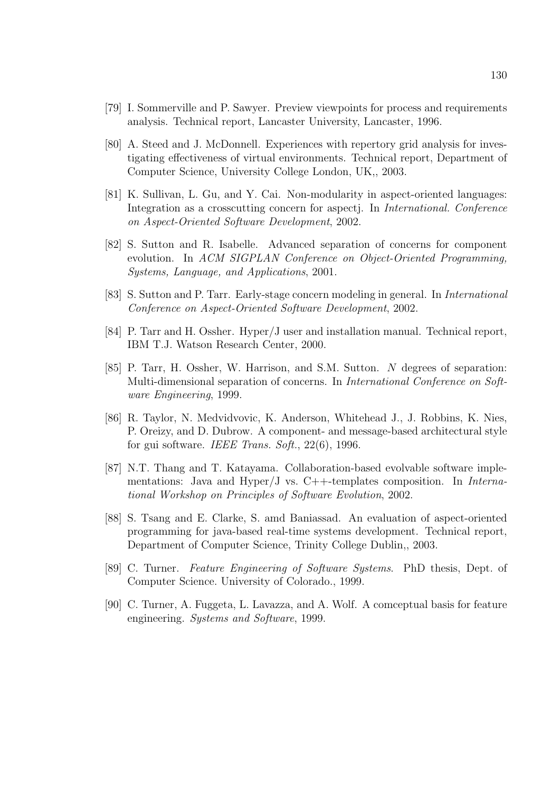- [79] I. Sommerville and P. Sawyer. Preview viewpoints for process and requirements analysis. Technical report, Lancaster University, Lancaster, 1996.
- [80] A. Steed and J. McDonnell. Experiences with repertory grid analysis for investigating effectiveness of virtual environments. Technical report, Department of Computer Science, University College London, UK,, 2003.
- [81] K. Sullivan, L. Gu, and Y. Cai. Non-modularity in aspect-oriented languages: Integration as a crosscutting concern for aspectj. In International. Conference on Aspect-Oriented Software Development, 2002.
- [82] S. Sutton and R. Isabelle. Advanced separation of concerns for component evolution. In ACM SIGPLAN Conference on Object-Oriented Programming, Systems, Language, and Applications, 2001.
- [83] S. Sutton and P. Tarr. Early-stage concern modeling in general. In International Conference on Aspect-Oriented Software Development, 2002.
- [84] P. Tarr and H. Ossher. Hyper/J user and installation manual. Technical report, IBM T.J. Watson Research Center, 2000.
- [85] P. Tarr, H. Ossher, W. Harrison, and S.M. Sutton. N degrees of separation: Multi-dimensional separation of concerns. In International Conference on Software Engineering, 1999.
- [86] R. Taylor, N. Medvidvovic, K. Anderson, Whitehead J., J. Robbins, K. Nies, P. Oreizy, and D. Dubrow. A component- and message-based architectural style for gui software. IEEE Trans. Soft., 22(6), 1996.
- [87] N.T. Thang and T. Katayama. Collaboration-based evolvable software implementations: Java and Hyper/J vs.  $C++$ -templates composition. In *Interna*tional Workshop on Principles of Software Evolution, 2002.
- [88] S. Tsang and E. Clarke, S. amd Baniassad. An evaluation of aspect-oriented programming for java-based real-time systems development. Technical report, Department of Computer Science, Trinity College Dublin,, 2003.
- [89] C. Turner. Feature Engineering of Software Systems. PhD thesis, Dept. of Computer Science. University of Colorado., 1999.
- [90] C. Turner, A. Fuggeta, L. Lavazza, and A. Wolf. A comceptual basis for feature engineering. Systems and Software, 1999.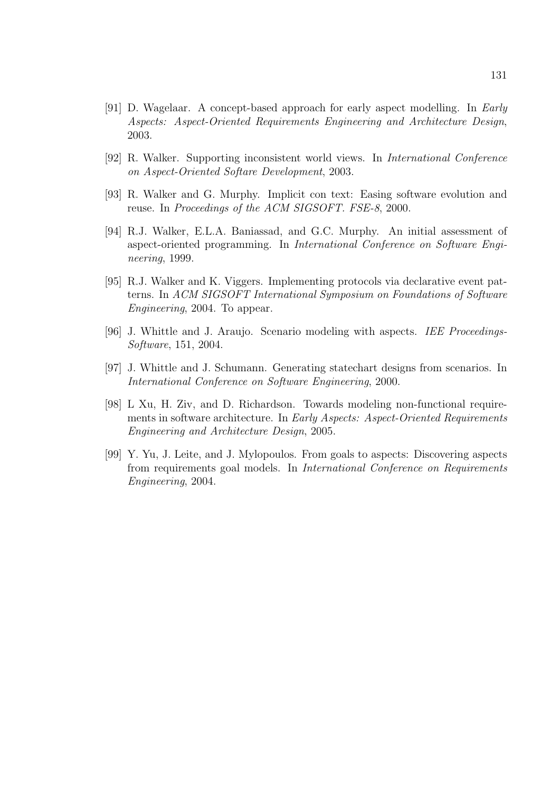- [91] D. Wagelaar. A concept-based approach for early aspect modelling. In Early Aspects: Aspect-Oriented Requirements Engineering and Architecture Design, 2003.
- [92] R. Walker. Supporting inconsistent world views. In International Conference on Aspect-Oriented Softare Development, 2003.
- [93] R. Walker and G. Murphy. Implicit con text: Easing software evolution and reuse. In Proceedings of the ACM SIGSOFT. FSE-8, 2000.
- [94] R.J. Walker, E.L.A. Baniassad, and G.C. Murphy. An initial assessment of aspect-oriented programming. In International Conference on Software Engineering, 1999.
- [95] R.J. Walker and K. Viggers. Implementing protocols via declarative event patterns. In ACM SIGSOFT International Symposium on Foundations of Software Engineering, 2004. To appear.
- [96] J. Whittle and J. Araujo. Scenario modeling with aspects. IEE Proceedings-Software, 151, 2004.
- [97] J. Whittle and J. Schumann. Generating statechart designs from scenarios. In International Conference on Software Engineering, 2000.
- [98] L Xu, H. Ziv, and D. Richardson. Towards modeling non-functional requirements in software architecture. In Early Aspects: Aspect-Oriented Requirements Engineering and Architecture Design, 2005.
- [99] Y. Yu, J. Leite, and J. Mylopoulos. From goals to aspects: Discovering aspects from requirements goal models. In International Conference on Requirements Engineering, 2004.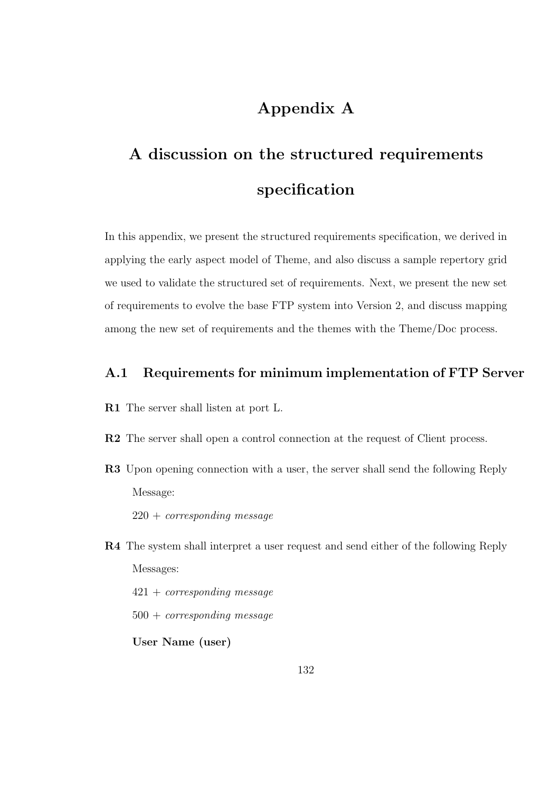## Appendix A

# A discussion on the structured requirements specification

In this appendix, we present the structured requirements specification, we derived in applying the early aspect model of Theme, and also discuss a sample repertory grid we used to validate the structured set of requirements. Next, we present the new set of requirements to evolve the base FTP system into Version 2, and discuss mapping among the new set of requirements and the themes with the Theme/Doc process.

#### A.1 Requirements for minimum implementation of FTP Server

- R1 The server shall listen at port L.
- R2 The server shall open a control connection at the request of Client process.
- R3 Upon opening connection with a user, the server shall send the following Reply Message:
	- $220 + corresponding message$
- R4 The system shall interpret a user request and send either of the following Reply Messages:

421 + corresponding message  $500 + corresponding message$ User Name (user)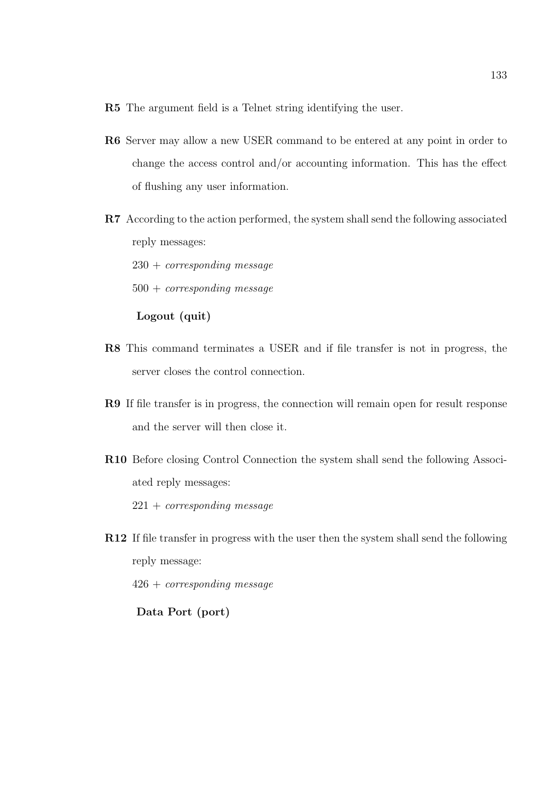- R5 The argument field is a Telnet string identifying the user.
- R6 Server may allow a new USER command to be entered at any point in order to change the access control and/or accounting information. This has the effect of flushing any user information.
- R7 According to the action performed, the system shall send the following associated reply messages:

 $230 + corresponding message$ 

500 + corresponding message

Logout (quit)

- R8 This command terminates a USER and if file transfer is not in progress, the server closes the control connection.
- R9 If file transfer is in progress, the connection will remain open for result response and the server will then close it.
- R10 Before closing Control Connection the system shall send the following Associated reply messages:

 $221 + corresponding message$ 

R12 If file transfer in progress with the user then the system shall send the following reply message:

426 + corresponding message

Data Port (port)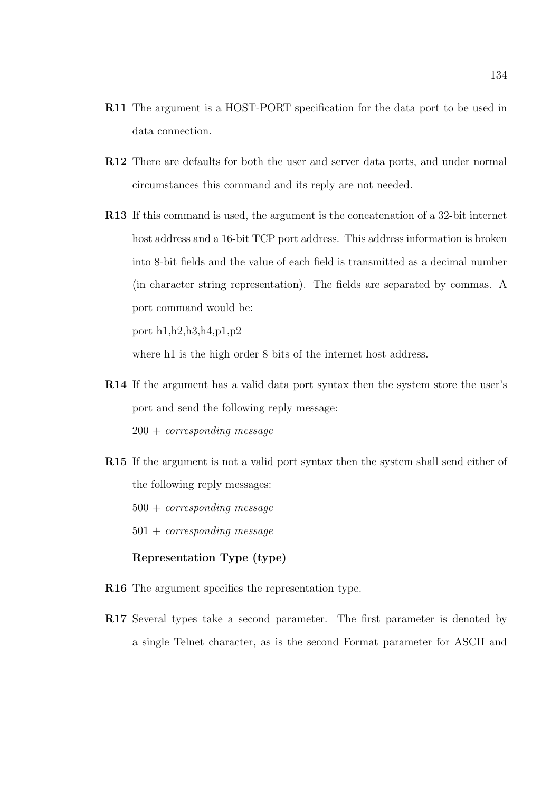- R11 The argument is a HOST-PORT specification for the data port to be used in data connection.
- R12 There are defaults for both the user and server data ports, and under normal circumstances this command and its reply are not needed.
- R13 If this command is used, the argument is the concatenation of a 32-bit internet host address and a 16-bit TCP port address. This address information is broken into 8-bit fields and the value of each field is transmitted as a decimal number (in character string representation). The fields are separated by commas. A port command would be:

port h1,h2,h3,h4,p1,p2

where h1 is the high order 8 bits of the internet host address.

- R14 If the argument has a valid data port syntax then the system store the user's port and send the following reply message:  $200 + corresponding message$
- R15 If the argument is not a valid port syntax then the system shall send either of the following reply messages:

 $500 + corresponding message$ 

 $501 + corresponding message$ 

#### Representation Type (type)

- R16 The argument specifies the representation type.
- R17 Several types take a second parameter. The first parameter is denoted by a single Telnet character, as is the second Format parameter for ASCII and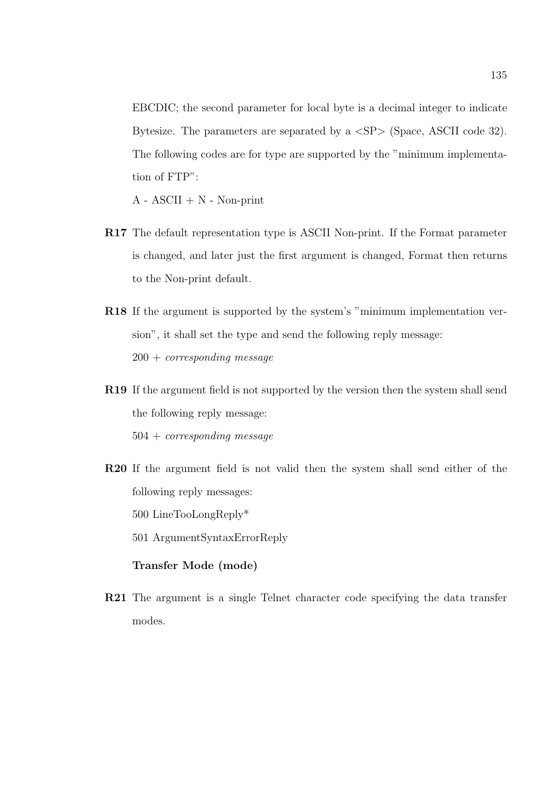EBCDIC; the second parameter for local byte is a decimal integer to indicate Bytesize. The parameters are separated by a  $\langle SP \rangle$  (Space, ASCII code 32). The following codes are for type are supported by the "minimum implementation of FTP":

 $A - ASCII + N - Non-print$ 

- R17 The default representation type is ASCII Non-print. If the Format parameter is changed, and later just the first argument is changed, Format then returns to the Non-print default.
- R18 If the argument is supported by the system's "minimum implementation version", it shall set the type and send the following reply message:  $200 + corresponding message$
- R19 If the argument field is not supported by the version then the system shall send the following reply message: 504 + corresponding message

R20 If the argument field is not valid then the system shall send either of the following reply messages: 500 LineTooLongReply\*

501 ArgumentSyntaxErrorReply

### Transfer Mode (mode)

R21 The argument is a single Telnet character code specifying the data transfer modes.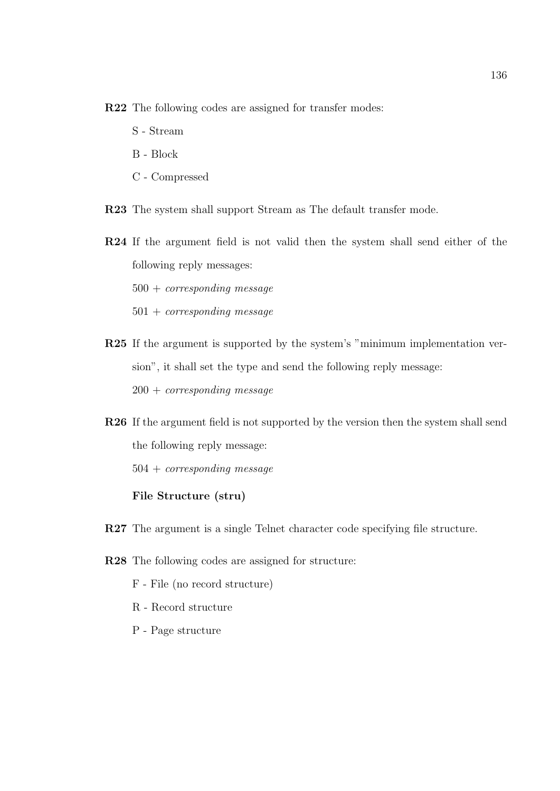R22 The following codes are assigned for transfer modes:

- S Stream
- B Block
- C Compressed

R23 The system shall support Stream as The default transfer mode.

R24 If the argument field is not valid then the system shall send either of the following reply messages:

 $500 + corresponding message$ 

- $501 + corresponding message$
- R25 If the argument is supported by the system's "minimum implementation version", it shall set the type and send the following reply message:  $200 + corresponding message$
- R26 If the argument field is not supported by the version then the system shall send the following reply message: 504 + corresponding message

#### File Structure (stru)

- R27 The argument is a single Telnet character code specifying file structure.
- R28 The following codes are assigned for structure:
	- F File (no record structure)
	- R Record structure
	- P Page structure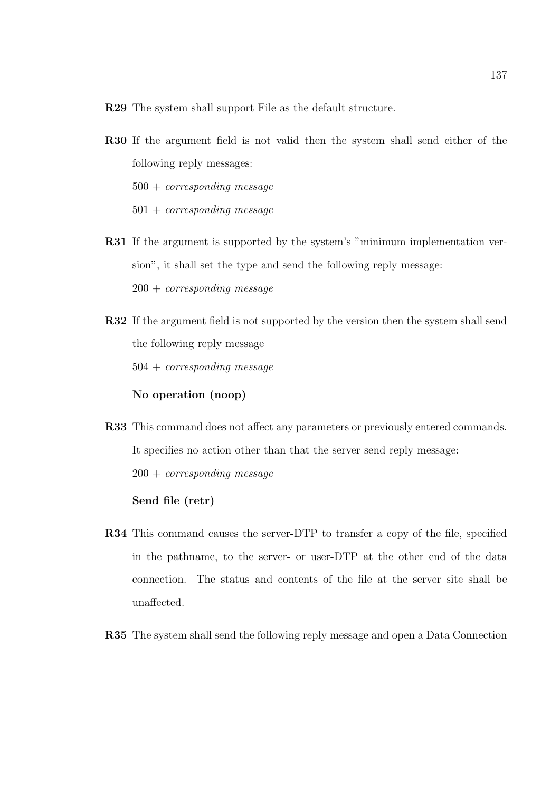R29 The system shall support File as the default structure.

- R30 If the argument field is not valid then the system shall send either of the following reply messages:  $500 + corresponding message$  $501 + corresponding message$
- R31 If the argument is supported by the system's "minimum implementation version", it shall set the type and send the following reply message:  $200 + corresponding message$

R32 If the argument field is not supported by the version then the system shall send the following reply message  $504 + corresponding message$ No operation (noop)

R33 This command does not affect any parameters or previously entered commands. It specifies no action other than that the server send reply message:  $200 + corresponding message$ 

### Send file (retr)

- R34 This command causes the server-DTP to transfer a copy of the file, specified in the pathname, to the server- or user-DTP at the other end of the data connection. The status and contents of the file at the server site shall be unaffected.
- R35 The system shall send the following reply message and open a Data Connection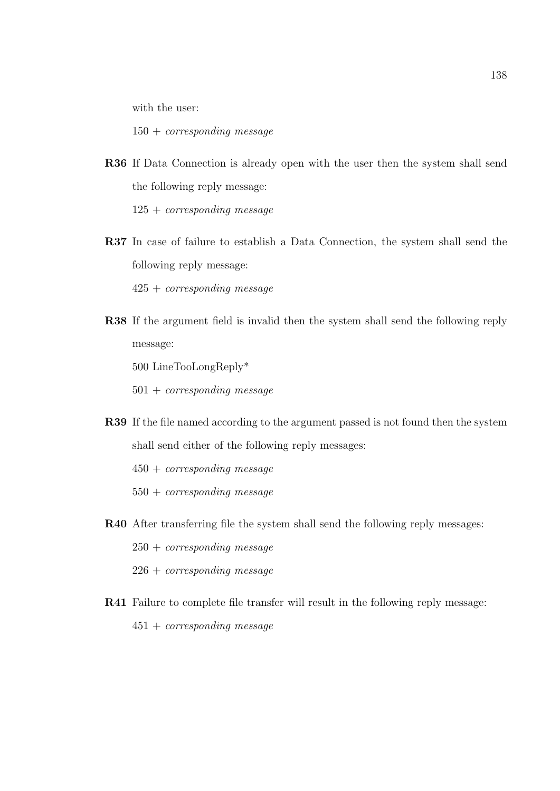with the user:

 $150 + corresponding message$ 

R36 If Data Connection is already open with the user then the system shall send the following reply message:

 $125 + corresponding message$ 

R37 In case of failure to establish a Data Connection, the system shall send the following reply message:

425 + corresponding message

R38 If the argument field is invalid then the system shall send the following reply message:

500 LineTooLongReply\*

501 + corresponding message

- R39 If the file named according to the argument passed is not found then the system shall send either of the following reply messages:
	- $450 + corresponding message$
	- $550 + corresponding message$
- R40 After transferring file the system shall send the following reply messages:
	- $250 + corresponding message$
	- $226 + corresponding message$
- R41 Failure to complete file transfer will result in the following reply message: 451 + corresponding message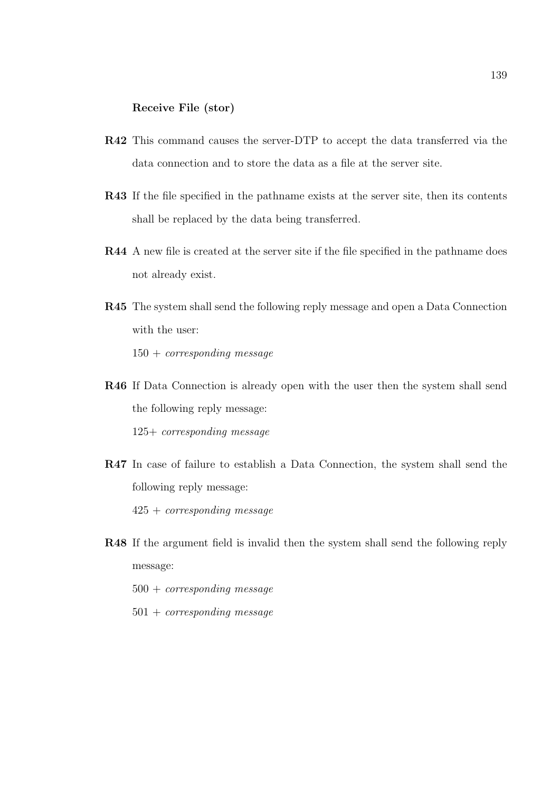### Receive File (stor)

- R42 This command causes the server-DTP to accept the data transferred via the data connection and to store the data as a file at the server site.
- R43 If the file specified in the pathname exists at the server site, then its contents shall be replaced by the data being transferred.
- R44 A new file is created at the server site if the file specified in the pathname does not already exist.
- R45 The system shall send the following reply message and open a Data Connection with the user:  $150 + corresponding message$
- R46 If Data Connection is already open with the user then the system shall send the following reply message: 125+ corresponding message
- R47 In case of failure to establish a Data Connection, the system shall send the following reply message:

425 + corresponding message

- R48 If the argument field is invalid then the system shall send the following reply message:
	- $500 + corresponding message$
	- $501 + corresponding message$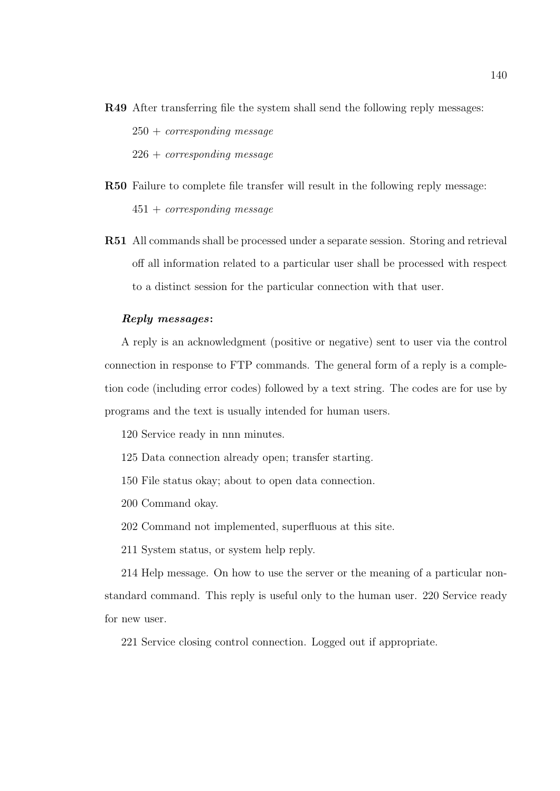- R49 After transferring file the system shall send the following reply messages:  $250 + corresponding message$  $226 + corresponding message$
- R50 Failure to complete file transfer will result in the following reply message:  $451 + corresponding message$
- R51 All commands shall be processed under a separate session. Storing and retrieval off all information related to a particular user shall be processed with respect to a distinct session for the particular connection with that user.

#### Reply messages:

A reply is an acknowledgment (positive or negative) sent to user via the control connection in response to FTP commands. The general form of a reply is a completion code (including error codes) followed by a text string. The codes are for use by programs and the text is usually intended for human users.

- 120 Service ready in nnn minutes.
- 125 Data connection already open; transfer starting.
- 150 File status okay; about to open data connection.
- 200 Command okay.
- 202 Command not implemented, superfluous at this site.
- 211 System status, or system help reply.

214 Help message. On how to use the server or the meaning of a particular nonstandard command. This reply is useful only to the human user. 220 Service ready for new user.

221 Service closing control connection. Logged out if appropriate.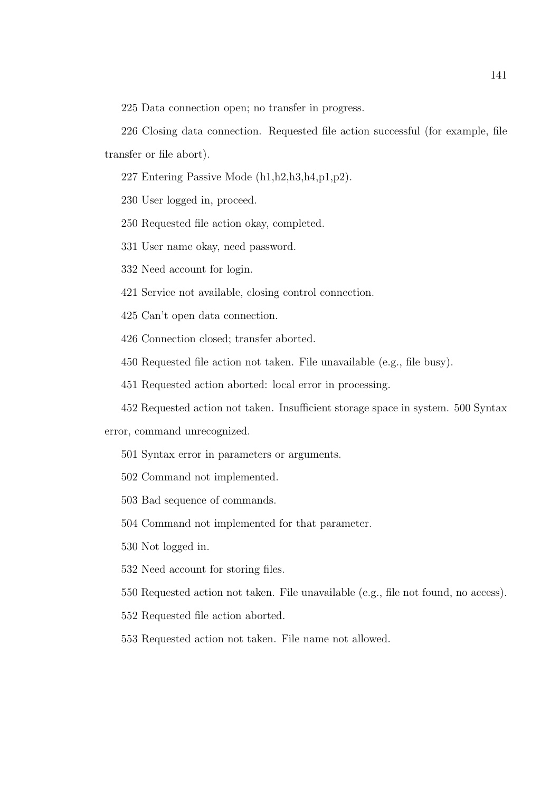225 Data connection open; no transfer in progress.

226 Closing data connection. Requested file action successful (for example, file transfer or file abort).

227 Entering Passive Mode (h1,h2,h3,h4,p1,p2).

230 User logged in, proceed.

250 Requested file action okay, completed.

331 User name okay, need password.

332 Need account for login.

421 Service not available, closing control connection.

425 Can't open data connection.

426 Connection closed; transfer aborted.

450 Requested file action not taken. File unavailable (e.g., file busy).

451 Requested action aborted: local error in processing.

452 Requested action not taken. Insufficient storage space in system. 500 Syntax

error, command unrecognized.

501 Syntax error in parameters or arguments.

502 Command not implemented.

503 Bad sequence of commands.

504 Command not implemented for that parameter.

530 Not logged in.

532 Need account for storing files.

550 Requested action not taken. File unavailable (e.g., file not found, no access).

552 Requested file action aborted.

553 Requested action not taken. File name not allowed.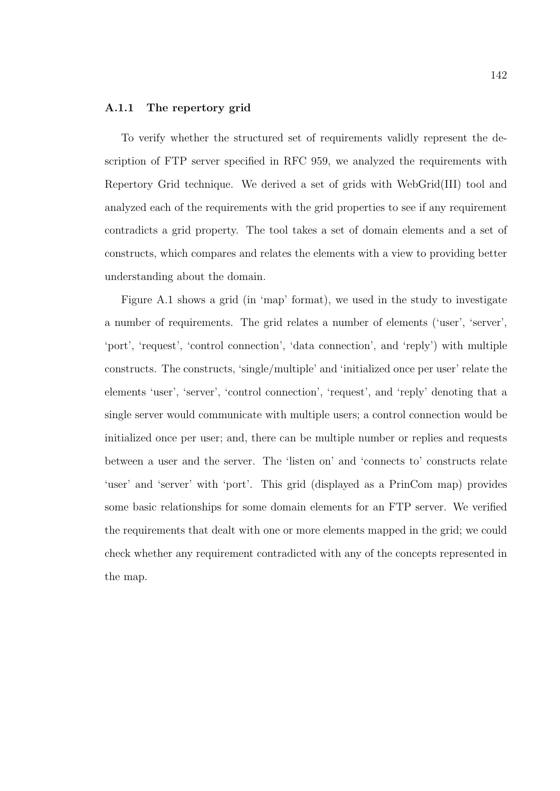#### A.1.1 The repertory grid

To verify whether the structured set of requirements validly represent the description of FTP server specified in RFC 959, we analyzed the requirements with Repertory Grid technique. We derived a set of grids with WebGrid(III) tool and analyzed each of the requirements with the grid properties to see if any requirement contradicts a grid property. The tool takes a set of domain elements and a set of constructs, which compares and relates the elements with a view to providing better understanding about the domain.

Figure A.1 shows a grid (in 'map' format), we used in the study to investigate a number of requirements. The grid relates a number of elements ('user', 'server', 'port', 'request', 'control connection', 'data connection', and 'reply') with multiple constructs. The constructs, 'single/multiple' and 'initialized once per user' relate the elements 'user', 'server', 'control connection', 'request', and 'reply' denoting that a single server would communicate with multiple users; a control connection would be initialized once per user; and, there can be multiple number or replies and requests between a user and the server. The 'listen on' and 'connects to' constructs relate 'user' and 'server' with 'port'. This grid (displayed as a PrinCom map) provides some basic relationships for some domain elements for an FTP server. We verified the requirements that dealt with one or more elements mapped in the grid; we could check whether any requirement contradicted with any of the concepts represented in the map.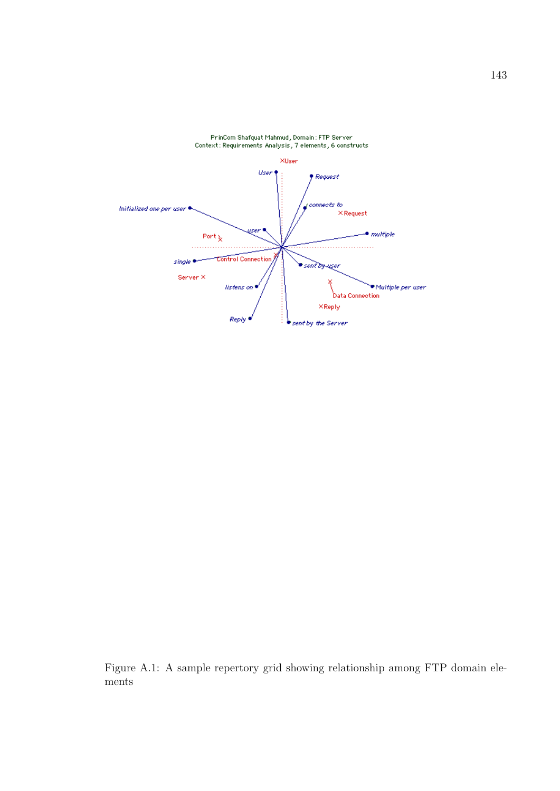

PrinCom Shafquat Mahmud, Domain: FTP Server Context: Requirements Analysis, 7 elements, 6 constructs

Figure A.1: A sample repertory grid showing relationship among FTP domain elements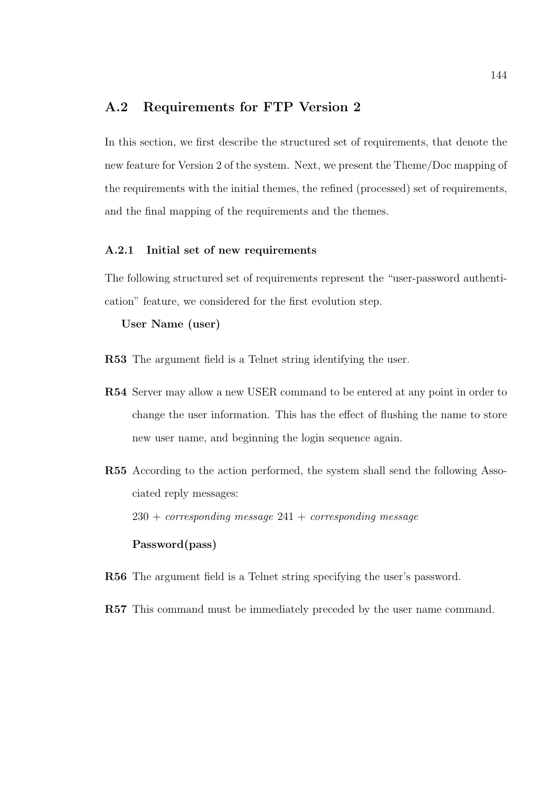## A.2 Requirements for FTP Version 2

In this section, we first describe the structured set of requirements, that denote the new feature for Version 2 of the system. Next, we present the Theme/Doc mapping of the requirements with the initial themes, the refined (processed) set of requirements, and the final mapping of the requirements and the themes.

#### A.2.1 Initial set of new requirements

The following structured set of requirements represent the "user-password authentication" feature, we considered for the first evolution step.

#### User Name (user)

- R53 The argument field is a Telnet string identifying the user.
- R54 Server may allow a new USER command to be entered at any point in order to change the user information. This has the effect of flushing the name to store new user name, and beginning the login sequence again.
- R55 According to the action performed, the system shall send the following Associated reply messages:  $230 + corresponding message 241 + corresponding message$ Password(pass)
- R56 The argument field is a Telnet string specifying the user's password.
- R57 This command must be immediately preceded by the user name command.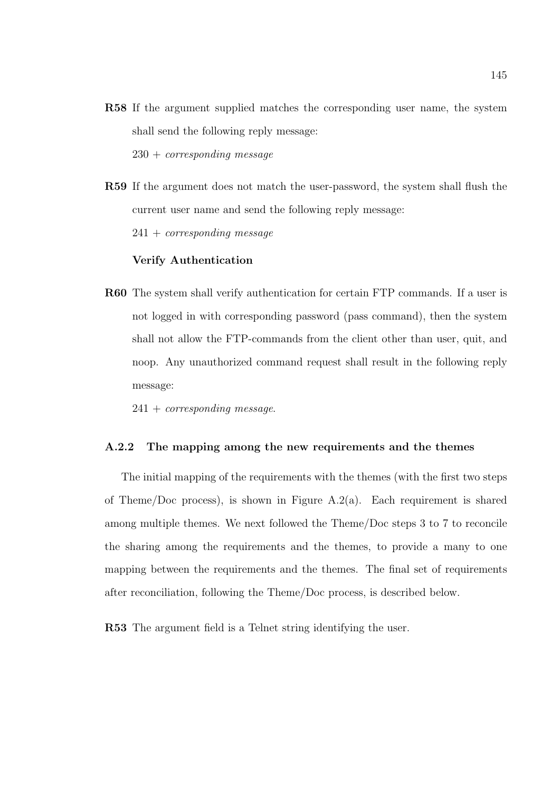R58 If the argument supplied matches the corresponding user name, the system shall send the following reply message:

 $230 + corresponding message$ 

R59 If the argument does not match the user-password, the system shall flush the current user name and send the following reply message:

 $241 + corresponding message$ 

#### Verify Authentication

R60 The system shall verify authentication for certain FTP commands. If a user is not logged in with corresponding password (pass command), then the system shall not allow the FTP-commands from the client other than user, quit, and noop. Any unauthorized command request shall result in the following reply message:

 $241 + corresponding message.$ 

#### A.2.2 The mapping among the new requirements and the themes

The initial mapping of the requirements with the themes (with the first two steps of Theme/Doc process), is shown in Figure A.2(a). Each requirement is shared among multiple themes. We next followed the Theme/Doc steps 3 to 7 to reconcile the sharing among the requirements and the themes, to provide a many to one mapping between the requirements and the themes. The final set of requirements after reconciliation, following the Theme/Doc process, is described below.

R53 The argument field is a Telnet string identifying the user.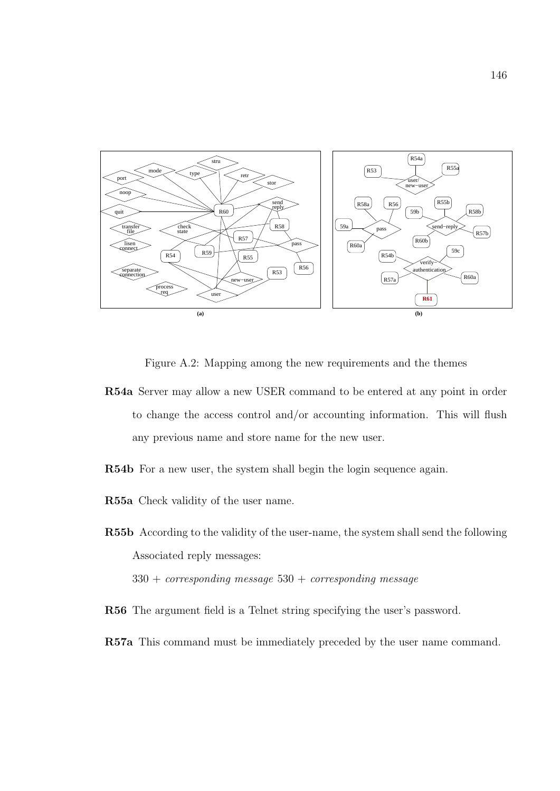

Figure A.2: Mapping among the new requirements and the themes

- R54a Server may allow a new USER command to be entered at any point in order to change the access control and/or accounting information. This will flush any previous name and store name for the new user.
- R54b For a new user, the system shall begin the login sequence again.
- R55a Check validity of the user name.

R55b According to the validity of the user-name, the system shall send the following Associated reply messages:

 $330 + corresponding message 530 + corresponding message$ 

- R56 The argument field is a Telnet string specifying the user's password.
- R57a This command must be immediately preceded by the user name command.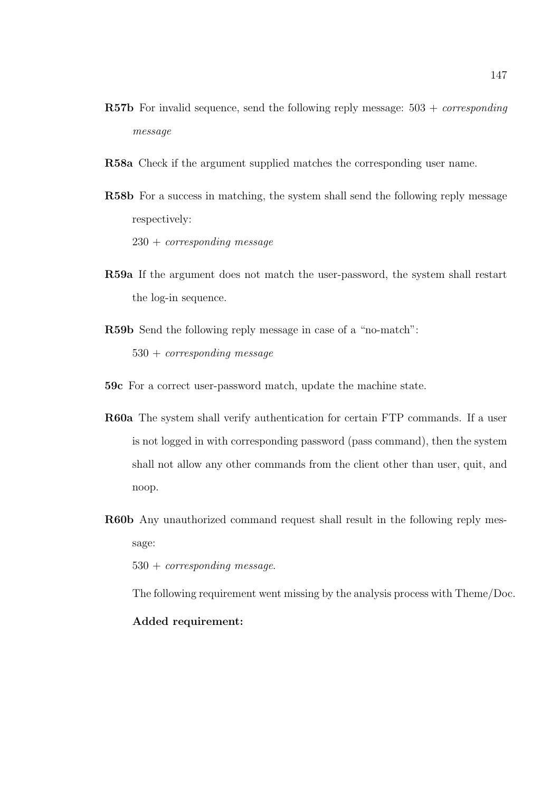- **R57b** For invalid sequence, send the following reply message:  $503 + corresponding$ message
- R58a Check if the argument supplied matches the corresponding user name.
- R58b For a success in matching, the system shall send the following reply message respectively:

 $230 + corresponding message$ 

- R59a If the argument does not match the user-password, the system shall restart the log-in sequence.
- R59b Send the following reply message in case of a "no-match": 530 + corresponding message
- 59c For a correct user-password match, update the machine state.
- R60a The system shall verify authentication for certain FTP commands. If a user is not logged in with corresponding password (pass command), then the system shall not allow any other commands from the client other than user, quit, and noop.
- R60b Any unauthorized command request shall result in the following reply message:

530 + corresponding message.

The following requirement went missing by the analysis process with Theme/Doc.

## Added requirement: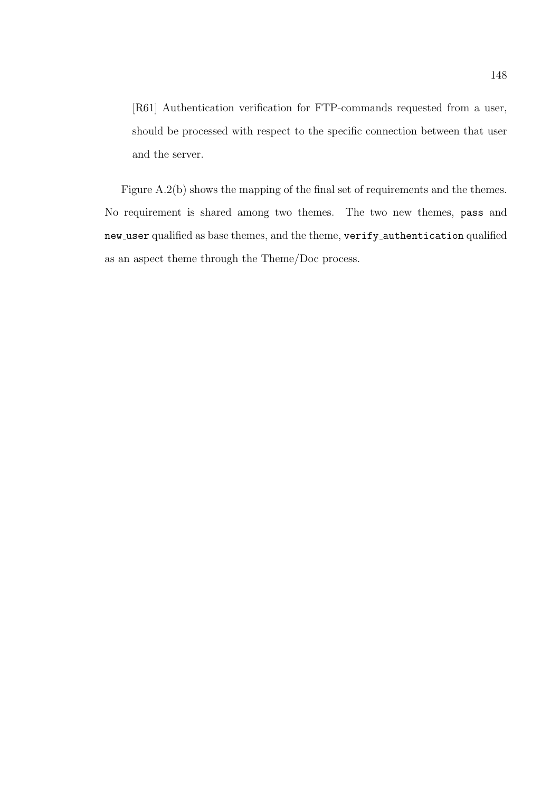[R61] Authentication verification for FTP-commands requested from a user, should be processed with respect to the specific connection between that user and the server.

Figure A.2(b) shows the mapping of the final set of requirements and the themes. No requirement is shared among two themes. The two new themes, pass and new\_user qualified as base themes, and the theme, verify\_authentication qualified as an aspect theme through the Theme/Doc process.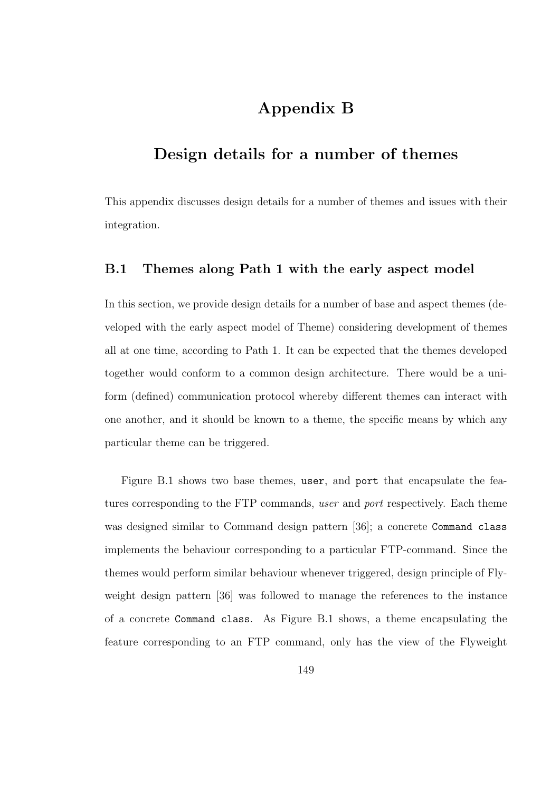# Appendix B

# Design details for a number of themes

This appendix discusses design details for a number of themes and issues with their integration.

## B.1 Themes along Path 1 with the early aspect model

In this section, we provide design details for a number of base and aspect themes (developed with the early aspect model of Theme) considering development of themes all at one time, according to Path 1. It can be expected that the themes developed together would conform to a common design architecture. There would be a uniform (defined) communication protocol whereby different themes can interact with one another, and it should be known to a theme, the specific means by which any particular theme can be triggered.

Figure B.1 shows two base themes, user, and port that encapsulate the features corresponding to the FTP commands, user and port respectively. Each theme was designed similar to Command design pattern [36]; a concrete Command class implements the behaviour corresponding to a particular FTP-command. Since the themes would perform similar behaviour whenever triggered, design principle of Flyweight design pattern [36] was followed to manage the references to the instance of a concrete Command class. As Figure B.1 shows, a theme encapsulating the feature corresponding to an FTP command, only has the view of the Flyweight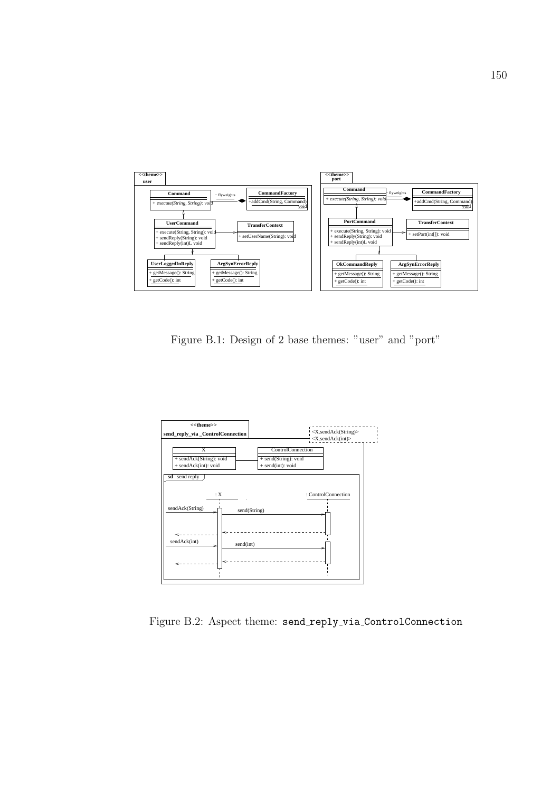

Figure B.1: Design of 2 base themes: "user" and "port"



Figure B.2: Aspect theme: send reply via ControlConnection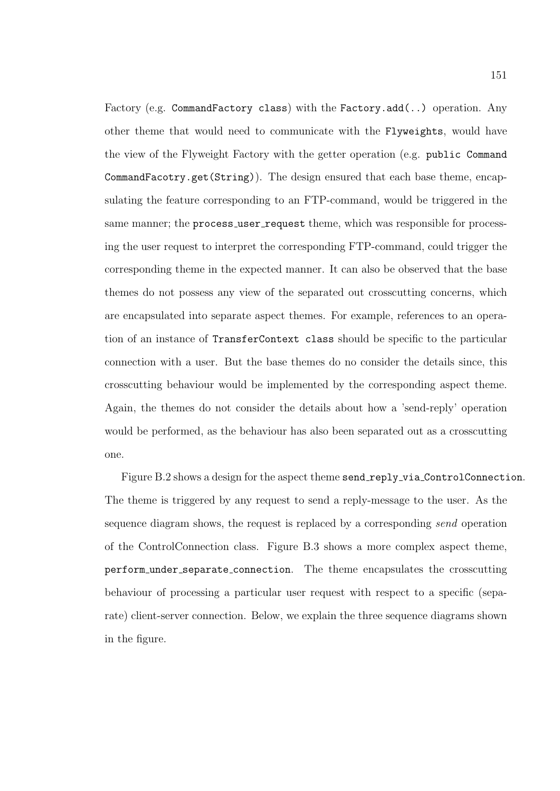Factory (e.g. CommandFactory class) with the Factory.add(..) operation. Any other theme that would need to communicate with the Flyweights, would have the view of the Flyweight Factory with the getter operation (e.g. public Command CommandFacotry.get(String)). The design ensured that each base theme, encapsulating the feature corresponding to an FTP-command, would be triggered in the same manner; the process\_user\_request theme, which was responsible for processing the user request to interpret the corresponding FTP-command, could trigger the corresponding theme in the expected manner. It can also be observed that the base themes do not possess any view of the separated out crosscutting concerns, which are encapsulated into separate aspect themes. For example, references to an operation of an instance of TransferContext class should be specific to the particular connection with a user. But the base themes do no consider the details since, this crosscutting behaviour would be implemented by the corresponding aspect theme. Again, the themes do not consider the details about how a 'send-reply' operation would be performed, as the behaviour has also been separated out as a crosscutting one.

Figure B.2 shows a design for the aspect theme send\_reply\_via\_ControlConnection. The theme is triggered by any request to send a reply-message to the user. As the sequence diagram shows, the request is replaced by a corresponding send operation of the ControlConnection class. Figure B.3 shows a more complex aspect theme, perform under separate connection. The theme encapsulates the crosscutting behaviour of processing a particular user request with respect to a specific (separate) client-server connection. Below, we explain the three sequence diagrams shown in the figure.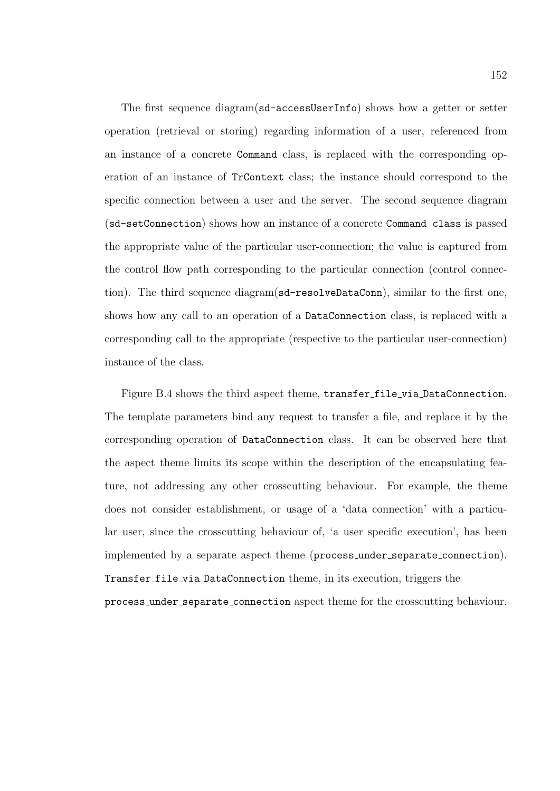The first sequence diagram(sd-accessUserInfo) shows how a getter or setter operation (retrieval or storing) regarding information of a user, referenced from an instance of a concrete Command class, is replaced with the corresponding operation of an instance of TrContext class; the instance should correspond to the specific connection between a user and the server. The second sequence diagram (sd-setConnection) shows how an instance of a concrete Command class is passed the appropriate value of the particular user-connection; the value is captured from the control flow path corresponding to the particular connection (control connection). The third sequence diagram(sd-resolveDataConn), similar to the first one, shows how any call to an operation of a DataConnection class, is replaced with a corresponding call to the appropriate (respective to the particular user-connection) instance of the class.

Figure B.4 shows the third aspect theme, transfer file via DataConnection. The template parameters bind any request to transfer a file, and replace it by the corresponding operation of DataConnection class. It can be observed here that the aspect theme limits its scope within the description of the encapsulating feature, not addressing any other crosscutting behaviour. For example, the theme does not consider establishment, or usage of a 'data connection' with a particular user, since the crosscutting behaviour of, 'a user specific execution', has been implemented by a separate aspect theme (process under separate connection). Transfer file via DataConnection theme, in its execution, triggers the process under separate connection aspect theme for the crosscutting behaviour.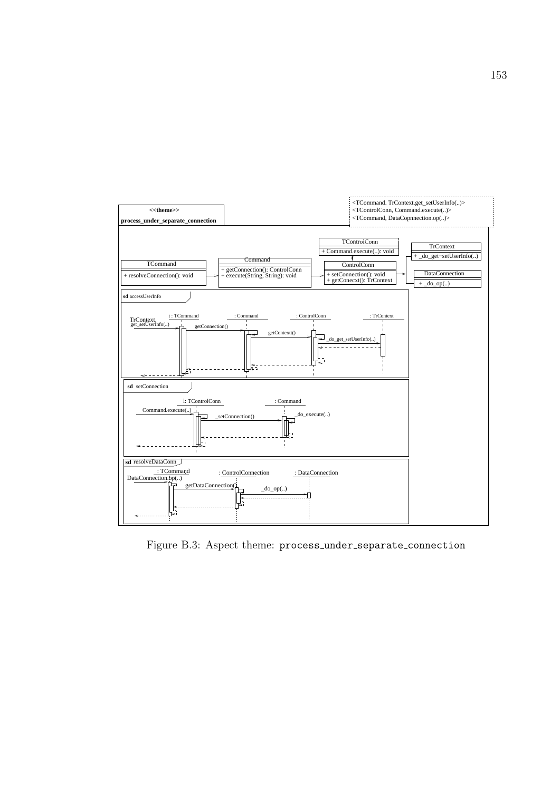

Figure B.3: Aspect theme: process under separate connection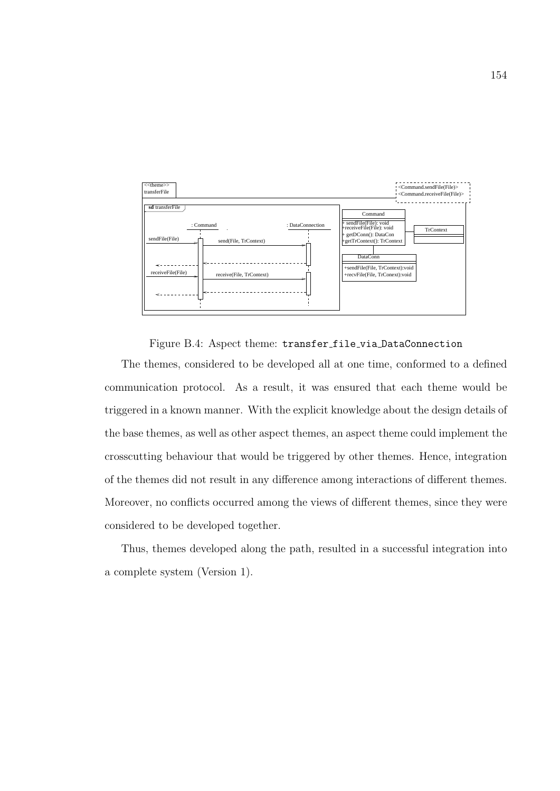

Figure B.4: Aspect theme: transfer file via DataConnection

The themes, considered to be developed all at one time, conformed to a defined communication protocol. As a result, it was ensured that each theme would be triggered in a known manner. With the explicit knowledge about the design details of the base themes, as well as other aspect themes, an aspect theme could implement the crosscutting behaviour that would be triggered by other themes. Hence, integration of the themes did not result in any difference among interactions of different themes. Moreover, no conflicts occurred among the views of different themes, since they were considered to be developed together.

Thus, themes developed along the path, resulted in a successful integration into a complete system (Version 1).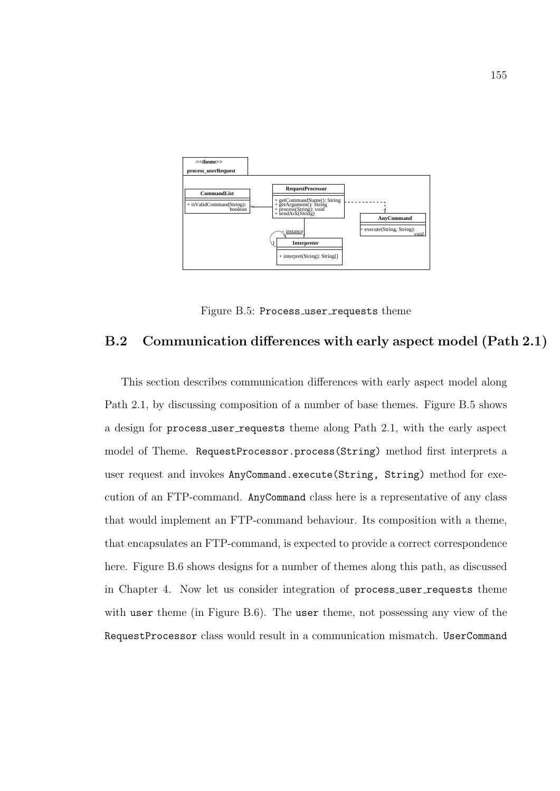

Figure B.5: Process\_user\_requests theme

## B.2 Communication differences with early aspect model (Path 2.1)

This section describes communication differences with early aspect model along Path 2.1, by discussing composition of a number of base themes. Figure B.5 shows a design for process\_user\_requests theme along Path 2.1, with the early aspect model of Theme. RequestProcessor.process(String) method first interprets a user request and invokes AnyCommand.execute(String, String) method for execution of an FTP-command. AnyCommand class here is a representative of any class that would implement an FTP-command behaviour. Its composition with a theme, that encapsulates an FTP-command, is expected to provide a correct correspondence here. Figure B.6 shows designs for a number of themes along this path, as discussed in Chapter 4. Now let us consider integration of process\_user\_requests theme with user theme (in Figure B.6). The user theme, not possessing any view of the RequestProcessor class would result in a communication mismatch. UserCommand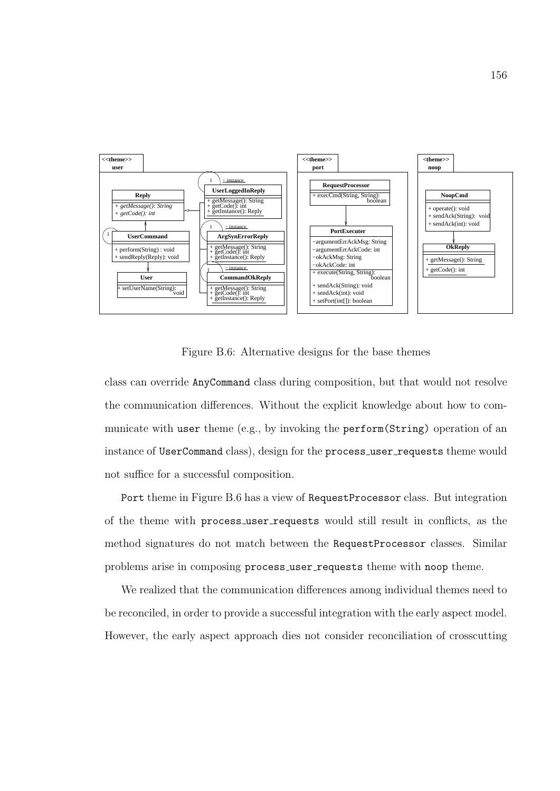

Figure B.6: Alternative designs for the base themes

class can override AnyCommand class during composition, but that would not resolve the communication differences. Without the explicit knowledge about how to communicate with user theme (e.g., by invoking the perform(String) operation of an instance of UserCommand class), design for the process\_user\_requests theme would not suffice for a successful composition.

Port theme in Figure B.6 has a view of RequestProcessor class. But integration of the theme with process user requests would still result in conflicts, as the method signatures do not match between the RequestProcessor classes. Similar problems arise in composing process\_user\_requests theme with noop theme.

We realized that the communication differences among individual themes need to be reconciled, in order to provide a successful integration with the early aspect model. However, the early aspect approach dies not consider reconciliation of crosscutting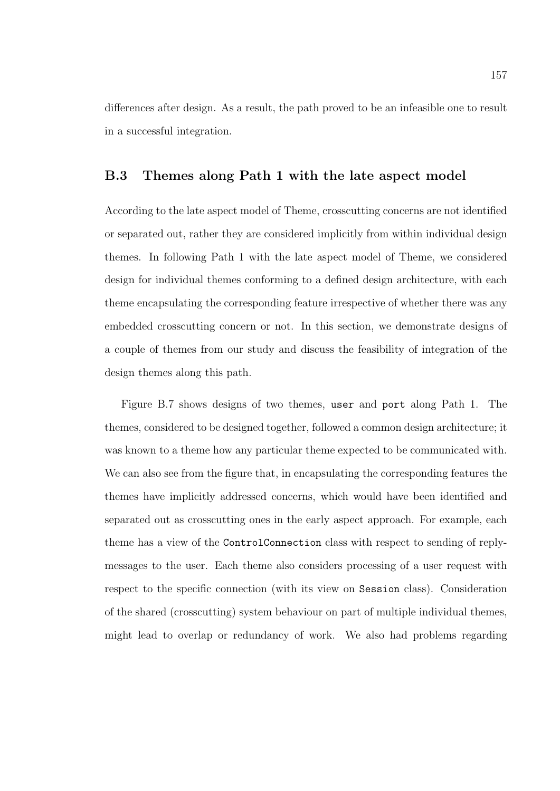differences after design. As a result, the path proved to be an infeasible one to result in a successful integration.

# B.3 Themes along Path 1 with the late aspect model

According to the late aspect model of Theme, crosscutting concerns are not identified or separated out, rather they are considered implicitly from within individual design themes. In following Path 1 with the late aspect model of Theme, we considered design for individual themes conforming to a defined design architecture, with each theme encapsulating the corresponding feature irrespective of whether there was any embedded crosscutting concern or not. In this section, we demonstrate designs of a couple of themes from our study and discuss the feasibility of integration of the design themes along this path.

Figure B.7 shows designs of two themes, user and port along Path 1. The themes, considered to be designed together, followed a common design architecture; it was known to a theme how any particular theme expected to be communicated with. We can also see from the figure that, in encapsulating the corresponding features the themes have implicitly addressed concerns, which would have been identified and separated out as crosscutting ones in the early aspect approach. For example, each theme has a view of the ControlConnection class with respect to sending of replymessages to the user. Each theme also considers processing of a user request with respect to the specific connection (with its view on Session class). Consideration of the shared (crosscutting) system behaviour on part of multiple individual themes, might lead to overlap or redundancy of work. We also had problems regarding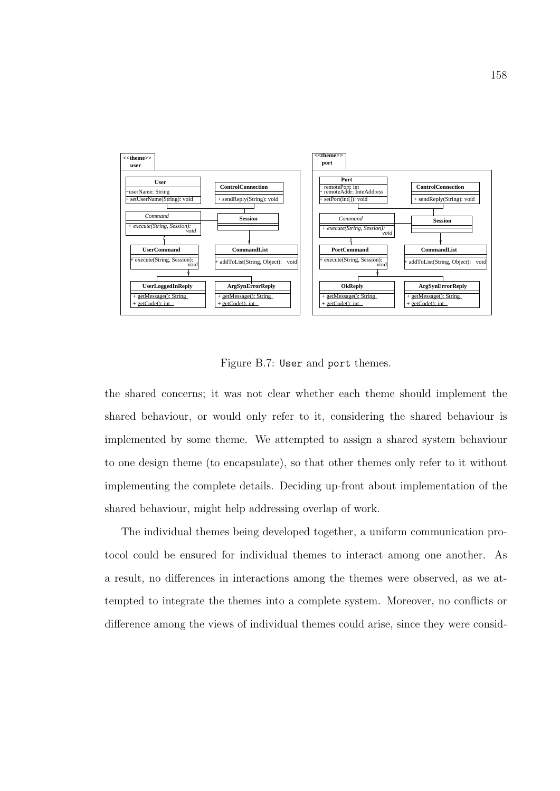

Figure B.7: User and port themes.

the shared concerns; it was not clear whether each theme should implement the shared behaviour, or would only refer to it, considering the shared behaviour is implemented by some theme. We attempted to assign a shared system behaviour to one design theme (to encapsulate), so that other themes only refer to it without implementing the complete details. Deciding up-front about implementation of the shared behaviour, might help addressing overlap of work.

The individual themes being developed together, a uniform communication protocol could be ensured for individual themes to interact among one another. As a result, no differences in interactions among the themes were observed, as we attempted to integrate the themes into a complete system. Moreover, no conflicts or difference among the views of individual themes could arise, since they were consid-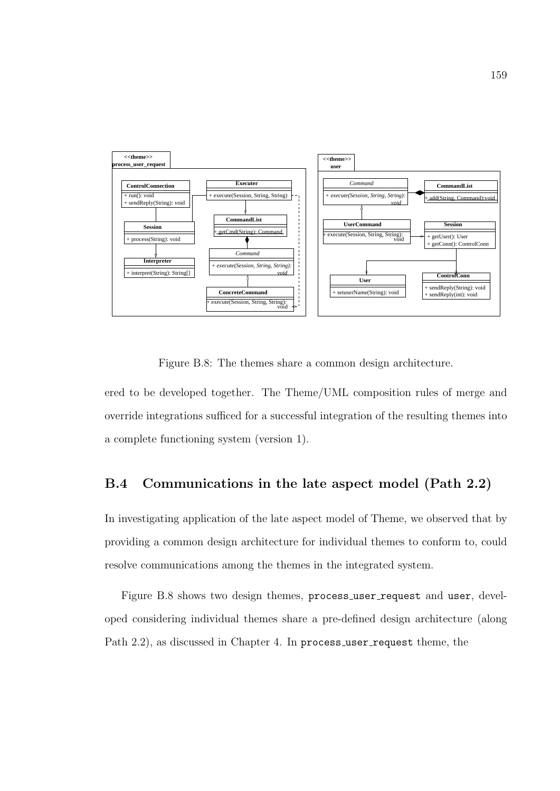

Figure B.8: The themes share a common design architecture.

ered to be developed together. The Theme/UML composition rules of merge and override integrations sufficed for a successful integration of the resulting themes into a complete functioning system (version 1).

# B.4 Communications in the late aspect model (Path 2.2)

In investigating application of the late aspect model of Theme, we observed that by providing a common design architecture for individual themes to conform to, could resolve communications among the themes in the integrated system.

Figure B.8 shows two design themes, process\_user\_request and user, developed considering individual themes share a pre-defined design architecture (along Path 2.2), as discussed in Chapter 4. In process\_user\_request theme, the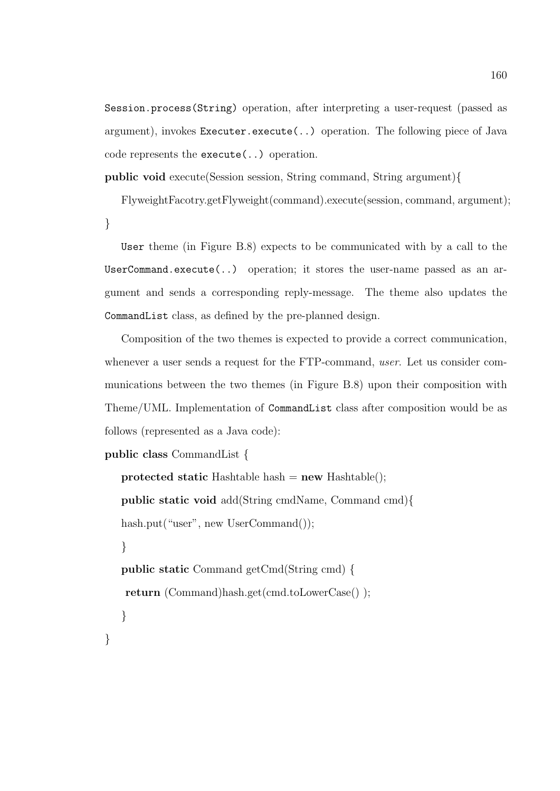Session.process(String) operation, after interpreting a user-request (passed as argument), invokes Executer.execute(..) operation. The following piece of Java code represents the execute(..) operation.

public void execute(Session session, String command, String argument){

FlyweightFacotry.getFlyweight(command).execute(session, command, argument); }

User theme (in Figure B.8) expects to be communicated with by a call to the UserCommand.execute(..) operation; it stores the user-name passed as an argument and sends a corresponding reply-message. The theme also updates the CommandList class, as defined by the pre-planned design.

Composition of the two themes is expected to provide a correct communication, whenever a user sends a request for the FTP-command, user. Let us consider communications between the two themes (in Figure B.8) upon their composition with Theme/UML. Implementation of CommandList class after composition would be as follows (represented as a Java code):

public class CommandList {

}

protected static Hashtable hash  $=$  new Hashtable(); public static void add(String cmdName, Command cmd){ hash.put("user", new UserCommand()); } public static Command getCmd(String cmd) { return (Command)hash.get(cmd.toLowerCase() ); }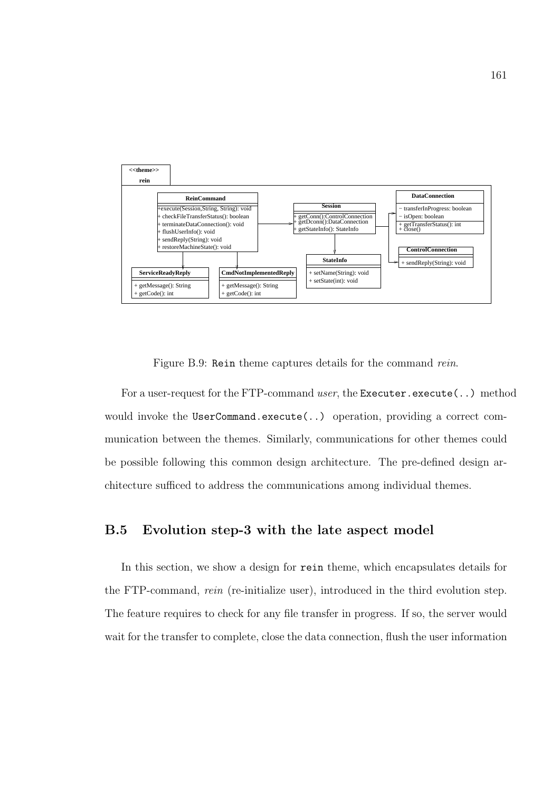

Figure B.9: Rein theme captures details for the command rein.

For a user-request for the FTP-command user, the Executer.execute $(\ldots)$  method would invoke the UserCommand.execute(..) operation, providing a correct communication between the themes. Similarly, communications for other themes could be possible following this common design architecture. The pre-defined design architecture sufficed to address the communications among individual themes.

# B.5 Evolution step-3 with the late aspect model

In this section, we show a design for rein theme, which encapsulates details for the FTP-command, rein (re-initialize user), introduced in the third evolution step. The feature requires to check for any file transfer in progress. If so, the server would wait for the transfer to complete, close the data connection, flush the user information